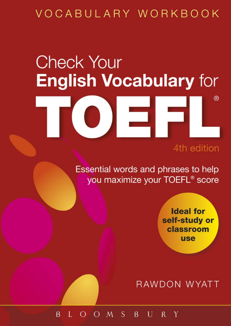#### VOCABULARY WORKBOOK

## **Check Your English Vocabulary for**

## $\bullet$  1  $\Xi$   $\Xi$

#### 4th edition

൹

Essential words and phrases to help you maximize your TOEFL® score

> **Ideal for** self-study or classroom **use**

#### **RAWDON WYATT**

#### $O$   $O$   $M$   $S$   $B$  $\overline{B}$  $\mathbf{U}$  $\overline{R}$  $\mathbf{Y}$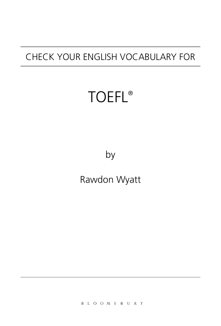## CHECK YOUR ENGLISH VOCABULARY FOR

## TOEFL®

by

Rawdon Wyatt

B L O O M S B U R Y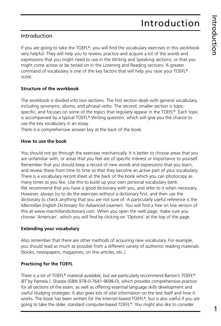Introduction

Introduction

## Introduction

If you are going to take the TOEFL®, you will find the vocabulary exercises in this workbook very helpful. They will help you to review, practice and acquire a lot of the words and expressions that you might need to use in the Writing and Speaking sections, or that you might come across or be tested on in the Listening and Reading sections. A greater command of vocabulary is one of the key factors that will help you raise your TOEFL® score.

## **Structure of the workbook**

The workbook is divided into two sections. The first section deals with general vocabulary, including synonyms, idioms, and phrasal verbs. The second, smaller section is topicspecific, and focuses on some of the topics that regularly appear in the TOEFL®. Each topic is accompanied by a typical TOEFL® Writing question, which will give you the chance to use the key vocabulary in an essay.

There is a comprehensive answer key at the back of the book.

## **How to use the book**

You should not go through the exercises mechanically. It is better to choose areas that you are unfamiliar with, or areas that you feel are of specific interest or importance to yourself. Remember that you should keep a record of new words and expressions that you learn, and review these from time to time so that they become an active part of your vocabulary. There is a vocabulary record sheet at the back of the book which you can photocopy as many times as you like. Use this to build up your own personal vocabulary bank. We recommend that you have a good dictionary with you, and refer to it when necessary. However, always try to do the exercises without a dictionary first, and then use the dictionary to check anything that you are not sure of. A particularly useful reference is the *Macmillan English Dictionary for Advanced Learners*. You will find a free on line version of this at [www.macmillandictionary.com.](www.macmillandictionary.com) When you open the web page, make sure you choose 'American', which you will find by clicking on 'Options' at the top of the page.

## **Extending your vocabulary**

Also remember that there are other methods of acquiring new vocabulary. For example, you should read as much as possible from a different variety of authentic reading materials (books, newspapers, magazines, on line articles, etc.).

## **Practicing for the TOEFL**

There is a lot of TOEFL® material available, but we particularly recommend Barron's *TOEFL® iBT* by Pamela J. Sharpe (ISBN 978-0-7641-9698-0), which provides comprehensive practice for all sections of the exam, as well as offering essential language skills development and useful studying strategies. It also gives lots of vital information on the test itself and how it works. The book has been written for the Internet-based TOEFL®, but is also useful if you are going to take the older, standard computer-based TOEFL®. You might also like to consider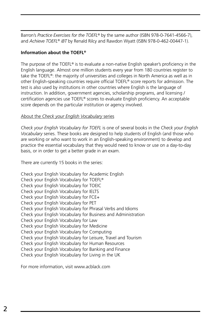Barron's *Practice Exercises for the TOEFL®* by the same author (ISBN 978-0-7641-4566-7), and *Achieve TOEFL® iBT* by Renald Rilcy and Rawdon Wyatt (ISBN 978-0-462-00447-1).

## **Information about the TOEFL®**

The purpose of the TOEFL® is to evaluate a non-native English speaker's proficiency in the English language. Almost one million students every year from 180 countries register to take the TOEFL®: the majority of universities and colleges in North America as well as in other English-speaking countries require official TOEFL® score reports for admission. The test is also used by institutions in other countries where English is the language of instruction. In addition, government agencies, scholarship programs, and licensing / certification agencies use TOEFL® scores to evaluate English proficiency. An acceptable score depends on the particular institution or agency involved.

### About the *Check your English Vocabulary* series

*Check your English Vocabulary for TOEFL* is one of several books in the *Check your English Vocabulary* series. These books are designed to help students of English (and those who are working or who want to work in an English-speaking environment) to develop and practice the essential vocabulary that they would need to know or use on a day-to-day basis, or in order to get a better grade in an exam.

There are currently 15 books in the series:

Check your English Vocabulary for Academic English Check your English Vocabulary for TOEFL® Check your English Vocabulary for TOEIC Check your English Vocabulary for IELTS Check your English Vocabulary for FCE+ Check your English Vocabulary for PET Check your English Vocabulary for Phrasal Verbs and Idioms Check your English Vocabulary for Business and Administration Check your English Vocabulary for Law Check your English Vocabulary for Medicine Check your English Vocabulary for Computing Check your English Vocabulary for Leisure, Travel and Tourism Check your English Vocabulary for Human Resources Check your English Vocabulary for Banking and Finance Check your English Vocabulary for Living in the UK

For more information, visit<www.acblack.com>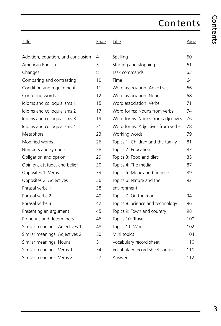## Contents

<span id="page-4-1"></span><span id="page-4-0"></span>

| <b>Title</b>                       | <u>Page</u> | <b>Title</b>                      | Page |
|------------------------------------|-------------|-----------------------------------|------|
| Addition, equation, and conclusion | 4           | Spelling                          | 60   |
| American English                   | 5           | Starting and stopping             | 61   |
| Changes                            | 8           | Task commands                     | 63   |
| Comparing and contrasting          | 10          | Time                              | 64   |
| Condition and requirement          | 11          | Word association: Adjectives      | 66   |
| Confusing words                    | 12          | Word association: Nouns           | 68   |
| Idioms and colloquialisms 1        | 15          | Word association: Verbs           | 71   |
| Idioms and colloquialisms 2        | 17          | Word forms: Nouns from verbs      | 74   |
| Idioms and colloquialisms 3        | 19          | Word forms: Nouns from adjectives | 76   |
| Idioms and colloquialisms 4        | 21          | Word forms: Adjectives from verbs | 78   |
| Metaphors                          | 23          | Working words                     | 79   |
| Modified words                     | 26          | Topics 1: Children and the family | 81   |
| Numbers and symbols                | 28          | Topics 2: Education               | 83   |
| Obligation and option              | 29          | Topics 3: Food and diet           | 85   |
| Opinion, attitude, and belief      | 30          | Topics 4: The media               | 87   |
| Opposites 1: Verbs                 | 33          | Topics 5: Money and finance       | 89   |
| Opposites 2: Adjectives            | 36          | Topics 6: Nature and the          | 92   |
| Phrasal verbs 1                    | 38          | environment                       |      |
| Phrasal verbs 2                    | 40          | Topics 7: On the road             | 94   |
| Phrasal verbs 3                    | 42          | Topics 8: Science and technology  | 96   |
| Presenting an argument             | 45          | Topics 9: Town and country        | 98   |
| Pronouns and determiners           | 46          | Topics 10: Travel                 | 100  |
| Similar meanings: Adjectives 1     | 48          | Topics 11: Work                   | 102  |
| Similar meanings: Adjectives 2     | 50          | Mini topics                       | 104  |
| Similar meanings: Nouns            | 51          | Vocabulary record sheet           | 110  |
| Similar meanings: Verbs 1          | 54          | Vocabulary record sheet sample    | 111  |
| Similar meanings: Verbs 2          | 57          | Answers                           | 112  |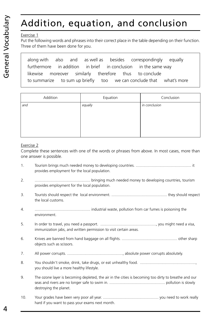## <span id="page-5-0"></span>[Addition, equation, and conclusion](#page-4-0)

#### Exercise 1

Put the following words and phrases into their correct place in the table depending on their function. Three of them have been done for you.

along with also and as well as besides correspondingly equally furthermore in addition in brief in conclusion in the same way likewise moreover similarly therefore thus to conclude to summarize to sum up briefly too we can conclude that what's more

| Addition | Equation | Conclusion    |
|----------|----------|---------------|
| and      | equally  | in conclusion |
|          |          |               |

#### Exercise 2

Complete these sentences with one of the words or phrases from above. In most cases, more than one answer is possible.

| 1.  | provides employment for the local population.                                                                                  |
|-----|--------------------------------------------------------------------------------------------------------------------------------|
| 2.  |                                                                                                                                |
|     | provides employment for the local population.                                                                                  |
| 3.  | the local customs.                                                                                                             |
| 4.  | environment.                                                                                                                   |
| 5.  | immunization jabs, and written permission to visit certain areas.                                                              |
| 6.  | objects such as scissors.                                                                                                      |
| 7.  |                                                                                                                                |
| 8.  | you should live a more healthy lifestyle.                                                                                      |
| 9.  | The ozone layer is becoming depleted, the air in the cities is becoming too dirty to breathe and our<br>destroying the planet. |
| 10. | hard if you want to pass your exams next month.                                                                                |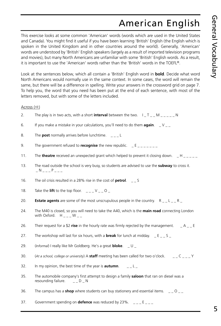## [American English](#page-4-1)

<span id="page-6-0"></span>This exercise looks at some common 'American' words (words which are used in the United States and Canada). You might find it useful if you have been learning 'British' English (the English which is spoken in the United Kingdom and in other countries around the world). Generally, 'American' words are understood by 'British' English speakers (largely as a result of imported television programs and movies), but many North Americans are unfamiliar with some 'British' English words. As a result, it is important to use the 'American' words rather than the 'British' words in the TOEFL®.

Look at the sentences below, which all contain a 'British' English word in **bold**. Decide what word North Americans would normally use in the same context. In some cases, the word will remain the same, but there will be a difference in spelling. Write your answers in the crossword grid on page 7. To help you, the word that you need has been put at the end of each sentence, with most of the letters removed, but with some of the letters included.

#### Across  $(\Rightarrow)$

- 2. The play is in two acts, with a short **interval** between the two.  $I I I = M I = -I N$
- 6. If you make a mistake in your calculations, you'll need to do them **again**. \_ V \_ \_
- 8. The **post** normally arrives before lunchtime. \_\_\_ L
- 9. The government refused to **recognise** the new republic.  $E = 1 1 1$
- 11. The **theatre** received an unexpected grant which helped to prevent it closing down. H
- 13. The road outside the school is very busy, so students are advised to use the **subway** to cross it.  $N_{---} P_{---}$
- 16. The oil crisis resulted in a 28% rise in the cost of **petrol**.  $\qquad \qquad = 5$
- 18. Take the **lift** to the top floor.  $\begin{bmatrix} 2 & 0 \\ 0 & 1 \end{bmatrix}$
- 20. **Estate agents** are some of the most unscrupulous people in the country. R L R
- 24. The M40 is closed, so you will need to take the A40, which is the **main road** connecting London with Oxford.  $H_{--}$  W  $_{--}$
- 26. Their request for a \$2 **rise** in the hourly rate was firmly rejected by the management. \_ A \_ \_ E
- 27. The workshop will last for six hours, with a **break** for lunch at midday.  $E = S =$
- 29. (*Informal*) I really like Mr Goldberg. He's a great **bloke**. \_ U \_
- 30. (*At a school, college or university*) A **staff** meeting has been called for two o'clock. \_ \_ C \_ \_ \_ Y
- 32. In my opinion, the best time of the year is **autumn**.  $\angle L = L$
- 35. The automobile company's first attempt to design a family **saloon** that ran on diesel was a resounding failure.  $\angle$  \_ D \_ N
- 36. The campus has a **shop** where students can buy stationery and essential items. \_ \_ O \_ \_

37. Government spending on **defence** was reduced by 23%. \_\_\_\_E\_\_\_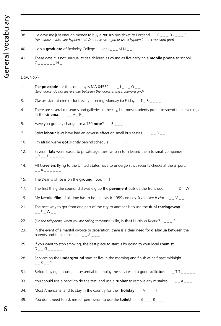- 38. He gave me just enough money to buy a **return** bus ticket to Portland. R D P (*two words, which are hyphenated. Do not leave a gap or use a hyphen in the crossword grid*)
- 40. He's a **graduate** of Berkeley College. (an) \_\_\_ M N \_\_
- 41. These days it is not unusual to see children as young as five carrying a **mobile phone** to school.  $C_{---} - N_{-}$

#### Down (Ø)

- 1. The **postcode** for the company is MA 04532.  $\begin{bmatrix} 1 \\ -1 \end{bmatrix}$ (*two words: do not leave a gap between the words in the crossword grid*)
- 3. Classes start at nine o'clock every morning Monday **to** Friday. T \_ R \_ \_ \_ \_
- 4. There are several museums and galleries in the city, but most students prefer to spend their evenings at the **cinema**.  $\qquad \_V \_V \_E$
- 5. Have you got any change for a \$20 **note**? B
- 7. Strict **labour** laws have had an adverse effect on small businesses.  $\qquad \qquad = B \qquad \qquad$
- 10. I'm afraid we've **got** slightly behind schedule. \_ \_ T T \_ \_
- 12. Several **flats** were leased to private agencies, who in turn leased them to small companies.  $P$  \_ \_ T \_ \_ \_ \_ \_
- 14. All **travelers** flying to the United States have to undergo strict security checks at the airport. \_ \_ A \_ \_ \_ \_ \_ \_
- 15. The Dean's office is on the **ground** floor. \_ I \_ \_ \_
- 17. The first thing the council did was dig up the **pavement** outside the front door. \_\_ \_ D \_ W \_ \_ \_
- 19. My favorite **film** of all time has to be the classic 1959 comedy *Some Like It Hot*. \_ \_ V \_ \_
- 21. The best way to get from one part of the city to another is to use the **dual carriageway**.  $=$   $E - W -$
- 22. (*On the telephone, when you are calling someone*) Hello, is **that** Harrison Keane? \_ \_ \_ S
- 23. In the event of a marital divorce or separation, there is a clear need for **dialogue** between the parents and their children.  $\angle A = -$
- 25. If you want to stop smoking, the best place to start is by going to your local **chemist**.  $D_{--}$  G  $_{---}$   $_{---}$
- 28. Services on the **underground** start at five in the morning and finish at half past midnight.  $_{-\,\text{--}}$  B  $_{-\,\text{--}}$  Y
- 31. Before buying a house, it is essential to employ the services of a good **solicitor**. \_ T T \_ \_ \_ \_ \_
- 33. You should use a pencil to do the test, and use a **rubber** to remove any mistakes.  $\begin{bmatrix} 2 A & -I \end{bmatrix}$
- 34. Most Americans tend to stay in the country for their **holiday**.  $V_{-} = T_{-}$
- 39. You don't need to ask me for permission to use the **toilet**!  $B_{--}R_{--}$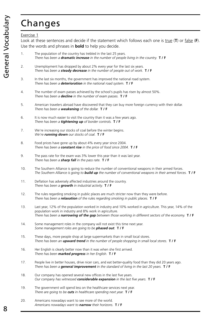## <span id="page-9-0"></span>[Changes](#page-4-0)

#### Exercise 1

Look at these sentences and decide if the statement which follows each one is true (**T**) or false (**F**). Use the words and phrases in **bold** to help you decide.

- 1. The population of the country has trebled in the last 25 years.  *There has been a dramatic increase in the number of people living in the country.* **T / F**
- 2. Unemployment has dropped by about 2% every year for the last six years.  *There has been a steady decrease in the number of people out of work.* **T / F**
- 3. In the last six months, the government has improved the national road system.  *There has been a deterioration in the national road system.* **T / F**
- 4. The number of exam passes achieved by the school's pupils has risen by almost 50%.  *There has been a decline in the number of exam passes.* **T / F**
- 5. American travelers abroad have discovered that they can buy more foreign currency with their dollar.  *There has been a weakening of the dollar.* **T / F**
- 6. It is now much easier to visit the country than it was a few years ago.  *There has been a tightening up of border controls.* **T / F**
- 7. We're increasing our stocks of coal before the winter begins.  *We're running down our stocks of coal.* **T / F**
- 8. Food prices have gone up by about 4% every year since 2004.  *There has been a constant rise in the price of food since 2004.* **T / F**
- 9. The pass rate for the exam was 3% lower this year than it was last year.  *There has been a sharp fall in the pass rate.* **T / F**
- 10. The Southern Alliance is going to reduce the number of conventional weapons in their armed forces.  *The Southern Alliance is going to build up the number of conventional weapons in their armed forces.* **T / F**
- 11. Deflation has adversely affected industries around the country.  *There has been a growth in industrial activity.* **T / F**
- 12. The rules regarding smoking in public places are much stricter now than they were before.  *There has been a relaxation of the rules regarding smoking in public places.* **T / F**
- 13. Last year, 12% of the population worked in industry and 10% worked in agriculture. This year, 14% of the population work in industry and 8% work in agriculture.  *There has been a narrowing of the gap between those working in different sectors of the economy.* **T / F**
- 14. Some management roles in the company will not exist this time next year.  *Some management roles are going to be phased out.* **T / F**
- 15. These days, more people shop at large supermarkets than in small local stores.  *There has been an upward trend in the number of people shopping in small local stores.* **T / F**
- 16. Her English is clearly better now than it was when she first arrived.  *There has been marked progress in her English.* **T / F**
- 17. People live in better houses, drive nicer cars, and eat better-quality food than they did 20 years ago.  *There has been a general improvement in the standard of living in the last 20 years.* **T / F**
- 18. Our company has opened several new offices in the last five years.  *Our company has witnessed considerable expansion in the last five years.* **T / F**
- 19. The government will spend less on the healthcare services next year.  *There are going to be cuts in healthcare spending next year.* **T / F**
- 20. Americans nowadays want to see more of the world.  *Americans nowadays want to narrow their horizons.* **T / F**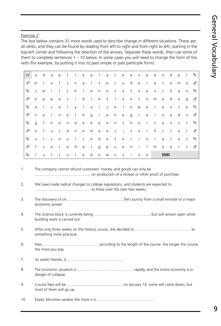#### Exercise 2

The box below contains 31 more words used to describe change in different situations. These are all verbs, and they can be found by reading from left to right and from right to left, starting in the top-left corner and following the direction of the arrows. Separate these words, then use some of them to complete sentences 1 – 10 below. In some cases you will need to change the form of the verb (for example, by putting it into its past simple or past participle form).

| $\Rightarrow$ |              | adaptre  |              |      |          |     |   |                      |     |  |                |                 |   |     | placeexpand |            |              | p r   |              | ₩             |
|---------------|--------------|----------|--------------|------|----------|-----|---|----------------------|-----|--|----------------|-----------------|---|-----|-------------|------------|--------------|-------|--------------|---------------|
| ∉             | m            |          |              |      |          |     |   | rofsnartecu deretomo |     |  |                |                 |   |     |             |            |              |       |              | ℐ             |
| $\phi$        |              | S W      |              |      |          |     |   | itchrenovateexcha    |     |  |                |                 |   |     |             |            |              |       | n            | $\mathcal{F}$ |
| ∉             |              | e p p    |              |      |          |     |   | asid retlaetome      |     |  |                |                 |   |     |             |            | $\mathsf{d}$ | e     | g            | ᢞ             |
| $\phi$        |              | a r v    |              |      |          |     |   | ary raise lowere     |     |  |                |                 |   |     |             |            |              | x t e |              | $\mathcal{F}$ |
| ∉             |              |          |              |      |          |     |   | nelneth giehegr      |     |  |                |                 |   |     | a In        |            |              | e d   | n            | ᢞ             |
| $\phi$        |              |          |              |      |          |     |   | gthendeepenshorte    |     |  |                |                 |   |     |             |            |              | n s t |              | $\mathcal{F}$ |
| ∉             | $\circ$      | t u      |              | cd   |          | n e |   |                      |     |  |                |                 |   |     | maesiverhct |            |              | e     | $\mathsf{r}$ | ℐ             |
| $\phi$        | $\mathsf{u}$ | t sou    |              |      |          |     |   | rcedeteriorat        |     |  |                |                 |   |     |             |            |              | e —   | $\mathsf{S}$ | ₩             |
| ∉             |              | tsered   |              |      |          |     |   | argpuenilmaert ال    |     |  |                |                 |   |     |             |            |              |       |              |               |
| Ъ             | $\mathsf{r}$ | <b>u</b> | $\mathsf{C}$ | $-t$ | <b>u</b> | r   | e | d                    | O W |  | n <sub>s</sub> | $\sim$ i $\sim$ | Z | e e |             | <b>END</b> |              |       |              |               |

- 1. The company cannot refund customers' money, and goods can only be .................................................... on production of a receipt or other proof of purchase. 2. We have made radical changes to college regulations, and students are expected to .................................................... to these over the next few weeks.
- 3. The discovery of oil .................................................... the country from a small emirate to a major economic power.
- 4. The Science block is currently being ...................................................., but will remain open while building work is carried out.
- 5. After only three weeks on the History course, she decided to .................................................... to something more practical.
- 6. Fees .................................................... according to the length of the course: the longer the course, the more you pay.
- 7. As water freezes, it .....................................................
- 8. The economic situation is .................................................... rapidly, and the entire economy is in danger of collapse.
- 9. Course fees will be .................................................... on January 14: some will come down, but most of them will go up.

10. Elastic becomes weaker the more it is .....................................................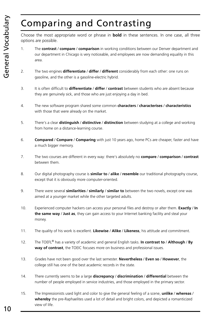## <span id="page-11-0"></span>[Comparing and Contrasting](#page-4-0)

Choose the most appropriate word or phrase in **bold** in these sentences. In one case, all three options are possible.

- 1. The **contrast** / **compare** / **comparison** in working conditions between our Denver department and our department in Chicago is very noticeable, and employees are now demanding equality in this area.
- 2. The two engines **differentiate** / **differ** / **different** considerably from each other: one runs on gasoline, and the other is a gasoline-electric hybrid.
- 3. It is often difficult to **differentiate** / **differ** / **contrast** between students who are absent because they are genuinely sick, and those who are just enjoying a day in bed.
- 4. The new software program shared some common **characters** / **characterises** / **characteristics** with those that were already on the market.
- 5. There's a clear **distinguish** / **distinctive** / **distinction** between studying at a college and working from home on a distance-learning course.
- 6. **Compared** / **Compare** / **Comparing** with just 10 years ago, home PCs are cheaper, faster and have a much bigger memory.
- 7. The two courses are different in every way: there's absolutely no **compare** / **comparison** / **contrast** between them.
- 8. Our digital photography course is **similar to** / **alike** / **resemble** our traditional photography course, except that it is obviously more computer-oriented.
- 9. There were several **similarities** / **similarly** / **similar to** between the two novels, except one was aimed at a younger market while the other targeted adults.
- 10. Experienced computer hackers can access your personal files and destroy or alter them. **Exactly** / **In the same way** / **Just as**, they can gain access to your Internet banking facility and steal your money.
- 11. The quality of his work is excellent. **Likewise** / **Alike** / **Likeness**, his attitude and commitment.
- 12. The TOEFL® has a variety of academic and general English tasks. **In contrast to** / **Although** / **By way of contrast**, the TOEIC focuses more on business and professional issues.
- 13. Grades have not been good over the last semester. **Nevertheless** / **Even so** / **However**, the college still has one of the best academic records in the state.
- 14. There currently seems to be a large **discrepancy** / **discrimination** / **differential** between the number of people employed in service industries, and those employed in the primary sector.
- 15. The Impressionists used light and color to give the general feeling of a scene, **unlike** / **whereas** / **whereby** the pre-Raphaelites used a lot of detail and bright colors, and depicted a romanticized view of life.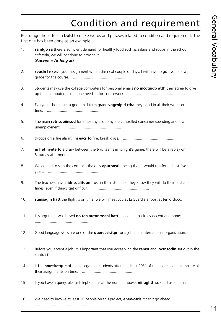## [Condition and requirement](#page-4-1)

<span id="page-12-0"></span>Rearrange the letters in **bold** to make words and phrases related to condition and requirement. The first one has been done as an example.

- 1. **sa nlgo sa** there is sufficient demand for healthy food such as salads and soups in the school cafeteria, we will continue to provide it. (**Answer =** *As long as*)
- 2. **seusln** I receive your assignment within the next couple of days, I will have to give you a lower grade for the course. .....................................................
- 3. Students may use the college computers for personal emails **no incotnido atth** they agree to give up their computer if someone needs it for coursework. .....................................................
- 4. Everyone should get a good mid-term grade **vogrnipid ttha** they hand in all their work on time. .....................................................
- 5. The main **retncopiinsod** for a healthy economy are controlled consumer spending and low unemployment. .....................................................
- 6. (Notice on a fire alarm): **ni eacs fo** fire, break glass. .....................................................
- 7. **ni het nvete fo** a draw between the two teams in tonight's game, there will be a replay on Saturday afternoon. .....................................................
- 8. We agreed to sign the contract, the only **aputonstili** being that it would run for at least five years. .....................................................
- 9. The teachers have **nidncoalitoun** trust in their students: they know they will do their best at all times, even if things get difficult. .....................................................
- 10. **sumsagin hatt** the flight is on time, we will meet you at LaGuardia airport at ten o'clock. .....................................................
- 11. His argument was based **no teh autonmsspi hatt** people are basically decent and honest. .....................................................
- 12. Good language skills are one of the **quereesisitpr** for a job in an international organization. .....................................................
- 13. Before you accept a job, it is important that you agree with the **remst** and **ioctnsodin** set out in the contract. .....................................................
- 14. It is a **nmreiretque** of the college that students attend at least 90% of their course and complete all their assignments on time. .....................................................
- 15. If you have a query, please telephone us at the number above. **niifagl ttha**, send us an email. .....................................................
- 16. We need to involve at least 20 people on this project, **ehewotris** it can't go ahead. .....................................................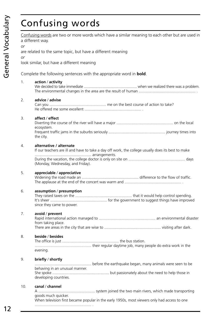## <span id="page-13-0"></span>[Confusing words](#page-4-0)

| <b>or</b> | Confusing words are two or more words which have a similar meaning to each other but are used in<br>a different way.                                              |
|-----------|-------------------------------------------------------------------------------------------------------------------------------------------------------------------|
| <b>or</b> | are related to the same topic, but have a different meaning                                                                                                       |
|           | look similar, but have a different meaning                                                                                                                        |
|           | Complete the following sentences with the appropriate word in <b>bold</b> .                                                                                       |
| 1.        | action / activity                                                                                                                                                 |
| 2.        | advice / advise                                                                                                                                                   |
| 3.        | affect / effect<br>ecosystem.<br>the city.                                                                                                                        |
| 4.        | alternative / alternate<br>If our teachers are ill and have to take a day off work, the college usually does its best to make<br>(Monday, Wednesday, and Friday). |
| 5.        | appreciable / appreciative                                                                                                                                        |
| 6.        | assumption / presumption<br>since they came to power.                                                                                                             |
| 7.        | avoid / prevent<br>from taking place.                                                                                                                             |
| 8.        | beside / besides<br>evening.                                                                                                                                      |
| 9.        | briefly / shortly<br>behaving in an unusual manner.<br>developing countries.                                                                                      |
| 10.       | canal / channel<br>goods much quicker.<br>When television first became popular in the early 1950s, most viewers only had access to one                            |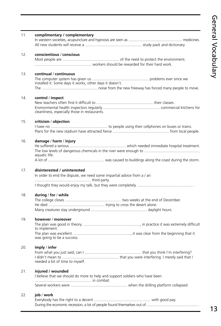| 11. | complimentary / complementary                                                                          |
|-----|--------------------------------------------------------------------------------------------------------|
|     |                                                                                                        |
| 12. | conscientious / conscious                                                                              |
|     |                                                                                                        |
| 13. | continual / continuous                                                                                 |
|     | installed it. Some days it works, other days it doesn't.                                               |
| 14. | control / inspect                                                                                      |
|     |                                                                                                        |
|     | cleanliness, especially those in restaurants.                                                          |
| 15. | criticism / objection                                                                                  |
|     |                                                                                                        |
| 16. | damage / harm / injury                                                                                 |
|     |                                                                                                        |
|     | aquatic life.                                                                                          |
| 17. | disinterested / uninterested<br>In order to end the dispute, we need some impartial advice from a / an |
| 18. | during / for / while                                                                                   |
|     |                                                                                                        |
|     |                                                                                                        |
|     |                                                                                                        |
| 19. | however / moreover                                                                                     |
|     | to implement.                                                                                          |
|     | was going to be a success.                                                                             |
| 20. | imply / infer                                                                                          |
|     |                                                                                                        |
|     | needed a bit of time to myself.                                                                        |
| 21. | injured / wounded<br>I believe that we should do more to help and support soldiers who have been       |
|     |                                                                                                        |
|     |                                                                                                        |
| 22. | job / work                                                                                             |
|     |                                                                                                        |
|     |                                                                                                        |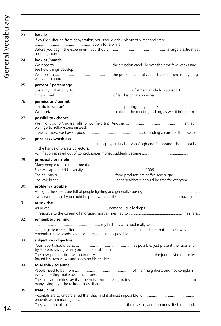| 23. | lay / lie<br>If you're suffering from dehydration, you should drink plenty of water and sit or                                |  |  |  |  |  |  |  |
|-----|-------------------------------------------------------------------------------------------------------------------------------|--|--|--|--|--|--|--|
|     | on the ground.                                                                                                                |  |  |  |  |  |  |  |
| 24. | look at / watch<br>see how things develop.                                                                                    |  |  |  |  |  |  |  |
| 25. | we can do about it.                                                                                                           |  |  |  |  |  |  |  |
|     | percent / percentage                                                                                                          |  |  |  |  |  |  |  |
| 26. | permission / permit                                                                                                           |  |  |  |  |  |  |  |
| 27. | possibility / chance                                                                                                          |  |  |  |  |  |  |  |
|     | we'll go to Yellowstone instead.                                                                                              |  |  |  |  |  |  |  |
| 28. | priceless / worthless                                                                                                         |  |  |  |  |  |  |  |
|     | in the hands of private collectors.                                                                                           |  |  |  |  |  |  |  |
| 29. | principal / principle                                                                                                         |  |  |  |  |  |  |  |
| 30. | problem / trouble                                                                                                             |  |  |  |  |  |  |  |
| 31. | raise / rise                                                                                                                  |  |  |  |  |  |  |  |
| 32. | remember / remind<br>remember new words is to use them as much as possible.                                                   |  |  |  |  |  |  |  |
| 33. | subjective / objective<br>try to avoid saying what you think about them.<br>forced his own views and ideas on his readership. |  |  |  |  |  |  |  |
| 34. | tolerable / tolerant<br>every time they make too much noise.<br>many living near the railroad lines disagree.                 |  |  |  |  |  |  |  |
| 35. | treat / cure                                                                                                                  |  |  |  |  |  |  |  |
|     | patients with minor injuries.                                                                                                 |  |  |  |  |  |  |  |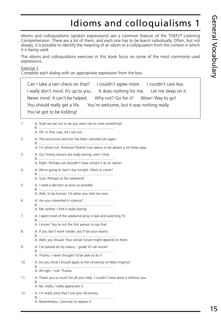## [Idioms and colloquialisms 1](#page-4-1)

<span id="page-16-0"></span>Idioms and colloquialisms (spoken expressions) are a common feature of the TOEFL® Listening Comprehension. There are a lot of them, and each one has to be learnt individually. Often, but not always, it is possible to identify the meaning of an idiom or a colloquialism from the context in which it is being used.

The idioms and colloquialisms exercises in this book focus on some of the most commonly used expressions.

#### Exercise 1

Complete each dialog with an appropriate expression from the box.

Can I take a rain check on that? I couldn't agree more. I couldn't care less. I really don't mind. It's up to you. It does nothing for me. Let me sleep on it. Never mind. It can't be helped. Why not? Go for it! Wow! Way to go! You should really get a life. You're welcome, but it was nothing really. You've got to be kidding!

- 1. A. Shall we eat out or do you want me to cook something? B. ...................................................................... A. OK. In that case, let's eat out.
- 2. A. The economics seminar has been canceled yet again. B. ...................................................................... A. I'm afraid not. Professor Parkhill sure seems to be absent a lot these days.
- 3. A. Our history lessons are really boring, aren't they. B. ...................................................................... A. Right. Perhaps we shouldn't have chosen it as an option.
- 4. A. We're going to Sam's bar tonight. Want to come? B. ...................................................................... A. Sure. Perhaps at the weekend?
- 5. A. I need a decision as soon as possible. B. ...................................................................... A. Well, to be honest, I'd rather you told me now.
- 6. A. Are you interested in science? B. ...................................................................... A. Me neither. I find it really boring.
- 7. A. I spent most of the weekend lying in bed and watching TV. B. ...................................................................... A. I know! You're not the first person to say that.
- 8. A. If you don't work harder, you'll fail your exams. B. ...................................................................... A. Well, you should. Your whole future might depend on them.
- 9. A. I've passed all my exams grade A's all round! B. ......................................................................
	- A. Thanks. I never thought I'd be able to do it.
- 10. A. Do you think I should apply to the University of West Virginia? B. ...................................................................... A. All right, I will. Thanks.
- 11. A. Thank you so much for all your help. I couldn't have done it without you. B. ...................................................................... A. No, really, I really appreciate it.
- 12. A. I'm really sorry that I lost your dictionary. B. ...................................................................... A. Nevertheless, I promise to replace it.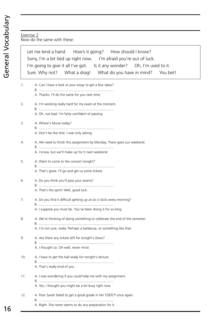# General Vocabulary General Vocabulary

|     | Exercise 2<br>Now do the same with these:                                                                                                                                                                                                                                     |
|-----|-------------------------------------------------------------------------------------------------------------------------------------------------------------------------------------------------------------------------------------------------------------------------------|
|     | Let me lend a hand. How's it going? How should I know?<br>Sorry, I'm a bit tied up right now. I'm afraid you're out of luck.<br>I'm going to give it all I've got. Is it any wonder? Oh, I'm used to it.<br>Sure. Why not? What a drag! What do you have in mind?<br>You bet! |
| 1.  | A. Can I have a look at your essay to get a few ideas?<br>A. Thanks. I'll do the same for you next time.                                                                                                                                                                      |
| 2.  | A. I'm working really hard for my exam at the moment.                                                                                                                                                                                                                         |
| 3.  | A. Oh, not bad. I'm fairly confident of passing.<br>A. Where's Murai today?                                                                                                                                                                                                   |
| 4.  | A. Don't be like that. I was only asking.<br>A. We need to finish this assignment by Monday. There goes our weekend.                                                                                                                                                          |
| 5.  | A. I know, but we'll make up for it next weekend.<br>A. Want to come to the concert tonight?                                                                                                                                                                                  |
| 6.  | A. That's great. I'll go and get us some tickets.<br>A. Do you think you'll pass your exams?                                                                                                                                                                                  |
| 7.  | A. That's the spirit! Well, good luck.<br>A. Do you find it difficult getting up at six o'clock every morning?<br>A. I suppose you must be. You've been doing it for so long.                                                                                                 |
| 8.  | A. We're thinking of doing something to celebrate the end of the semester.<br>A. I'm not sure, really. Perhaps a barbecue, or something like that.                                                                                                                            |
| 9.  | A. Are there any tickets left for tonight's show?                                                                                                                                                                                                                             |
| 10. | A. I thought so. Oh well, never mind.<br>A. I have to get the hall ready for tonight's lecture.                                                                                                                                                                               |
| 11. | A. That's really kind of you.<br>A. I was wondering if you could help me with my assignment.                                                                                                                                                                                  |
| 12. | A. Yes, I thought you might be a bit busy right now.<br>A. Poor Sarah failed to get a good grade in her TOEFL® once again.<br>A. Right. She never seems to do any preparation for it.                                                                                         |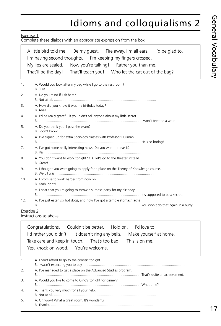## [Idioms and colloquialisms 2](#page-4-1)

<span id="page-18-0"></span>

| Exercise 1 | Complete these dialogs with an appropriate expression from the box.                                                                                                                                        |
|------------|------------------------------------------------------------------------------------------------------------------------------------------------------------------------------------------------------------|
|            | A little bird told me. Be my guest. Fire away, I'm all ears. I'd be glad to.<br>I'm having second thoughts. I'm keeping my fingers crossed.<br>My lips are sealed. Now you're talking! Rather you than me. |
|            | That'll be the day!<br>That'll teach you! Who let the cat out of the bag?                                                                                                                                  |
| 1.         | A. Would you look after my bag while I go to the rest room?                                                                                                                                                |
| 2.         | A. Do you mind if I sit here?                                                                                                                                                                              |
| 3.         | A. How did you know it was my birthday today?                                                                                                                                                              |
| 4.         | A. I'd be really grateful if you didn't tell anyone about my little secret.                                                                                                                                |
| 5.         | A. Do you think you'll pass the exam?                                                                                                                                                                      |
| 6.         | A. I've signed up for extra Sociology classes with Professor Dullman.                                                                                                                                      |
| 7.         | A. I've got some really interesting news. Do you want to hear it?                                                                                                                                          |
| 8.         | A. You don't want to work tonight? OK, let's go to the theater instead.                                                                                                                                    |
| 9.         | A. I thought you were going to apply for a place on the Theory of Knowledge course.                                                                                                                        |
| 10.        | A. I promise to work harder from now on.                                                                                                                                                                   |
| 11.        | A. I hear that you're going to throw a surprise party for my birthday.                                                                                                                                     |
| 12.        | A. I've just eaten six hot dogs, and now I've got a terrible stomach ache.<br>R                                                                                                                            |
| Exercise 2 | Instructions as above.                                                                                                                                                                                     |
|            | Congratulations. Couldn't be better. Hold on. I'd love to.                                                                                                                                                 |
|            | I'd rather you didn't. It doesn't ring any bells. Make yourself at home.                                                                                                                                   |
|            | Take care and keep in touch. That's too bad. This is on me.<br>Yes, knock on wood. You're welcome.                                                                                                         |
| 1.         | A. I can't afford to go to the concert tonight.                                                                                                                                                            |
| 2.         | A. I've managed to get a place on the Advanced Studies program.                                                                                                                                            |
| 3.         | A. Would you like to come to Gino's tonight for dinner?                                                                                                                                                    |
| 4.         | A. Thank you very much for all your help.                                                                                                                                                                  |
| 5.         | A. Oh wow! What a great room. It's wonderful.                                                                                                                                                              |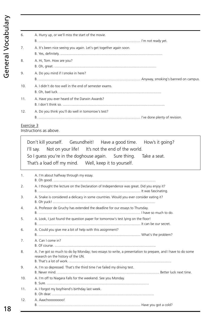| 6.              | A. Hurry up, or we'll miss the start of the movie.                 |  |
|-----------------|--------------------------------------------------------------------|--|
| 7.              | A. It's been nice seeing you again. Let's get together again soon. |  |
| 8.              | A. Hi, Tom. How are you?                                           |  |
| 9.              | A. Do you mind if I smoke in here?                                 |  |
| 10 <sub>1</sub> | A. I didn't do too well in the end of semester exams.              |  |
| 11.             | A. Have you ever heard of the Darwin Awards?                       |  |
| 12.             | A. Do you think you'll do well in tomorrow's test?                 |  |
| Exercise 3      |                                                                    |  |

Instructions as above.

Don't kill yourself. Gesundheit! Have a good time. How's it going? I'll say. Not on your life! It's not the end of the world. So I guess you're in the doghouse again. Sure thing. Take a seat. That's a load off my mind. Well, keep it to yourself.

| $\mathbf{1}$ . | A. I'm about halfway through my essay.                                                                                                           |  |
|----------------|--------------------------------------------------------------------------------------------------------------------------------------------------|--|
| 2.             | A. I thought the lecture on the Declaration of Independence was great. Did you enjoy it?                                                         |  |
| 3.             | A. Snake is considered a delicacy in some countries. Would you ever consider eating it?                                                          |  |
| 4.             | A. Professor de Gruchy has extended the deadline for our essays to Thursday.                                                                     |  |
| 5.             | A. Look, I just found the question paper for tomorrow's test lying on the floor!                                                                 |  |
| 6.             | A. Could you give me a bit of help with this assignment?                                                                                         |  |
| 7.             | A. Can I come in?                                                                                                                                |  |
| 8.             | A. I've got so much to do by Monday; two essays to write, a presentation to prepare, and I have to do some<br>research on the history of the UN. |  |
| 9.             | A. I'm so depressed. That's the third time I've failed my driving test.                                                                          |  |
| 10.            | A. I'm off to Niagara Falls for the weekend. See you Monday.                                                                                     |  |
| 11.            | A. I forgot my boyfriend's birthday last week.                                                                                                   |  |
| 12.            | A. Aaachoooooooo!                                                                                                                                |  |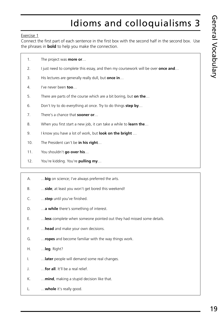## [Idioms and colloquialisms 3](#page-4-1)

#### <span id="page-20-0"></span>Exercise 1

Connect the first part of each sentence in the first box with the second half in the second box. Use the phrases in **bold** to help you make the connection.

- 1. The project was **more or**…
- 2. I just need to complete this essay, and then my coursework will be over **once and**…
- 3. His lectures are generally really dull, but **once in**…
- 4. I've never been **too**…
- 5. There are parts of the course which are a bit boring, but **on the**…
- 6. Don't try to do everything at once. Try to do things **step by**…
- 7. There's a chance that **sooner or**…
- 8. When you first start a new job, it can take a while to **learn the**…
- 9. I know you have a lot of work, but **look on the bright** …
- 10. The President can't be **in his right**…
- 11. You shouldn't **go over his**…
- 12. You're kidding. You're **pulling my**…
- A. …**big** on science; I've always preferred the arts.
- B. …**side**; at least you won't get bored this weekend!
- C. …**step** until you've finished.
- D. …**a while** there's something of interest.
- E. …**less** complete when someone pointed out they had missed some details.
- F. …**head** and make your own decisions.
- G. …**ropes** and become familiar with the way things work.
- H. …**leg**. Right?
- I. …**later** people will demand some real changes.
- J. …**for all**. It'll be a real relief.
- K. …**mind**, making a stupid decision like that.
- L. …**whole** it's really good.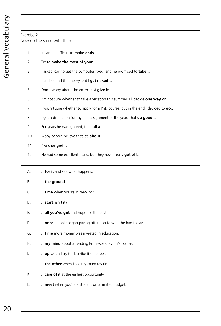## Exercise 2

Now do the same with these.

- 1. It can be difficult to **make ends**…
- 2. Try to **make the most of your**…
- 3. I asked Ron to get the computer fixed, and he promised to **take**…
- 4. I understand the theory, but I **get mixed**…
- 5. Don't worry about the exam. Just **give it**…
- 6. I'm not sure whether to take a vacation this summer. I'll decide **one way or**…
- 7. I wasn't sure whether to apply for a PhD course, but in the end I decided to **go**…
- 8. I got a distinction for my first assignment of the year. That's **a good**…
- 9. For years he was ignored, then **all at**…
- 10. Many people believe that it's **about**…
- 11. I've **changed**…
- 12. He had some excellent plans, but they never really **got off**…
- A. …**for it** and see what happens.
- B. …**the ground**.
- C. …**time** when you're in New York.
- D. …**start**, isn't it?
- E. …**all you've got** and hope for the best.
- F. …**once**, people began paying attention to what he had to say.
- G. …**time** more money was invested in education.
- H. …**my mind** about attending Professor Clayton's course.
- I. …**up** when I try to describe it on paper.
- J. …**the other** when I see my exam results.
- K. …**care of** it at the earliest opportunity.
- L. …**meet** when you're a student on a limited budget.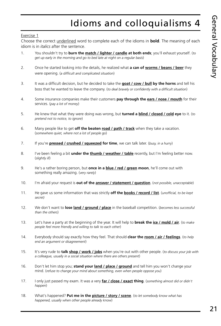## [Idioms and colloquialisms 4](#page-4-1)

#### <span id="page-22-0"></span>Exercise 1

Choose the correct underlined word to complete each of the idioms in **bold**. The meaning of each idiom is in *italics* after the sentence.

- 1. You shouldn't try to **burn the match / lighter / candle at both ends**; you'll exhaust yourself. (*to get up early in the morning and go to bed late at night on a regular basis*)
- 2. Once he started looking into the details, he realized what **a can of worms / beans / beer** they were opening. (*a difficult and complicated situation*)
- 3. It was a difficult decision, but he decided to take the **goat / cow / bull by the horns** and tell his boss that he wanted to leave the company. (*to deal bravely or confidently with a difficult situation*)
- 4. Some insurance companies make their customers **pay through the ears / nose / mouth** for their services. (*pay a lot of money*)
- 5. He knew that what they were doing was wrong, but **turned a blind / closed / cold eye** to it. (*to pretend not to notice, to ignore*)
- 6. Many people like to get **off the beaten road / path / track** when they take a vacation. (*somewhere quiet, where not a lot of people go*)
- 7. If you're **pressed / crushed / squeezed for time**, we can talk later. (*busy, in a hurry*)
- 8. I've been feeling a bit **under the thumb / weather / table** recently, but I'm feeling better now. (*slightly ill*)
- 9. He's a rather boring person, but **once in a blue / red / green moon**, he'll come out with something really amazing. (*very rarely*)
- 10. I'm afraid your request is **out of the answer / statement / question**. (*not possible, unacceptable*)
- 11. He gave us some information that was strictly **off the books / record / list**. (*unofficial, to be kept secret)*
- 12. We don't want to **lose land / ground / place** in the baseball competition. (*becomes less successful than the others*)
- 13. Let's have a party at the beginning of the year. It will help to **break the ice / mold / air**. (*to make people feel more friendly and willing to talk to each other*)
- 14. Everybody should say exactly how they feel. That should **clear the room / air / feelings**. (*to help end an argument or disagreement*)
- 15. It's very rude to **talk shop / work / jobs** when you're out with other people. (*to discuss your job with a colleague, usually in a social situation where there are others present*)
- 16. Don't let him stop you; **stand your land / place / ground** and tell him you won't change your mind. (*refuse to change your mind about something, even when people oppose you*)
- 17. I only just passed my exam. It was a very **far / close / exact thing**. (*something almost did or didn't happen*)
- 18. What's happened? **Put me in the picture / story / scene**. (*to let somebody know what has happened, usually when other people already know*)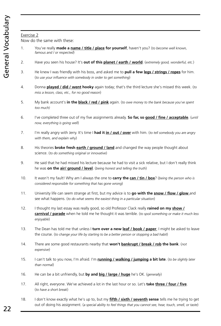#### Exercise 2 Now do the same with these:

- 1. You've really **made a name / title / place for yourself**, haven't you? (*to become well known, famous and / or respected*)
- 2. Have you seen his house? It's **out of this planet / earth / world**. (*extremely good, wonderful, etc.*)
- 3. He knew I was friendly with his boss, and asked me to **pull a few legs / strings / ropes** for him. (*to use your influence with somebody in order to get something*)
- 4. Donna **played / did / went hooky** again today; that's the third lecture she's missed this week. (*to miss a lesson, class, etc., for no good reason*)
- 5. My bank account's **in the black / red / pink** again. (*to owe money to the bank because you've spent too much)*
- 6. I've completed three out of my five assignments already. **So far, so good / fine / acceptable**. (*until now, everything is going well*)
- 7. I'm really angry with Jerry. It's time I **had it in / out / over** with him. (*to tell somebody you are angry with them, and explain why*)
- 8. His theories **broke fresh earth / ground / land** and changed the way people thought about science. (*to do something original or innovative*)
- 9. He said that he had missed his lecture because he had to visit a sick relative, but I don't really think he was **on the air/ ground / level**. (*being honest and telling the truth*)
- 10. It wasn't my fault! Why am I always the one to **carry the can / tin / box**? (*being the person who is considered responsible for something that has gone wrong*)
- 11. University life can seem strange at first, but my advice is to **go with the snow / flow / glow** and see what happens. (*to do what seems the easiest thing in a particular situation*)
- 12. I thought my last essay was really good, so old Professor Clack really **rained on my show / carnival / parade** when he told me he thought it was terrible. (*to spoil something or make it much less enjoyable*)
- 13. The Dean has told me that unless I **turn over a new leaf / book / paper**, I might be asked to leave the course. (*to change your life by starting to be a better person or stopping a bad habit*)
- 14. There are some good restaurants nearby that **won't bankrupt / break / rob the bank**. (*not expensive*)
- 15. I can't talk to you now, I'm afraid. I'm **running / walking / jumping a bit late**. (*to be slightly later than normal*)
- 16. He can be a bit unfriendly, but **by and big / large / huge** he's OK. (*generally*)
- 17. All right, everyone. We've achieved a lot in the last hour or so. Let's **take three / four / five**. (*to have a short break*)
- 18. I don't know exactly what he's up to, but my **fifth / sixth / seventh sense** tells me he trying to get out of doing his assignment. (*a special ability to feel things that you cannot see, hear, touch, smell, or taste*)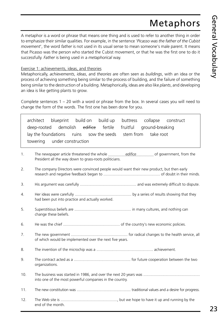## [Metaphors](#page-4-1)

<span id="page-24-0"></span>A metaphor is a word or phrase that means one thing and is used to refer to another thing in order to emphasize their similar qualities. For example, in the sentence '*Picasso was the father of the Cubist movement*', the word *father* is not used in its usual sense to mean someone's male parent. It means that Picasso was the person who started the Cubist movement, or that he was the first one to do it successfully. *Father* is being used in a *metaphorical* way.

#### Exercise 1: achievements, ideas, and theories

Metaphorically, *achievements*, *ideas*, and *theories* are often seen as *buildings*, with an idea or the process of achieving something being similar to the process of building, and the failure of something being similar to the destruction of a building. Metaphorically, ideas are also like *plants*, and developing an idea is like getting plants to grow.

Complete sentences 1 – 20 with a word or phrase from the box. In several cases you will need to change the form of the words. The first one has been done for you.

|     | architect blueprint build on<br>build up<br>buttress collapse construct<br>deep-rooted demolish edifice<br>fertile<br>fruitful ground-breaking<br>lay the foundations ruins sow the seeds stem from<br>take root<br>under construction<br>towering |
|-----|----------------------------------------------------------------------------------------------------------------------------------------------------------------------------------------------------------------------------------------------------|
| 1.  | President all the way down to grass-roots politicians.                                                                                                                                                                                             |
| 2.  | The company Directors were convinced people would want their new product, but then early                                                                                                                                                           |
| 3.  |                                                                                                                                                                                                                                                    |
| 4.  | had been put into practice and actually worked.                                                                                                                                                                                                    |
| 5.  | change these beliefs.                                                                                                                                                                                                                              |
| 6.  |                                                                                                                                                                                                                                                    |
| 7.  | of which would be implemented over the next five years.                                                                                                                                                                                            |
| 8.  |                                                                                                                                                                                                                                                    |
| 9.  | organizations.                                                                                                                                                                                                                                     |
| 10. | into one of the most powerful companies in the country.                                                                                                                                                                                            |
| 11. |                                                                                                                                                                                                                                                    |
| 12. | end of the month.                                                                                                                                                                                                                                  |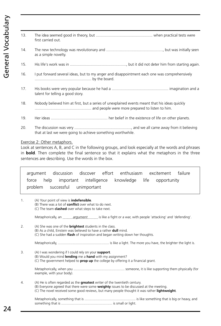| 13. | first carried out.                                                                            |
|-----|-----------------------------------------------------------------------------------------------|
| 14. | as a simple novelty.                                                                          |
| 15. |                                                                                               |
| 16. | I put forward several ideas, but to my anger and disappointment each one was comprehensively  |
| 17. | talent for telling a good story.                                                              |
| 18. | Nobody believed him at first, but a series of unexplained events meant that his ideas quickly |
| 19. |                                                                                               |
| 20. | that at last we were going to achieve something worthwhile.                                   |
|     | <b>Exercise 2: Other metaphors.</b>                                                           |

Look at sentences A, B, and C in the following groups, and look especially at the words and phrases in **bold**. Then complete the final sentence so that it explains what the metaphors in the three sentences are describing. Use the words in the box.

argument discussion discover effort enthusiasm excitement failure force help important intelligence knowledge life opportunity problem successful unimportant

1. (A) Your point of view is **indefensible**. (B) There was a lot of **conflict** over what to do next. (C) The team **clashed** over what steps to take next. Metaphorically, an .............. argument ............. is like a fight or a war, with people 'attacking' and 'defending'. 2. (A) She was one of the **brightest** students in the class. (B) As a child, Einstein was believed to have a rather **dull** mind. (C) She had a sudden **flash** of inspiration and began writing down her thoughts. Metaphorically, ..................................................... is like a light. The more you have, the brighter the light is. 3. (A) I was wondering if I could rely on your **support**. (B) Would you mind **lending** me a **hand** with my assignment? (C) The government helped to **prop up** the college by offering it a financial grant. Metaphorically, when you ..................................................... someone, it is like supporting them physically (for example, with your body). 4. (A) He is often regarded as the **greatest** writer of the twentieth century. (B) Everyone agreed that there were some **weighty** issues to be discussed at the meeting. (C) The novel received some good reviews, but many people thought it was rather **lightweight**. Metaphorically, something that is ..................................................... is like something that is big or heavy, and something that is ..................................................... is small or light.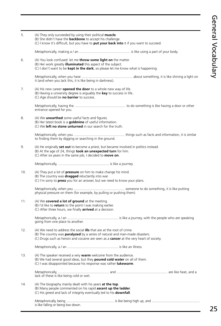| 5.  | (A) They only succeeded by using their political muscle.<br>(B) She didn't have the <b>backbone</b> to accept his challenge.<br>(C) I know it's difficult, but you have to put your back into it if you want to succeed.                                              |
|-----|-----------------------------------------------------------------------------------------------------------------------------------------------------------------------------------------------------------------------------------------------------------------------|
|     |                                                                                                                                                                                                                                                                       |
| 6.  | (A) You look confused: let me throw some light on the matter.<br>(B) Her work greatly illuminated this aspect of the subject.<br>(C) I don't want to be <b>kept in the dark</b> , so please let me know what is happening.                                            |
|     | it (and when you lack this, it is like being in darkness).                                                                                                                                                                                                            |
| 7.  | (A) His new career <b>opened the door</b> to a whole new way of life.<br>(B) Having a university degree is arguably the key to success in life.<br>(C) Age should be <b>no barrier</b> to success.                                                                    |
|     | entrance opened for you.                                                                                                                                                                                                                                              |
| 8.  | (A) We unearthed some useful facts and figures.<br>(B) Her latest book is a goldmine of useful information.<br>(C) We left no stone unturned in our search for the truth.                                                                                             |
|     | to finding them by digging or searching in the ground.                                                                                                                                                                                                                |
| 9.  | (A) He originally set out to become a priest, but became involved in politics instead.<br>(B) At the age of 24, things took an unexpected turn for him.<br>(C) After six years in the same job, I decided to move on.                                                 |
|     |                                                                                                                                                                                                                                                                       |
| 10. | (A) They put a lot of <b>pressure</b> on him to make change his mind.<br>(B) The country was dragged reluctantly into war.<br>(C) I'm sorry to press you for an answer, but we need to know your plans.                                                               |
|     | physical pressure on them (for example, by pulling or pushing them).                                                                                                                                                                                                  |
| 11. | (A) We covered a lot of ground at the meeting.<br>(B) I'd like to return to the point I was making earlier.<br>(C) After three hours, we finally arrived at a decision.                                                                                               |
|     | going from one place to another.                                                                                                                                                                                                                                      |
| 12. | (A) We need to address the social <b>ills</b> that are at the root of crime.<br>(B) The country was <b>paralyzed</b> by a series of natural and man-made disasters.<br>(C) Drugs such as heroin and cocaine are seen as a <b>cancer</b> at the very heart of society. |
|     |                                                                                                                                                                                                                                                                       |
| 13. | (A) The speaker received a very <b>warm</b> welcome from the audience.<br>(B) We had several good ideas, but they poured cold water on all of them.<br>(C) I was disappointed because his response was rather lukewarm.                                               |
|     | lack of these is like being cold or wet.                                                                                                                                                                                                                              |
| 14. | (A) The biography mainly dealt with his years at the top.<br>(B) Many people commented on his rapid ascent up the ladder.<br>(C) His greed and lack of integrity eventually led to his <b>downfall</b> .                                                              |
|     | is like falling or being low down.                                                                                                                                                                                                                                    |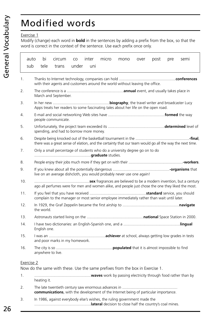## <span id="page-27-0"></span>[Modified words](#page-4-0)

#### Exercise 1

Modify (change) each word in **bold** in the sentences by adding a prefix from the box, so that the word is correct in the context of the sentence. Use each prefix once only.

|     | auto<br>sub | bi<br>tele                                                                         | circum<br>trans                         | CO<br>under | inter<br>uni | micro | mono                                                                                      | over | post | pre | semi                                                                                                    |
|-----|-------------|------------------------------------------------------------------------------------|-----------------------------------------|-------------|--------------|-------|-------------------------------------------------------------------------------------------|------|------|-----|---------------------------------------------------------------------------------------------------------|
| 1.  |             |                                                                                    |                                         |             |              |       | with their agents and customers around the world without leaving the office.              |      |      |     |                                                                                                         |
| 2.  |             | March and September.                                                               |                                         |             |              |       |                                                                                           |      |      |     |                                                                                                         |
| 3.  |             | Apps treats her readers to some fascinating tales about her life on the open road. |                                         |             |              |       |                                                                                           |      |      |     |                                                                                                         |
| 4.  |             |                                                                                    | people communicate.                     |             |              |       |                                                                                           |      |      |     |                                                                                                         |
| 5.  |             |                                                                                    | spending, and had to borrow more money. |             |              |       |                                                                                           |      |      |     |                                                                                                         |
| 6.  |             |                                                                                    |                                         |             |              |       |                                                                                           |      |      |     | there was a great sense of elation, and the certainty that our team would go all the way the next time. |
| 7.  |             |                                                                                    |                                         |             |              |       | Only a small percentage of students who do a university degree go on to do                |      |      |     |                                                                                                         |
| 8.  |             |                                                                                    |                                         |             |              |       |                                                                                           |      |      |     |                                                                                                         |
| 9.  |             |                                                                                    |                                         |             |              |       | live on an average dishcloth, you would probably never use one again!                     |      |      |     |                                                                                                         |
| 10. |             |                                                                                    |                                         |             |              |       |                                                                                           |      |      |     | ago all perfumes were for men and women alike, and people just chose the one they liked the most.       |
| 11. |             |                                                                                    |                                         |             |              |       | complain to the manager or most senior employee immediately rather than wait until later. |      |      |     |                                                                                                         |
| 12. |             | the world.                                                                         |                                         |             |              |       |                                                                                           |      |      |     |                                                                                                         |
| 13. |             |                                                                                    |                                         |             |              |       |                                                                                           |      |      |     |                                                                                                         |
| 14. |             | English one.                                                                       |                                         |             |              |       |                                                                                           |      |      |     |                                                                                                         |
| 15. |             |                                                                                    | and poor marks in my homework.          |             |              |       |                                                                                           |      |      |     |                                                                                                         |
| 16. |             | anywhere to live.                                                                  |                                         |             |              |       |                                                                                           |      |      |     |                                                                                                         |
|     | Exercise 2  |                                                                                    |                                         |             |              |       | Now do the same with these. Use the same prefixes from the box in Exercise 1.             |      |      |     |                                                                                                         |
| 1.  |             | heating it.                                                                        |                                         |             |              |       | waves work by passing electricity through food rather than by                             |      |      |     |                                                                                                         |
| 2.  |             |                                                                                    |                                         |             |              |       | communications, with the development of the Internet being of particular importance.      |      |      |     |                                                                                                         |
| 3.  |             |                                                                                    |                                         |             |              |       | In 1986, against everybody else's wishes, the ruling government made the                  |      |      |     |                                                                                                         |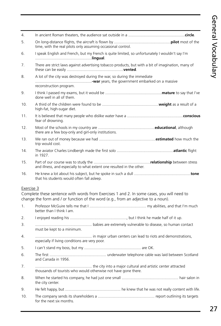| 4.         |                                                                                                                                                                                  |
|------------|----------------------------------------------------------------------------------------------------------------------------------------------------------------------------------|
| 5.         | time, with the real pilots only assuming occasional control.                                                                                                                     |
| 6.         | I speak English and French, but my French is quite limited, so unfortunately I wouldn't say I'm                                                                                  |
| 7.         | There are strict laws against advertising tobacco products, but with a bit of imagination, many of                                                                               |
| 8.         | A lot of the city was destroyed during the war, so during the immediate                                                                                                          |
|            | reconstruction program.                                                                                                                                                          |
| 9.         | done well in all of them.                                                                                                                                                        |
| 10.        | high-fat, high-sugar diet.                                                                                                                                                       |
| 11.        | fear of drowning.                                                                                                                                                                |
| 12.        | there are a few boy-only and girl-only institutions.                                                                                                                             |
| 13.        | trip would cost.                                                                                                                                                                 |
| 14.        | in 1927.                                                                                                                                                                         |
| 15.        | and illness, and especially to what extent one resulted in the other.                                                                                                            |
| 16.        | that his students would often fall asleep.                                                                                                                                       |
| Exercise 3 |                                                                                                                                                                                  |
|            | Complete these sentence with words from Exercises 1 and 2. In some cases, you will need to<br>change the form and / or function of the word (e.g., from an adjective to a noun). |
| 1.         | better than I think I am.                                                                                                                                                        |
| 2.         |                                                                                                                                                                                  |
| 3.         | must be kept to a minimum.                                                                                                                                                       |
| 4.         | especially if living conditions are very poor.                                                                                                                                   |
| 5.         |                                                                                                                                                                                  |
| 6.         | and Canada in 1956.                                                                                                                                                              |
| 7.         | thousands of tourists who would otherwise not have gone there.                                                                                                                   |
| 8.         | the city center.                                                                                                                                                                 |
| 9.         |                                                                                                                                                                                  |
| 10.        | for the next six months.                                                                                                                                                         |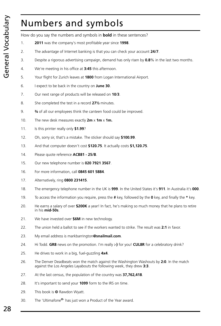## <span id="page-29-0"></span>[Numbers and symbols](#page-4-0)

How do you say the numbers and symbols in **bold** in these sentences?

- 1. **2011** was the company's most profitable year since **1998**.
- 2. The advantage of Internet banking is that you can check your account **24/7**.
- 3. Despite a rigorous advertising campaign, demand has only risen by **0.8**% in the last two months.
- 4. We're meeting in his office at **3:45** this afternoon.
- 5. Your flight for Zurich leaves at **1800** from Logan International Airport.
- 6. I expect to be back in the country on **June 30**.
- 7. Our next range of products will be released on **10**/**3**.
- 8. She completed the test in a record **27½** minutes.
- 9. **¾** of all our employees think the canteen food could be improved.
- 10. The new desk measures exactly **2m** x **1m** x **1m.**
- 11. Is this printer really only **\$1.99**?
- 12. Oh, sorry sir, that's a mistake. The sticker should say **\$100.99**.
- 13. And that computer doesn't cost **\$120.75**. It actually costs **\$1,120.75**.
- 14. Please quote reference **ACB81 25/B**.
- 15. Our new telephone number is **020 7921 3567**.
- 16. For more information, call **0845 601 5884**.
- 17. Alternatively, ring **0800 231415**.
- 18. The emergency telephone number in the UK is **999**. In the United States it's **911**. In Australia it's **000**.
- 19. To access the information you require, press the **#** key, followed by the **0** key, and finally the **\*** key.
- 20. He earns a salary of over **\$200K** a year! In fact, he's making so much money that he plans to retire in his **mid-50s**.
- 21. We have invested over **\$6M** in new technology.
- 22. The union held a ballot to see if the workers wanted to strike. The result was **2:1** in favor.
- 23. My email address is markbarrington**@snailmail.com**.
- 24. Hi Todd. **GR8** news on the promotion. I'm really **:-)** for you! **CUL8R** for a celebratory drink?
- 25. He drives to work in a big, fuel-guzzling **4x4**.
- 26. The Denver Deadbeats won the match against the Washington Washouts by **2:0**. In the match against the Los Angeles Layabouts the following week, they drew **3:3**.
- 27. At the last census, the population of the country was **37,762,418**.
- 28. It's important to send your **1099** form to the IRS on time.
- 29. This book is **©** Rawdon Wyatt.
- 30. The 'Ultimafone**®**' has just won a Product of the Year award.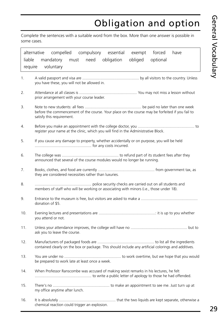## [Obligation and option](#page-4-1)

<span id="page-30-0"></span>Complete the sentences with a suitable word from the box. More than one answer is possible in some cases.

| liable<br>require | alternative compelled compulsory essential exempt<br>forced<br>have<br>mandatory must need obligation<br>optional<br>obliged<br>voluntary |  |  |  |  |  |  |  |
|-------------------|-------------------------------------------------------------------------------------------------------------------------------------------|--|--|--|--|--|--|--|
| 1.                | you have these, you will not be allowed in.                                                                                               |  |  |  |  |  |  |  |
| 2.                | prior arrangement with your course leader.                                                                                                |  |  |  |  |  |  |  |
| 3.                | before the commencement of the course. Your place on the course may be forfeited if you fail to<br>satisfy this requirement.              |  |  |  |  |  |  |  |
| 4.                | register your name at the clinic, which you will find in the Administrative Block.                                                        |  |  |  |  |  |  |  |
| 5.                | If you cause any damage to property, whether accidentally or on purpose, you will be held                                                 |  |  |  |  |  |  |  |
| 6.                | announced that several of the course modules would no longer be running.                                                                  |  |  |  |  |  |  |  |
| 7.                | they are considered necessities rather than luxuries.                                                                                     |  |  |  |  |  |  |  |
| 8.                | members of staff who will be working or associating with minors (i.e., those under 18).                                                   |  |  |  |  |  |  |  |
| 9.                | donation of \$5.                                                                                                                          |  |  |  |  |  |  |  |
| 10.               | you attend or not.                                                                                                                        |  |  |  |  |  |  |  |
| 11.               | ask you to leave the course.                                                                                                              |  |  |  |  |  |  |  |
| 12.               | contained clearly on the box or package. This should include any artificial colorings and additives.                                      |  |  |  |  |  |  |  |
| 13.               | be prepared to work late at least once a week.                                                                                            |  |  |  |  |  |  |  |
| 14.               | When Professor Ranscombe was accused of making sexist remarks in his lectures, he felt                                                    |  |  |  |  |  |  |  |
| 15.               | my office anytime after lunch.                                                                                                            |  |  |  |  |  |  |  |
| 16.               | chemical reaction could trigger an explosion.                                                                                             |  |  |  |  |  |  |  |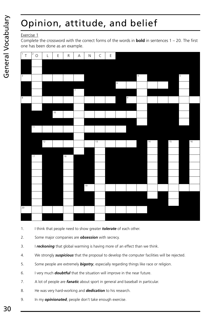## <span id="page-31-0"></span>[Opinion, attitude, and belief](#page-4-0)

#### Exercise 1

Complete the crossword with the correct forms of the words in **bold** in sentences 1 – 20. The first one has been done as an example.



- 1. I think that people need to show greater *tolerate* of each other.
- 2. Some major companies are *obsession* with secrecy.
- 3. I *reckoning* that global warming is having more of an effect than we think.
- 4. We strongly *suspicious* that the proposal to develop the computer facilities will be rejected.
- 5. Some people are extremely *bigotry*, especially regarding things like race or religion.
- 6. I very much *doubtful* that the situation will improve in the near future.
- 7. A lot of people are *fanatic* about sport in general and baseball in particular.
- 8. He was very hard-working and *dedication* to his research.
- 9. In my *opinionated*, people don't take enough exercise.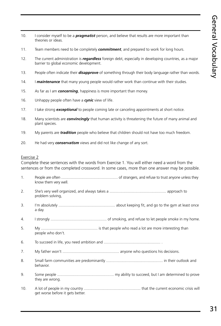- 10. I consider myself to be a *pragmatist* person, and believe that results are more important than theories or ideas.
- 11. Team members need to be completely *commitment*, and prepared to work for long hours.
- 12. The current administration is *regardless* foreign debt, especially in developing countries, as a major barrier to global economic development.
- 13. People often indicate their *disapprove* of something through their body language rather than words.
- 14. I *maintenance* that many young people would rather work than continue with their studies.
- 15. As far as I am *concerning*, happiness is more important than money.
- 16. Unhappy people often have a *cynic* view of life.
- 17. I take strong *exceptional* to people coming late or canceling appointments at short notice.
- 18. Many scientists are *convincingly* that human activity is threatening the future of many animal and plant species.
- 19. My parents are *tradition* people who believe that children should not have too much freedom.
- 20. He had very *conservatism* views and did not like change of any sort.

#### Exercise 2

Complete these sentences with the words from Exercise 1. You will either need a word from the sentences or from the completed crossword. In some cases, more than one answer may be possible.

1. People are often ..................................................... of strangers, and refuse to trust anyone unless they know them very well. 2. She's very well organized, and always takes a ..................................................... approach to problem solving, 3. I'm absolutely ..................................................... about keeping fit, and go to the gym at least once a day. 4. I strongly ..................................................... of smoking, and refuse to let people smoke in my home. 5. My ..................................................... is that people who read a lot are more interesting than people who don't. 6. To succeed in life, you need ambition and ..................................................... . 7. My father won't ..................................................... anyone who questions his decisions. 8. Small farm communities are predominantly ..................................................... in their outlook and behavior. 9. Some people ..................................................... my ability to succeed, but I am determined to prove they are wrong. 10. A lot of people in my country ..................................................... that the current economic crisis will get worse before it gets better.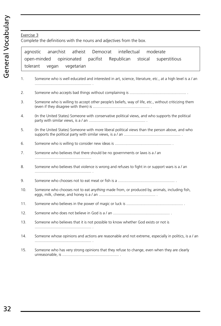## Exercise 3 Complete the definitions with the nouns and adjectives from the box. agnostic anarchist atheist Democrat intellectual moderate open-minded opinionated pacifist Republican stoical superstitious tolerant vegan vegetarian

| Someone who is well educated and interested in art, science, literature, etc., at a high level is a / an |
|----------------------------------------------------------------------------------------------------------|
|                                                                                                          |
|                                                                                                          |

- 2. Someone who accepts bad things without complaining is ..................................................... .
- 3. Someone who is willing to accept other people's beliefs, way of life, etc., without criticizing them (even if they disagree with them) is ..................................................... .
- 4. (In the United States) Someone with conservative political views, and who supports the political party with similar views, is a / an ..................................................... .
- 5. (In the United States) Someone with more liberal political views than the person above, and who supports the political party with similar views, is a / an ..................................................... .
- 6. Someone who is willing to consider new ideas is ..................................................... .
- 7. Someone who believes that there should be no governments or laws is a / an .....................................................
- 8. Someone who believes that violence is wrong and refuses to fight in or support wars is a / an ..................................................... .
- 9. Someone who chooses not to eat meat or fish is a ..................................................... .
- 10. Someone who chooses not to eat *anything* made from, or produced by, animals, including fish, eggs, milk, cheese, and honey is a / an ..................................................... .
- 11. Someone who believes in the power of magic or luck is ..................................................... .
- 12. Someone who does not believe in God is a / an ..................................................... .
- 13. Someone who believes that it is not possible to know whether God exists or not is
- 14. Someone whose opinions and actions are reasonable and not extreme, especially in politics, is a / an ..................................................... .
- 15. Someone who has very strong opinions that they refuse to change, even when they are clearly unreasonable, is ..................................................... .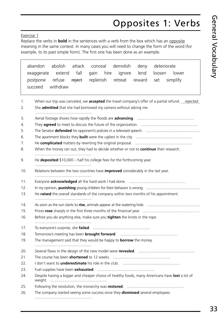## [Opposites 1: Verbs](#page-4-1)

<span id="page-34-0"></span>Exercise 1

Replace the verbs in **bold** in the sentences with a verb from the box which has an opposite meaning in the same context. In many cases you will need to change the form of the word (for example, to its past simple form). The first one has been done as an example.

|     | demolish<br>abandon<br>abolish<br>attack<br>deny<br>deteriorate<br>conceal                                     |  |  |  |  |  |  |  |
|-----|----------------------------------------------------------------------------------------------------------------|--|--|--|--|--|--|--|
|     | fall<br>gain<br>hire<br>ignore<br>lend<br>loosen<br>exaggerate<br>extend<br>lower                              |  |  |  |  |  |  |  |
|     | refuse<br>reject<br>replenish<br>simplify<br>postpone<br>retreat<br>reward<br>set                              |  |  |  |  |  |  |  |
|     | withdraw<br>succeed                                                                                            |  |  |  |  |  |  |  |
|     |                                                                                                                |  |  |  |  |  |  |  |
| 1.  | When our trip was canceled, we <b>accepted</b> the travel company's offer of a partial refund. <i>rejected</i> |  |  |  |  |  |  |  |
| 2.  | She admitted that she had borrowed my camera without asking me.                                                |  |  |  |  |  |  |  |
|     |                                                                                                                |  |  |  |  |  |  |  |
| 3.  |                                                                                                                |  |  |  |  |  |  |  |
| 4.  |                                                                                                                |  |  |  |  |  |  |  |
| 5.  |                                                                                                                |  |  |  |  |  |  |  |
| 6.  |                                                                                                                |  |  |  |  |  |  |  |
| 7.  |                                                                                                                |  |  |  |  |  |  |  |
| 8.  | When the money ran out, they had to decide whether or not to continue their research.                          |  |  |  |  |  |  |  |
| 9.  | He <b>deposited</b> $$10,000 - half his college fees for the forthcoming year.$                                |  |  |  |  |  |  |  |
|     |                                                                                                                |  |  |  |  |  |  |  |
| 10. | Relations between the two countries have <i>improved</i> considerably in the last year.                        |  |  |  |  |  |  |  |
| 11. |                                                                                                                |  |  |  |  |  |  |  |
| 12. |                                                                                                                |  |  |  |  |  |  |  |
| 13. | He raised the overall standards of the company within two months of his appointment.                           |  |  |  |  |  |  |  |
|     |                                                                                                                |  |  |  |  |  |  |  |
| 14. |                                                                                                                |  |  |  |  |  |  |  |
| 15. |                                                                                                                |  |  |  |  |  |  |  |
| 16. | Before you do anything else, make sure you tighten the knots in the rope.                                      |  |  |  |  |  |  |  |
| 17. |                                                                                                                |  |  |  |  |  |  |  |
| 18. |                                                                                                                |  |  |  |  |  |  |  |
| 19. | The management said that they would be happy to <b>borrow</b> the money.                                       |  |  |  |  |  |  |  |
|     |                                                                                                                |  |  |  |  |  |  |  |
| 20. |                                                                                                                |  |  |  |  |  |  |  |
| 21. |                                                                                                                |  |  |  |  |  |  |  |
| 22. |                                                                                                                |  |  |  |  |  |  |  |
| 23. |                                                                                                                |  |  |  |  |  |  |  |
| 24. | Despite having a bigger and cheaper choice of healthy foods, many Americans have lost a lot of<br>weight.      |  |  |  |  |  |  |  |
| 25. |                                                                                                                |  |  |  |  |  |  |  |
| 26. | The company started seeing some success once they dismissed several employees.                                 |  |  |  |  |  |  |  |
|     |                                                                                                                |  |  |  |  |  |  |  |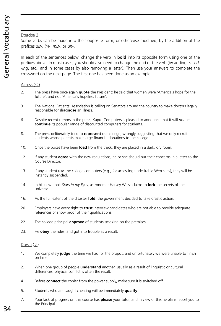#### Exercise 2

Some verbs can be made into their opposite form, or otherwise modified, by the addition of the prefixes *dis*-, *im*-, *mis*-, or *un*-.

In each of the sentences below, change the verb in **bold** into its opposite form using one of the prefixes above. In most cases, you should also need to change the end of the verb (by adding -*s*, -*ed*, -*ing*, etc., and in some cases by also removing a letter). Then use your answers to complete the crossword on the next page. The first one has been done as an example.

#### Across  $(\Rightarrow)$

- 2. The press have once again **quote** the President: he said that women were 'America's hope for the future', and not 'America's hopeless future'.
- 3. The National Patients' Association is calling on Senators around the country to make doctors legally responsible for **diagnose** an illness.
- 6. Despite recent rumors in the press, Kaput Computers is pleased to announce that it will *not* be **continue** its popular range of discounted computers for students.
- 8. The press deliberately tried to **represent** our college, wrongly suggesting that we only recruit students whose parents make large financial donations to the college.
- 10. Once the boxes have been **load** from the truck, they are placed in a dark, dry room.
- 12. If any student **agree** with the new regulations, he or she should put their concerns in a letter to the Course Director.
- 13. If any student **use** the college computers (e.g., for accessing undesirable Web sites), they will be instantly suspended.
- 14. In his new book *Stars in my Eyes*, astronomer Harvey Weiss claims to **lock** the secrets of the universe.
- 16. As the full extent of the disaster **fold**, the government decided to take drastic action.
- 20. Employers have every right to **trust** interview candidates who are not able to provide adequate references or show proof of their qualifications.
- 22. The college principal **approve** of students smoking on the premises.
- 23. He **obey** the rules, and got into trouble as a result.

#### $Down(\underline{\theta})$

- 1. We completely **judge** the time we had for the project, and unfortunately we were unable to finish on time.
- 2. When one group of people **understand** another, usually as a result of linguistic or cultural differences, physical conflict is often the result.
- 4. Before **connect** the copier from the power supply, make sure it is switched off.
- 5. Students who are caught cheating will be immediately **qualify**.
- 7. Your lack of progress on this course has **please** your tutor, and in view of this he plans report you to the Principal.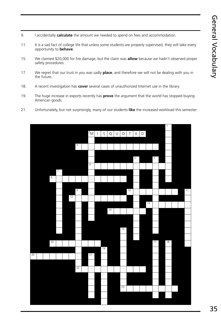- 9. I accidentally **calculate** the amount we needed to spend on fees and accommodation.
- 11. It is a sad fact of college life that unless some students are properly supervised, they will take every opportunity to **behave**.
- 15. We claimed \$20,000 for fire damage, but the claim was **allow** because we hadn't observed proper safety procedures.
- 17. We regret that our trust in you was sadly **place**, and therefore we will not be dealing with you in the future.
- 18. A recent investigation has **cover** several cases of unauthorized Internet use in the library.
- 19. The huge increase in exports recently has **prove** the argument that the world has stopped buying American goods.
- 21. Unfortunately, but not surprisingly, many of our students **like** the increased workload this semester.

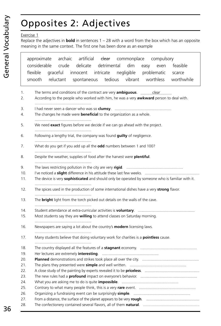## [Opposites 2: Adjectives](#page-4-0)

### Exercise 1

Replace the adjectives in **bold** in sentences 1 – 28 with a word from the box which has an opposite meaning in the same context. The first one has been done as an example

|     | approximate archaic artificial <del>clear</del> commonplace compulsory                           |  |  |  |  |  |  |  |  |
|-----|--------------------------------------------------------------------------------------------------|--|--|--|--|--|--|--|--|
|     | considerable crude<br>delicate detrimental<br>feasible<br>dim<br>even<br>easy                    |  |  |  |  |  |  |  |  |
|     | flexible<br>graceful innocent intricate negligible problematic<br>scarce                         |  |  |  |  |  |  |  |  |
|     | reluctant spontaneous tedious vibrant worthless<br>worthwhile<br>smooth                          |  |  |  |  |  |  |  |  |
|     |                                                                                                  |  |  |  |  |  |  |  |  |
| 1.  |                                                                                                  |  |  |  |  |  |  |  |  |
| 2.  | According to the people who worked with him, he was a very awkward person to deal with.          |  |  |  |  |  |  |  |  |
| 3.  |                                                                                                  |  |  |  |  |  |  |  |  |
| 4.  | The changes he made were <b>beneficial</b> to the organization as a whole.                       |  |  |  |  |  |  |  |  |
| 5.  | We need exact figures before we decide if we can go ahead with the project.                      |  |  |  |  |  |  |  |  |
| 6.  | Following a lengthy trial, the company was found guilty of negligence.                           |  |  |  |  |  |  |  |  |
| 7.  | What do you get if you add up all the odd numbers between 1 and 100?                             |  |  |  |  |  |  |  |  |
| 8.  | Despite the weather, supplies of food after the harvest were plentiful.                          |  |  |  |  |  |  |  |  |
| 9.  |                                                                                                  |  |  |  |  |  |  |  |  |
| 10. |                                                                                                  |  |  |  |  |  |  |  |  |
| 11. | The device is very sophisticated and should only be operated by someone who is familiar with it. |  |  |  |  |  |  |  |  |
| 12. | The spices used in the production of some international dishes have a very strong flavor.        |  |  |  |  |  |  |  |  |
| 13. | The <b>bright</b> light from the torch picked out details on the walls of the cave.              |  |  |  |  |  |  |  |  |
| 14. |                                                                                                  |  |  |  |  |  |  |  |  |
| 15. | Most students say they are willing to attend classes on Saturday morning.                        |  |  |  |  |  |  |  |  |
| 16. | Newspapers are saying a lot about the country's <b>modern</b> licensing laws.                    |  |  |  |  |  |  |  |  |
| 17. | Many students believe that doing voluntary work for charities is a <b>pointless</b> cause.       |  |  |  |  |  |  |  |  |
| 18. |                                                                                                  |  |  |  |  |  |  |  |  |
| 19. |                                                                                                  |  |  |  |  |  |  |  |  |
| 20. |                                                                                                  |  |  |  |  |  |  |  |  |
| 21. |                                                                                                  |  |  |  |  |  |  |  |  |
| 22. |                                                                                                  |  |  |  |  |  |  |  |  |
| 23. |                                                                                                  |  |  |  |  |  |  |  |  |
| 24. |                                                                                                  |  |  |  |  |  |  |  |  |
| 25. |                                                                                                  |  |  |  |  |  |  |  |  |
| 26. |                                                                                                  |  |  |  |  |  |  |  |  |
| 27. |                                                                                                  |  |  |  |  |  |  |  |  |
| 28. |                                                                                                  |  |  |  |  |  |  |  |  |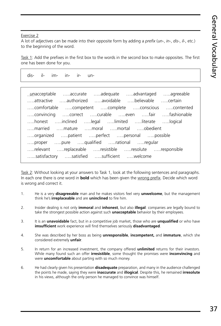### Exercise 2

A lot of adjectives can be made into their opposite form by adding a *prefix* (*un*-, *in*-, *dis*-, *il*-, etc.) to the beginning of the word.

Task 1: Add the prefixes in the first box to the words in the second box to make opposites. The first one has been done for you.

| im- in- ir- un-<br>-il-<br>dis-                                                                                                                                                                                                                                                                                                                                                                                                                                                                             |  |
|-------------------------------------------------------------------------------------------------------------------------------------------------------------------------------------------------------------------------------------------------------------------------------------------------------------------------------------------------------------------------------------------------------------------------------------------------------------------------------------------------------------|--|
|                                                                                                                                                                                                                                                                                                                                                                                                                                                                                                             |  |
| unacceptable accurate adequate advantaged agreeable<br>attractive authorized avoidable believable certain<br>comfortable competent complete conscious contented<br>convincing correct curable even fair fashionable<br>honest inclined legal limited literate logical<br>married mature moral mortal obedient<br>organized patient perfect personal possible<br>proper pure qualified rational regular<br>relevant replaceable resistible resolute responsible<br>satisfactory satisfied sufficient welcome |  |
|                                                                                                                                                                                                                                                                                                                                                                                                                                                                                                             |  |

Task 2: Without looking at your answers to Task 1, look at the following sentences and paragraphs. In each one there is *one* word in **bold** which has been given the wrong prefix. Decide which word is wrong and correct it.

- 1. He is a very **disagreeable** man and he makes visitors feel very **unwelcome**, but the management think he's **irreplaceable** and are **uninclined** to fire him.
- 2. Insider dealing is not only **immoral** and **inhonest**, but also **illegal**: companies are legally bound to take the strongest possible action against such **unacceptable** behavior by their employees.
- 3. It is an **unavoidable** fact, but in a competitive job market, those who are **unqualified** or who have **imsufficient** work experience will find themselves seriously **disadvantaged**.
- 4. She was described by her boss as being **unresponsible**, **incompetent,** and **immature**, which she considered extremely **unfair**.
- 5. In return for an increased investment, the company offered **unlimited** returns for their investors. While many found such an offer **irresistible**, some thought the promises were **inconvincing** and were **uncomfortable** about parting with so much money.
- 6. He had clearly given his presentation **disadequate** preparation, and many in the audience challenged the points he made, saying they were **inaccurate** and **illogical**. Despite this, he remained **irresolute** in his views, although the only person he managed to convince was himself.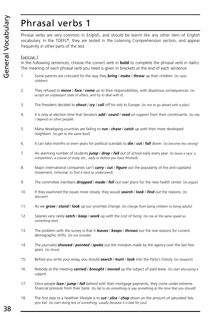# [Phrasal verbs 1](#page-4-0)

Phrasal verbs are very common in English, and should be learnt like any other item of English vocabulary. In the TOEFL®, they are tested in the Listening Comprehension section, and appear frequently in other parts of the test.

### Exercise 1

In the following sentences, choose the correct verb in **bold** to complete the phrasal verb in *italics*. The meaning of each phrasal verb you need is given in brackets at the end of each sentence.

- 1. Some parents are criticized for the way they *bring* / *make* / *throw up* their children. (*to raise children*)
- 2. They refused to *move* / *face* / *come up to* their responsibilities, with disastrous consequences. (*to accept an unpleasant state of affairs, and try to deal with it*)
- 3. The President decided to *shout* / *cry* / *call off* his visit to Europe. (*to not to go ahead with a plan*)
- 4. It is only at election time that Senators *add* / *count* / *read on* support from their constituents. (*to rely* / *depend on other people*)
- 5. Many developing countries are failing to *run* / *chase* / *catch up with* their more developed neighbors. (*to get to the same level*)
- 6. It can take months or even years for political scandals to *die* / *cut* / *fall down.* (*to become less strong*)
- 7. An alarming number of students *jump* / *drop* / *fall out of* school early every year. (*to leave a race, a competition, a course of study, etc., early or before you have finished*)
- 8. Major international companies can't *carry* / *cut* / *figure out* the popularity of the anti-capitalist movement. (*informal: to find it hard to understand*)
- 9. The committee members *dropped* / *made* / *fell out* over plans for the new health center. (*to argue*)
- 10. If they examined the issues more closely, they would *search* / *look* / *find out* the reasons. (*to discover*)
- 11. As we *grow* / *stand* / *look up* our priorities change. (*to change from being children to being adults*)
- 12. Salaries very rarely *catch* / *keep* / *work up with* the cost of living. (*to rise at the same speed as something else*)
- 13. The problem with the survey is that it *leaves* / *keeps* / *throws out* the real reasons for current demographic shifts. (*to not include*)
- 14. The journalist *showed* / *pointed* / *spoke out* the mistakes made by the agency over the last few years. (*to show*)
- 15. Before you write your essay, you should *search* / *hunt* / *look into* the Party's history. (*to research*)
- 16. Nobody at the meeting *carried* / *brought* / *moved up* the subject of paid leave. (*to start discussing a subject*)
- 17. Once people *lose* / *jump* / *fall behind* with their mortgage payments, they come under extreme financial pressure from their bank. (*to fail to do something or pay something at the time that you should*)
- 18. The first step to a healthier lifestyle is to *cut* / *slice* / *chop down* on the amount of saturated fats you eat. (*to start doing less of something, usually because it is bad for you*)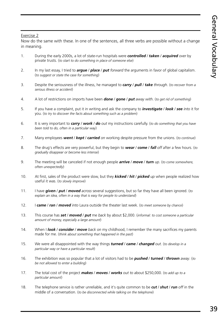### Exercise 2

Now do the same with these. In one of the sentences, all three verbs are possible without a change in meaning.

- 1. During the early 2000s, a lot of state-run hospitals were *controlled* / *taken* / *acquired over* by private trusts. (*to start to do something in place of someone else*)
- 2. In my last essay, I tried to *argue* / *place* / *put forward* the arguments in favor of global capitalism. (*to suggest or state the case for something*)
- 3. Despite the seriousness of the illness, he managed to *carry* / *pull* / *take through*. (*to recover from a serious illness or accident*)
- 4. A lot of restrictions on imports have been *done* / *gone* / *put away with*. (*to get rid of something*)
- 5. If you have a complaint, put it in writing and ask the company to *investigate* / *look* / *see into* it for you. (*to try to discover the facts about something such as a problem*)
- 6. It is very important to *carry* / *work* / *do out* my instructions carefully. (*to do something that you have been told to do, often in a particular way*)
- 7. Many employees *went* / *kept* / *carried on* working despite pressure from the unions. (*to continue*)
- 8. The drug's effects are very powerful, but they begin to *wear* / *come* / *fall off* after a few hours. (*to gradually disappear or become less intense*)
- 9. The meeting will be canceled if not enough people *arrive* / *move* / *turn up*. (*to come somewhere, often unexpectedly*)
- 10. At first, sales of the product were slow, but they *kicked* / *hit* / *picked up* when people realized how useful it was. (*to slowly improve*)
- 11. I have *given* / *put* / *moved across* several suggestions, but so far they have all been ignored. (*to explain an idea, often in a way that is easy for people to understand*)
- 12. I *came* / *ran* / *moved into* Laura outside the theater last week. (*to meet someone by chance*)
- 13. This course has *set* / *moved* / *put* me *back* by about \$2,000. (*informal: to cost someone a particular amount of money, especially a large amount*)
- 14. When I *look* / *consider* / *move back on* my childhood, I remember the many sacrifices my parents made for me. (*think about something that happened in the past*)
- 15. We were all disappointed with the way things *turned* / *came* / *changed out*. (*to develop in a particular way or have a particular result*)
- 16. The exhibition was so popular that a lot of visitors had to be *pushed* / *turned* / *thrown away*. (*to be not allowed to enter a building*)
- 17. The total cost of the project *makes* / *moves* / *works out to* about \$250,000. (*to add up to a particular amount*)
- 18. The telephone service is rather unreliable, and it's quite common to be *cut* / *shut* / *run off* in the middle of a conversation. (*to be disconnected while talking on the telephone*)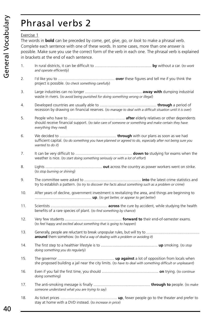## [Phrasal verbs 2](#page-4-0)

#### Exercise 1

The words in **bold** can be preceded by *come*, *get*, *give*, *go*, or *look* to make a phrasal verb. Complete each sentence with one of these words. In some cases, more than one answer is possible. Make sure you use the correct form of the verb in each one. The phrasal verb is explained in brackets at the end of each sentence.

- 1. In rural districts, it can be difficult to ..................................................... **by** without a car. (*to work and operate efficiently*)
- 2. I'd like you to ..................................................... **over** these figures and tell me if you think the project is possible. (*to check something carefully*)
- 3. Large industries can no longer ..................................................... **away with** dumping industrial waste in rivers. (*to avoid being punished for doing something wrong or illegal*)
- 4. Developed countries are usually able to ..................................................... **through** a period of recession by drawing on financial reserves. (*to manage to deal with a difficult situation until it is over*)
- 5. People who have to ..................................................... **after** elderly relatives or other dependents should receive financial support. (*to take care of someone or something and make certain they have everything they need*)
- 6. We decided to ..................................................... **through** with our plans as soon as we had sufficient capital. (*to do something you have planned or agreed to do, especially after not being sure you wanted to do it*)
- 7. It can be very difficult to ..................................................... **down to** studying for exams when the weather is nice. (*to start doing something seriously or with a lot of effort*)
- 8. Lights ..................................................... **out** across the country as power workers went on strike. (*to stop burning or shining*)
- 9. The committee were asked to ..................................................... **into** the latest crime statistics and try to establish a pattern. (*to try to discover the facts about something such as a problem or crime*)
- 10. After years of decline, government investment is revitalizing the area, and things are beginning to ..................................................... **up**. (*to get better, or appear to get better*)
- 11. Scientists ..................................................... **across** the cure by accident, while studying the health benefits of a rare species of plant. (*to find something by chance*)
- 12. Very few students ..................................................... **forward to** their end-of-semester exams. (*to feel happy and excited about something that is going to happen*)
- 13. Generally, people are reluctant to break unpopular rules, but will try to ..................................................... **around** them somehow. (*to find a way of dealing with a problem or avoiding it*)
- 14. The first step to a healthier lifestyle is to ..................................................... **up** smoking. (*to stop doing something you do regularly*)
- 15. The governor ..................................................... **up against** a lot of opposition from locals when she proposed building a jail near the city limits. (*to have to deal with something difficult or unpleasant*)
- 16. Even if you fail the first time, you should ..................................................... **on** trying. (*to continue doing something*)
- 17. The anti-smoking message is finally ..................................................... **through to** people. (*to make someone understand what you are trying to say*)
- 18. As ticket prices ..................................................... **up**, fewer people go to the theater and prefer to stay at home with a DVD instead. (*to increase in price*)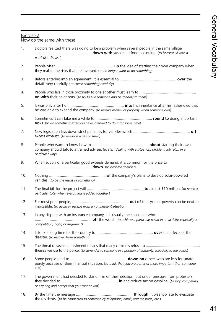### <u>Exercise 2</u>

Now do the same with these.

| 1.  | Doctors realized there was going to be a problem when several people in the same village                                                      |
|-----|-----------------------------------------------------------------------------------------------------------------------------------------------|
|     | particular disease)                                                                                                                           |
| 2.  | they realize the risks that are involved. (to no longer want to do something)                                                                 |
| 3.  | details very carefully. (to check something carefully)                                                                                        |
| 4.  | on with their neighbors. (to try to like someone and be friendly to them)                                                                     |
| 5.  | he was able to expand the company. (to receive money or property when someone dies)                                                           |
| 6.  | tasks. (to do something after you have intended to do it for some time)                                                                       |
| 7.  | excess exhaust. (to produce a gas or smell)                                                                                                   |
| 8.  | company should talk to a trained adviser. (to start dealing with a situation, problem, job, etc., in a<br>particular way)                     |
| 9.  | When supply of a particular good exceeds demand, it is common for the price to                                                                |
| 10. | vehicles. (to be the result of something)                                                                                                     |
| 11. | particular total when everything is added together)                                                                                           |
| 12. | impossible. (to avoid or escape from an unpleasant situation)                                                                                 |
| 13. | In any dispute with an insurance company, it is usually the consumer who<br>competition, fight, or argument)                                  |
| 14. | disaster. (to recover from something)                                                                                                         |
| 15. | themselves up to the police. (to surrender to someone in a position of authority, especially to the police)                                   |
| 16. | purely because of their financial situation. (to think that you are better or more important than someone<br>else)                            |
| 17. | The government had decided to stand firm on their decision, but under pressure from protesters,<br>or arguing and accept that you cannot win) |
| 18. | the residents. (to be connected to someone by telephone, email, text message, etc.)                                                           |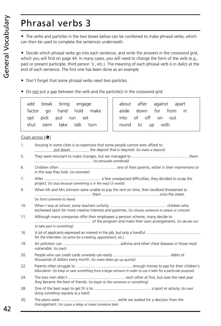## [Phrasal verbs 3](#page-4-0)

• The verbs and particles in the two boxes below can be combined to make phrasal verbs, which can then be used to complete the sentences underneath.

• Decide which phrasal verbs go into each sentence, and write the answers in the crossword grid, which you will find on page 44. In many cases, you will need to change the form of the verb (e.g., past or present participle, third person 's', etc.). The meaning of each phrasal verb is in *italics* at the end of each sentence. The first one has been done as an example

- Don't forget that some phrasal verbs need *two* particles.
- Do not put a gap between the verb and the particle(s) in the crossword grid.

| add<br>factor<br>opt | bring<br>about after against apart<br>break<br>engage<br>hand hold make<br>aside<br>for<br>down<br>from<br>go<br>in<br>of off<br>pick<br>put<br>into<br>run set<br>on<br>out |  |  |  |  |  |  |  |  |  |  |
|----------------------|------------------------------------------------------------------------------------------------------------------------------------------------------------------------------|--|--|--|--|--|--|--|--|--|--|
| shut                 | take talk<br>round<br>with<br>stem<br>to<br>turn<br>up                                                                                                                       |  |  |  |  |  |  |  |  |  |  |
|                      | Clues across $(\rightarrow)$                                                                                                                                                 |  |  |  |  |  |  |  |  |  |  |
| 1.                   | Housing in some cities is so expensive that some people cannot even afford to<br>numming put down minimum the deposit that is required. (to make a deposit)                  |  |  |  |  |  |  |  |  |  |  |
| 5.                   |                                                                                                                                                                              |  |  |  |  |  |  |  |  |  |  |
| 6.                   | in the way they look. (to resemble)                                                                                                                                          |  |  |  |  |  |  |  |  |  |  |
| 7.                   | project. (to stop because something is in the way) (3 words)                                                                                                                 |  |  |  |  |  |  |  |  |  |  |
| 9.                   | When Mr and Mrs Johnson were unable to pay the rent on time, their landlord threatened to                                                                                    |  |  |  |  |  |  |  |  |  |  |
|                      | (to force someone to leave)                                                                                                                                                  |  |  |  |  |  |  |  |  |  |  |
| 10.                  | eschewed sport for more creative interests and pastimes. (to choose someone to attack or criticize)                                                                          |  |  |  |  |  |  |  |  |  |  |
| 11.                  | Although many companies offer their employees a pension scheme, many decide to                                                                                               |  |  |  |  |  |  |  |  |  |  |
|                      | to take part in something)                                                                                                                                                   |  |  |  |  |  |  |  |  |  |  |
| 16.                  | for the interview. (to arrive for a meeting, appointment, etc.)                                                                                                              |  |  |  |  |  |  |  |  |  |  |
| 19.                  | vulnerable. (to start)                                                                                                                                                       |  |  |  |  |  |  |  |  |  |  |
| 20.                  | thousands of dollars every month. (to make debts go up quickly)                                                                                                              |  |  |  |  |  |  |  |  |  |  |
| 22.                  | education. (to keep or save something from a larger amount in order to use it later for a particular purpose)                                                                |  |  |  |  |  |  |  |  |  |  |
| 24.                  | they became the best of friends. (to begin to like someone or something)                                                                                                     |  |  |  |  |  |  |  |  |  |  |
| 28.                  | doing something regularly as a habit)                                                                                                                                        |  |  |  |  |  |  |  |  |  |  |
| 30.                  | management. (to cause a delay or make someone late)                                                                                                                          |  |  |  |  |  |  |  |  |  |  |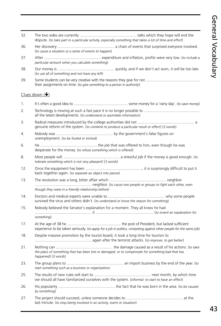37. After ..................................................... expenditure and inflation, profits were very low. (*to include a particular amount when you calculate something*) 38. Our money is ..................................................... quickly, and if we don't act soon, it will be too late. (*to use all of something and not have any left*) 39. Some students can be very creative with the reasons they give for not ..................................................... their assignments on time. (*to give something to a person in authority*) Clues down  $(\blacklozenge)$ 1. It's often a good idea to ..................................................... some money for a 'rainy day'. (*to save money*) 2. Technology is moving at such a fast pace it is no longer possible to ..................................................... all the latest developments. (*to understand or assimilate information*) 3. Radical measures introduced by the college authorities did not ..................................................... a genuine reform of the system. (*to combine to produce a particular result or effect*) (*3 words*) 4. Nobody was ..................................................... by the government's false figures on unemployment. (*to be fooled or tricked*) 6. He ..................................................... the job that was offered to him, even though he was desperate for the money. (*to refuse something which is offered*) 8. Most people will ..................................................... a stressful job if the money is good enough. (*to tolerate something which is not very pleasant*) (*3 words*) 12. Once the equipment has been ....................................................., it is surprisingly difficult to put it back together again. (*to separate an object into pieces*) 13. The revolution was a long, bitter affair which ..................................................... neighbor ..................................................... neighbor. (*to cause two people or groups to fight each other, even though they were in a friendly relationship before*) 14. Doctors and medical experts were unable to ..................................................... why some people survived the virus and others didn't. (*to understand or know the reason for something*) 15. Nobody believed the Senator's explanation for a moment. They all knew he had ..................................................... it ...................................................... (*to invent an explanation for something*) 17. At the age of 38 he ..................................................... the post of President, but lacked sufficient experience to be taken seriously. (*to apply for a job in politics, competing against other people for the same job*) 18. Despite massive promotion by the tourist board, it took a long time for tourism to ..................................................... again after the terrorist attacks. (*to improve, to get better*) 21. Nothing can ..................................................... the damage caused as a result of his actions. (*to take the place of something that has been lost or damaged, or to compensate for something bad that has happened*) (*3 words*) 23. The group plans to ..................................................... an import business by the end of the year. (*to start something such as a business or organization)*

32. The two sides are currently ..................................................... talks which they hope will end the dispute. (*to take part in a particular activity, especially something that takes a lot of time and effort*) 36. Her discovery ..................................................... a chain of events that surprised everyone involved.

(*to cause a situation or a series of events to happen*)

- 25. The results of new rules will start to ..................................................... next month, by which time we should all have familiarized ourselves with the system. (*informal: to start to have an effect*)
- 26. His popularity ..................................................... the fact that he was born in the area. (*to be caused by something*)
- 27. The project should succeed, unless someone decides to ..................................................... at the last minute. (*to stop being involved in an activity, event or situation*)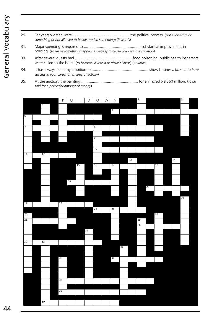- 29. For years women were ..................................................... the political process. (*not allowed to do something or not allowed to be involved in something*) (*3 words*)
- 31. Major spending is required to ..................................................... substantial improvement in housing. (*to make something happen, especially to cause changes in a situation*)
- 33. After several guests had ..................................................... food poisoning, public health inspectors were called to the hotel. (*to become ill with a particular illness*) (*3 words*)
- 34. It has always been my ambition to ..................................................... show business. (*to start to have success in your career or an area of activity*)
- 35. At the auction, the painting ..................................................... for an incredible \$60 million. (*to be sold for a particular amount of money*)

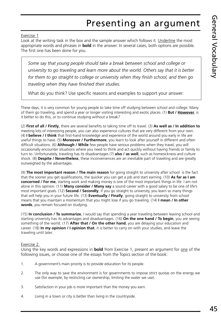### [Presenting an argument](#page-4-1)

#### Exercise 1

Look at the writing task in the box and the sample answer which follows it. Underline the most appropriate words and phrases in **bold** in the answer. In several cases, both options are possible. The first one has been done for you.

*Some say that young people should take a break between school and college or university to go traveling and learn more about the world. Others say that it is better*  for them to go straight to college or university when they finish school, and then go *traveling when they have fi nished their studies.*

What do you think? Use specific reasons and examples to support your answer.

These days, it is very common for young people to take time off studying between school and college. Many of them go traveling, and spend a year or longer visiting interesting and exotic places. (1) **But / However**, is it better to do this, or to continue studying without a break?

(2) **First of all / Firstly**, there are several benefits to taking time off to travel. (3) **As well as / In addition to** meeting lots of interesting people, you can also experience cultures that are very different from your own. (4) **I believe / I think** that first-hand knowledge and experience of the world around you early in life are useful things to have. (5) **Moreover / Furthermore**, you learn to look after yourself in different and often difficult situations. (6) **Although / While** few people have serious problems when they travel, you will occasionally encounter situations where you need to think and act quickly without having friends or family to turn to. Unfortunately, traveling has its disadvantages (7) **also / as well**, such as homesickness and culture shock. (8) **Despite / Nevertheless**, these inconveniences are an inevitable part of traveling and are greatly outweighed by the advantages.

(9) **The most important reason / The main reason** for going straight to university after school is the fact that the sooner you get qualifications, the quicker you can get a job and start earning. (10) **As far as I am concerned / For me**, starting work and making money is one of the most important things in life. I am not alone in this opinion. (11) **Many consider / Many say** a sound career with a good salary to be one of life's most important goals. (12) **Second / Secondly**, if you go straight to university, you learn so many things that will help you in your future life. (13) **Eventually / Finally**, going straight to university from school means that you maintain a momentum that you might lose if you go traveling. (14) **I mean / In other words**, you remain focused on studying.

(15) **In conclusion / To summarize**, I would say that spending a year traveling between leaving school and starting university has its advantages and disadvantages. (16) **On the one hand / To begin**, you are seeing something of the world. (17) **After that / On the other hand**, you are delaying your education and career. (18) **In my opinion / I opinion that**, it is better to carry on with your studies, and leave the traveling until later.

#### Exercise 2.

Using the key words and expressions in **bold** from Exercise 1, present an argument for one of the following issues, or choose one of the essays from the Topics section of the book:

- 1. A government's main priority is to provide education for its people.
- 2. The only way to save the environment is for governments to impose strict quotas on the energy we use (for example, by restricting car ownership, limiting the water we use).
- 3. Satisfaction in your job is more important than the money you earn.
- 4. Living in a town or city is better than living in the countryside.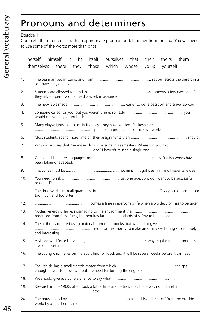## [Pronouns and determiners](#page-4-0)

#### Exercise 1

Complete these sentences with an appropriate pronoun or determiner from the box. You will need to use some of the words more than once.

|     | herself<br>himself<br>itself<br>ourselves that<br>theirs<br>it<br>their<br>them<br>its<br>which<br>themselves<br>there<br>those<br>whose<br>they<br>yourself<br>yours |  |  |  |  |  |  |  |  |  |  |
|-----|-----------------------------------------------------------------------------------------------------------------------------------------------------------------------|--|--|--|--|--|--|--|--|--|--|
| 1.  | southwesterly direction.                                                                                                                                              |  |  |  |  |  |  |  |  |  |  |
| 2.  | they ask for permission at least a week in advance.                                                                                                                   |  |  |  |  |  |  |  |  |  |  |
| 3.  |                                                                                                                                                                       |  |  |  |  |  |  |  |  |  |  |
| 4.  | would call when you got back.                                                                                                                                         |  |  |  |  |  |  |  |  |  |  |
| 5.  | Many playwrights like to act in the plays they have written. Shakespeare                                                                                              |  |  |  |  |  |  |  |  |  |  |
| 6.  |                                                                                                                                                                       |  |  |  |  |  |  |  |  |  |  |
| 7.  | Why did you say that I've missed lots of lessons this semester? Where did you get                                                                                     |  |  |  |  |  |  |  |  |  |  |
| 8.  | been taken or adapted.                                                                                                                                                |  |  |  |  |  |  |  |  |  |  |
| 9.  |                                                                                                                                                                       |  |  |  |  |  |  |  |  |  |  |
| 10. | or don't I?                                                                                                                                                           |  |  |  |  |  |  |  |  |  |  |
| 11. | too much and too often.                                                                                                                                               |  |  |  |  |  |  |  |  |  |  |
| 12. |                                                                                                                                                                       |  |  |  |  |  |  |  |  |  |  |
| 13. | produced from fossil fuels, but requires far higher standards of safety to be applied.                                                                                |  |  |  |  |  |  |  |  |  |  |
| 14. | The authors admitted using material from other books, but we had to give                                                                                              |  |  |  |  |  |  |  |  |  |  |
|     | and interesting.                                                                                                                                                      |  |  |  |  |  |  |  |  |  |  |
| 15. | are so important.                                                                                                                                                     |  |  |  |  |  |  |  |  |  |  |
| 16. | The young chick relies on the adult bird for food, and it will be several weeks before it can feed                                                                    |  |  |  |  |  |  |  |  |  |  |
| 17. | enough power to move without the need for turning the engine on.                                                                                                      |  |  |  |  |  |  |  |  |  |  |
| 18. |                                                                                                                                                                       |  |  |  |  |  |  |  |  |  |  |
| 19. | Research in the 1960s often took a lot of time and patience, as there was no Internet in                                                                              |  |  |  |  |  |  |  |  |  |  |
| 20. | world by a treacherous reef.                                                                                                                                          |  |  |  |  |  |  |  |  |  |  |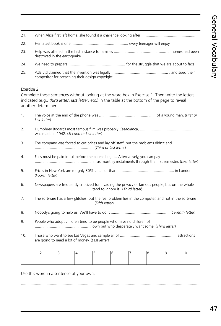| 21.        |                                                                                                                                                                                                                             |
|------------|-----------------------------------------------------------------------------------------------------------------------------------------------------------------------------------------------------------------------------|
| 22.        |                                                                                                                                                                                                                             |
| 23.        | destroyed in the earthquake.                                                                                                                                                                                                |
| 24.        |                                                                                                                                                                                                                             |
| 25.        | competitor for breaching their design copyright.                                                                                                                                                                            |
| Exercise 2 | Complete these sentences without looking at the word box in Exercise 1. Then write the letters<br>indicated (e.g., third letter, last letter, etc.) in the table at the bottom of the page to reveal<br>another determiner. |
| 1.         | last letter)                                                                                                                                                                                                                |
| 2.         | was made in 1942. (Second or last letter)                                                                                                                                                                                   |
| 3.         | The company was forced to cut prices and lay off staff, but the problems didn't end                                                                                                                                         |
| 4.         | Fees must be paid in full before the course begins. Alternatively, you can pay                                                                                                                                              |
| 5.         | (Fourth letter)                                                                                                                                                                                                             |
| 6.         | Newspapers are frequently criticized for invading the privacy of famous people, but on the whole                                                                                                                            |
| 7.         | The software has a few glitches, but the real problem lies in the computer, and not in the software                                                                                                                         |
| 8.         |                                                                                                                                                                                                                             |
| 9.         | People who adopt children tend to be people who have no children of                                                                                                                                                         |
| 10.        | are going to need a lot of money. (Last letter)                                                                                                                                                                             |

Use this word in a sentence of your own:

....................................................................................................................................................................... .......................................................................................................................................................................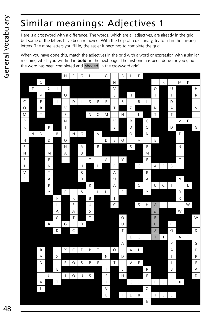## [Similar meanings: Adjectives 1](#page-4-0)

Here is a crossword with a difference. The words, which are all adjectives, are already in the grid, but some of the letters have been removed. With the help of a dictionary, try to fill in the missing letters. The more letters you fill in, the easier it becomes to complete the grid.

When you have done this, match the adjectives in the grid with a word or expression with a similar meaning which you will find in **bold** on the next page. The first one has been done for you (and the word has been completed and shaded in the crossword grid).

|              |           |                           |                                                                                                            |                           | ${\sf N}$                                                                                                                                                                                                                                                                                                                                                                        | $\mathsf E$               | G            | L           |             | G                         |                                                                                                            | $\sf B$                   | L            | $\mathsf E$  |                                                                                                            |                  |             |                          |                          |           |                          |
|--------------|-----------|---------------------------|------------------------------------------------------------------------------------------------------------|---------------------------|----------------------------------------------------------------------------------------------------------------------------------------------------------------------------------------------------------------------------------------------------------------------------------------------------------------------------------------------------------------------------------|---------------------------|--------------|-------------|-------------|---------------------------|------------------------------------------------------------------------------------------------------------|---------------------------|--------------|--------------|------------------------------------------------------------------------------------------------------------|------------------|-------------|--------------------------|--------------------------|-----------|--------------------------|
|              |           | $\mathsf C$               |                                                                                                            |                           |                                                                                                                                                                                                                                                                                                                                                                                  |                           |              |             |             |                           | $\mathsf{N}$                                                                                               |                           |              |              |                                                                                                            |                  | ${\sf R}$   |                          | M                        | ${\sf P}$ |                          |
|              | $\sf T$   |                           | X                                                                                                          | $\mathbf{I}$              |                                                                                                                                                                                                                                                                                                                                                                                  |                           |              |             |             |                           | $\vee$                                                                                                     |                           |              |              |                                                                                                            | $\bigcirc$       |             | U                        |                          |           | Н                        |
|              |           | $\vee$                    |                                                                                                            |                           | $\bigcirc$                                                                                                                                                                                                                                                                                                                                                                       |                           |              |             |             |                           | $\mathsf E$                                                                                                |                           | $\mathsf{H}$ |              |                                                                                                            | $\top$           |             | $\sf T$                  |                          |           | ${\sf R}$                |
| $\mathsf C$  |           | E                         |                                                                                                            | $\perp$                   |                                                                                                                                                                                                                                                                                                                                                                                  | D                         | $\mathsf{I}$ | $\mathsf S$ | ${\sf P}$   | $\mathsf E$               |                                                                                                            | $\mathsf S$               |              | $\sf B$      | L                                                                                                          |                  |             | D                        |                          |           | $\mathbf{I}$             |
| $\bigcirc$   |           | ${\sf R}$                 |                                                                                                            |                           | $\vee$                                                                                                                                                                                                                                                                                                                                                                           |                           |              |             |             |                           | $\top$                                                                                                     |                           | $\mathsf Z$  |              |                                                                                                            | ${\sf N}$        |             | $\mathsf A$              |                          |           | $\vee$                   |
| ${\sf M}$    |           | $\mathsf T$               |                                                                                                            |                           | E                                                                                                                                                                                                                                                                                                                                                                                |                           |              | ${\sf N}$   | $\bigcirc$  | M                         |                                                                                                            | ${\sf N}$                 |              | L            |                                                                                                            | $\top$           |             | $\top$                   |                          |           | $\overline{\phantom{a}}$ |
| ${\sf P}$    |           |                           |                                                                                                            |                           | ${\sf N}$                                                                                                                                                                                                                                                                                                                                                                        |                           |              |             |             |                           | $\vee$                                                                                                     |                           | ${\sf R}$    |              | $\mathsf C$                                                                                                |                  |             |                          | $\vee$                   | E         |                          |
| ${\sf R}$    |           |                           | ${\sf R}$                                                                                                  |                           | $\top$                                                                                                                                                                                                                                                                                                                                                                           |                           |              |             |             |                           | $\mathsf E$                                                                                                |                           | $\mathsf D$  |              | $\bigcirc$                                                                                                 |                  |             | $\mathsf D$              |                          |           | G                        |
|              | ${\sf N}$ | D                         |                                                                                                            | ${\sf R}$                 |                                                                                                                                                                                                                                                                                                                                                                                  | ${\sf N}$                 | G            |             | $\vee$      |                           |                                                                                                            |                           | $\bigcirc$   |              | ${\sf N}$                                                                                                  |                  |             |                          | F                        |           |                          |
| H            |           |                           | D                                                                                                          |                           | $\bigcirc$                                                                                                                                                                                                                                                                                                                                                                       |                           |              |             |             | D                         | $\mathsf E$                                                                                                | Q                         |              | A            |                                                                                                            | $\mathsf E$      |             |                          | $\overline{\phantom{a}}$ |           |                          |
| $\sf E$      |           |                           | $\overline{\phantom{a}}$                                                                                   |                           | ${\sf N}$                                                                                                                                                                                                                                                                                                                                                                        |                           | A            |             | ${\sf R}$   |                           |                                                                                                            |                           | $\mathsf S$  |              | $\mathsf E$                                                                                                |                  |             |                          | ${\sf N}$                |           |                          |
| ${\sf N}$    |           |                           | $\mathsf{M}% _{T}=\mathsf{M}_{T}\!\left( a,b\right) ,\ \mathsf{M}_{T}=\mathsf{M}_{T}\!\left( a,b\right) ,$ |                           | $\mathsf A$                                                                                                                                                                                                                                                                                                                                                                      |                           | $\sf B$      |             | $\mathsf I$ |                           |                                                                                                            |                           |              |              | $\mathsf{M}% _{T}=\mathsf{M}_{T}\!\left( a,b\right) ,\ \mathsf{M}_{T}=\mathsf{M}_{T}\!\left( a,b\right) ,$ |                  |             |                          | $\mathbf{I}$             |           |                          |
| $\sf S$      |           |                           | $\mathsf E$                                                                                                |                           | $\mathsf L$                                                                                                                                                                                                                                                                                                                                                                      |                           |              | $\mathsf T$ |             | $\boldsymbol{\mathsf{A}}$ |                                                                                                            | $\mathsf Y$               |              |              | $\sf P$                                                                                                    |                  |             |                          | $\mathsf T$              |           |                          |
| $\mathsf{I}$ |           |                           | ${\sf N}$                                                                                                  |                           |                                                                                                                                                                                                                                                                                                                                                                                  |                           | $\cup$       |             | $\mathsf D$ |                           | ${\sf R}$                                                                                                  |                           |              | $\mathsf C$  |                                                                                                            | Α                | ${\sf R}$   | $\mathsf S$              |                          |           |                          |
| $\vee$       |           |                           | $\sf T$                                                                                                    |                           |                                                                                                                                                                                                                                                                                                                                                                                  |                           | ${\sf R}$    |             |             |                           | $\boldsymbol{\mathsf{A}}$                                                                                  |                           |              |              | ${\sf R}$                                                                                                  |                  |             |                          |                          |           |                          |
| $\mathsf E$  |           |                           | $\mathsf A$                                                                                                |                           |                                                                                                                                                                                                                                                                                                                                                                                  |                           | D            |             |             |                           | $\mathsf{M}% _{T}=\mathsf{M}_{T}\!\left( a,b\right) ,\ \mathsf{M}_{T}=\mathsf{M}_{T}\!\left( a,b\right) ,$ |                           |              |              | $\mathsf A$                                                                                                |                  |             |                          | ${\sf N}$                |           |                          |
|              |           |                           | ${\sf R}$                                                                                                  |                           |                                                                                                                                                                                                                                                                                                                                                                                  |                           |              | ${\sf R}$   |             |                           | $\mathsf A$                                                                                                |                           |              | $\mathsf C$  |                                                                                                            | $\cup$           | $\mathsf C$ | $\mathbf{I}$             |                          | L         |                          |
|              |           |                           | Y                                                                                                          |                           | ${\sf R}$                                                                                                                                                                                                                                                                                                                                                                        |                           | $\mathsf S$  |             | $\mathsf L$ | $\cup$                    |                                                                                                            | $\mathsf E$               |              |              | Υ                                                                                                          |                  |             |                          | ${\sf R}$                |           |                          |
|              |           |                           |                                                                                                            | $\mathsf{P}$              |                                                                                                                                                                                                                                                                                                                                                                                  | ${\sf R}$                 |              | $\sf B$     |             |                           | $\begin{array}{c} \hline \end{array}$                                                                      |                           |              |              |                                                                                                            |                  |             |                          | ${\sf R}$                |           |                          |
|              |           |                           |                                                                                                            | L                         |                                                                                                                                                                                                                                                                                                                                                                                  | ${\sf R}$                 |              | $\cup$      |             |                           | $\mathsf C$                                                                                                |                           |              | $\mathsf S$  | Н                                                                                                          | $\overline{A}$   | L           | L                        |                          | W         |                          |
|              |           |                           |                                                                                                            | $\boldsymbol{\mathsf{A}}$ |                                                                                                                                                                                                                                                                                                                                                                                  | $\boldsymbol{\mathsf{A}}$ |              | $\mathsf S$ |             |                           |                                                                                                            |                           |              |              |                                                                                                            | $\boldsymbol{B}$ |             |                          | W                        |           |                          |
|              |           |                           |                                                                                                            | $\mathsf C$               |                                                                                                                                                                                                                                                                                                                                                                                  | $\top$                    |              | $\sf T$     |             |                           |                                                                                                            | $\bigcirc$                |              |              |                                                                                                            | ${\sf R}$        |             |                          |                          |           | W                        |
|              |           |                           | ${\sf R}$                                                                                                  |                           | G                                                                                                                                                                                                                                                                                                                                                                                |                           | D            |             |             |                           |                                                                                                            | $\cup$                    |              |              |                                                                                                            | $\cup$           |             | $\subset$                |                          |           | $\mathbf{I}$             |
|              |           |                           |                                                                                                            | $\mathsf D$               |                                                                                                                                                                                                                                                                                                                                                                                  | $\mathsf C$               |              |             |             |                           |                                                                                                            | $\mathsf T$               |              |              |                                                                                                            | $\boldsymbol{P}$ |             | $\bigcirc$               |                          |           | D                        |
|              |           |                           |                                                                                                            |                           |                                                                                                                                                                                                                                                                                                                                                                                  |                           |              |             |             |                           |                                                                                                            |                           | Ε            | G            | $\mathbf{I}$                                                                                               | T                | I           |                          | A                        | $\sf T$   |                          |
|              |           |                           |                                                                                                            |                           |                                                                                                                                                                                                                                                                                                                                                                                  |                           |              |             |             |                           |                                                                                                            | $\mathsf A$               |              |              |                                                                                                            |                  |             | $\mathsf{P}$             |                          |           | $\mathsf S$              |
|              |           | ${\sf R}$                 |                                                                                                            |                           | $\mathsf X$                                                                                                                                                                                                                                                                                                                                                                      | $\mathsf C$               | E            | ${\sf P}$   | $\mathsf T$ |                           | $\bigcirc$                                                                                                 |                           | $\mathsf A$  | $\mathsf{L}$ |                                                                                                            |                  |             | A                        |                          |           | ${\sf P}$                |
|              |           | $\mathsf A$               |                                                                                                            | X                         |                                                                                                                                                                                                                                                                                                                                                                                  |                           |              |             |             | ${\sf N}$                 |                                                                                                            | D                         |              |              |                                                                                                            |                  |             | $\sf T$                  |                          |           | ${\sf R}$                |
|              |           | $\mathsf D$               |                                                                                                            |                           | ${\sf R}$                                                                                                                                                                                                                                                                                                                                                                        | $\bigcirc$                | $\sf S$      | ${\sf P}$   | $\mathsf E$ |                           | $\top$                                                                                                     |                           | $\vee$       | $\mathsf E$  |                                                                                                            |                  |             | $\overline{\phantom{a}}$ |                          |           | E                        |
|              |           | $\mathsf I$               |                                                                                                            | E                         |                                                                                                                                                                                                                                                                                                                                                                                  |                           |              |             |             | $\mathbf{I}$              |                                                                                                            | $\mathsf S$               |              |              | ${\sf R}$                                                                                                  |                  |             | $\sf B$                  |                          |           | A                        |
|              |           |                           | $\cup$                                                                                                     |                           | $\begin{array}{c} \rule{0pt}{2.5ex} \rule{0pt}{2.5ex} \rule{0pt}{2.5ex} \rule{0pt}{2.5ex} \rule{0pt}{2.5ex} \rule{0pt}{2.5ex} \rule{0pt}{2.5ex} \rule{0pt}{2.5ex} \rule{0pt}{2.5ex} \rule{0pt}{2.5ex} \rule{0pt}{2.5ex} \rule{0pt}{2.5ex} \rule{0pt}{2.5ex} \rule{0pt}{2.5ex} \rule{0pt}{2.5ex} \rule{0pt}{2.5ex} \rule{0pt}{2.5ex} \rule{0pt}{2.5ex} \rule{0pt}{2.5ex} \rule{0$ | $\bigcirc$                | U            | S           |             | $\mathsf S$               |                                                                                                            | $\boldsymbol{\mathsf{H}}$ |              |              | E                                                                                                          |                  |             | L                        |                          |           | D                        |
|              |           | $\boldsymbol{\mathsf{A}}$ |                                                                                                            | $\mathsf T$               |                                                                                                                                                                                                                                                                                                                                                                                  |                           |              |             |             | $\mathsf I$               |                                                                                                            |                           | $\mathsf C$  | $\bigcirc$   |                                                                                                            | ${\sf P}$        | L           |                          | X                        |           |                          |
|              |           | L                         |                                                                                                            |                           |                                                                                                                                                                                                                                                                                                                                                                                  |                           |              |             |             | $\vee$                    |                                                                                                            |                           |              |              | $\bigcirc$                                                                                                 |                  |             |                          |                          |           |                          |
|              |           |                           |                                                                                                            |                           |                                                                                                                                                                                                                                                                                                                                                                                  |                           |              |             |             | $\sf E$                   |                                                                                                            | $\mathsf F$               | Ε            | ${\sf R}$    |                                                                                                            |                  | L           | $\mathsf E$              |                          |           |                          |
|              |           |                           |                                                                                                            |                           |                                                                                                                                                                                                                                                                                                                                                                                  |                           |              |             |             |                           |                                                                                                            |                           |              |              | $\mathsf E$                                                                                                |                  |             |                          |                          |           |                          |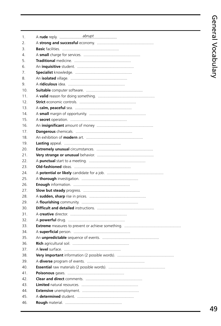| 1.              |  |
|-----------------|--|
| 2.              |  |
| 3.              |  |
| $4_{\cdot}$     |  |
| 5.              |  |
| 6.              |  |
| 7.              |  |
| 8.              |  |
| 9.              |  |
| 10 <sub>1</sub> |  |
| 11.             |  |
| 12.             |  |
| 13.             |  |
| 14.             |  |
| 15.             |  |
| 16.             |  |
| 17.             |  |
| 18.             |  |
| 19.             |  |
| 20.             |  |
| 21.             |  |
| 22.             |  |
| 23.             |  |
| 24.             |  |
| 25.             |  |
| 26.             |  |
| 27.             |  |
| 28.             |  |
| 29.             |  |
| 30.             |  |
| 31.             |  |
| 32.             |  |
| 33.             |  |
| 34.             |  |
| 35.             |  |
| 36.             |  |
| 37.             |  |
| 38.             |  |
| 39.             |  |
| 40.             |  |
| 41.             |  |
| 42 <sub>1</sub> |  |
| 43.             |  |
| 44.             |  |
| 45.             |  |
| 46.             |  |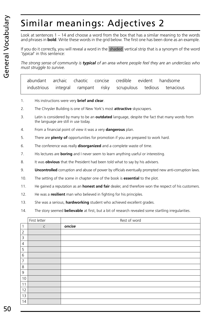## [Similar meanings: Adjectives 2](#page-4-0)

Look at sentences 1 – 14 and choose a word from the box that has a similar meaning to the words and phrases in **bold**. Write these words in the grid below. The first one has been done as an example.

If you do it correctly, you will reveal a word in the shaded vertical strip that is a synonym of the word '*typical*' in this sentence:

*The strong sense of community is typical of an area where people feel they are an underclass who must struggle to survive.*

| abundant archaic chaotic concise credible evident handsome |  |  |                                                                 |
|------------------------------------------------------------|--|--|-----------------------------------------------------------------|
|                                                            |  |  | industrious integral rampant risky scrupulous tedious tenacious |

- 1. His instructions were very **brief and clear**.
- 2. The Chrysler Building is one of New York's most **attractive** skyscrapers.
- 3. Latin is considered by many to be an **outdated** language, despite the fact that many words from the language are still in use today.
- 4. From a financial point of view it was a very **dangerous** plan.
- 5. There are **plenty of** opportunities for promotion if you are prepared to work hard.
- 6. The conference was really **disorganized** and a complete waste of time.
- 7. His lectures are **boring** and I never seem to learn anything useful or interesting.
- 8. It was **obvious** that the President had been told what to say by his advisers.
- 9. **Uncontrolled** corruption and abuse of power by officials eventually prompted new anti-corruption laws.
- 10. The setting of the scene in chapter one of the book is **essential** to the plot.
- 11. He gained a reputation as an **honest and fair** dealer, and therefore won the respect of his customers.
- 12. He was a **resilient** man who believed in fighting for his principles.
- 13. She was a serious, **hardworking** student who achieved excellent grades.
- 14. The story seemed **believable** at first, but a bit of research revealed some startling irregularities.

|                | First letter | Rest of word |
|----------------|--------------|--------------|
| $\mathbf{1}$   | $\mathsf{C}$ | oncise       |
| $\overline{2}$ |              |              |
| $\mathsf 3$    |              |              |
| $\overline{4}$ |              |              |
| 5              |              |              |
| $\,$ 6 $\,$    |              |              |
| $\overline{7}$ |              |              |
| $\,8\,$        |              |              |
| $\mathsf 9$    |              |              |
| 10             |              |              |
| 11             |              |              |
| 12             |              |              |
| 13             |              |              |
| 14             |              |              |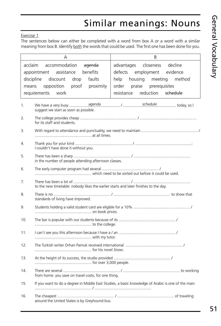## [Similar meanings: Nouns](#page-4-1)

### Exercise 1

The sentences below can either be completed with a word from box A *or* a word with a similar meaning from box B. Identify both the words that could be used. The first one has been done for you.

|         | Α                                                                                    | B                                                                                                 |  |  |  |  |  |  |  |  |
|---------|--------------------------------------------------------------------------------------|---------------------------------------------------------------------------------------------------|--|--|--|--|--|--|--|--|
| acclaim | accommodation<br><del>agenda</del><br>appointment assistance<br>benefits             | advantages closeness decline<br>defects employment evidence                                       |  |  |  |  |  |  |  |  |
|         | discipline discount<br>drop<br>faults                                                | help housing meeting method                                                                       |  |  |  |  |  |  |  |  |
|         | means opposition proof proximity<br>order praise prerequisites                       |                                                                                                   |  |  |  |  |  |  |  |  |
|         | requirements work                                                                    | resistance reduction schedule                                                                     |  |  |  |  |  |  |  |  |
| 1.      | suggest we start as soon as possible.                                                |                                                                                                   |  |  |  |  |  |  |  |  |
| 2.      | for its staff and students.                                                          |                                                                                                   |  |  |  |  |  |  |  |  |
| 3.      |                                                                                      |                                                                                                   |  |  |  |  |  |  |  |  |
| 4.      | I couldn't have done it without you.                                                 |                                                                                                   |  |  |  |  |  |  |  |  |
| 5.      | in the number of people attending afternoon classes.                                 |                                                                                                   |  |  |  |  |  |  |  |  |
| 6.      |                                                                                      |                                                                                                   |  |  |  |  |  |  |  |  |
| 7.      | to the new timetable: nobody likes the earlier starts and later finishes to the day. |                                                                                                   |  |  |  |  |  |  |  |  |
| 8.      | standards of living have improved.                                                   |                                                                                                   |  |  |  |  |  |  |  |  |
| 9.      |                                                                                      |                                                                                                   |  |  |  |  |  |  |  |  |
| 10.     |                                                                                      |                                                                                                   |  |  |  |  |  |  |  |  |
| 11.     |                                                                                      |                                                                                                   |  |  |  |  |  |  |  |  |
| 12.     |                                                                                      |                                                                                                   |  |  |  |  |  |  |  |  |
| 13.     |                                                                                      |                                                                                                   |  |  |  |  |  |  |  |  |
| 14.     | from home: you save on travel costs, for one thing.                                  |                                                                                                   |  |  |  |  |  |  |  |  |
| 15.     |                                                                                      | If you want to do a degree in Middle East Studies, a basic knowledge of Arabic is one of the main |  |  |  |  |  |  |  |  |
| 16.     | around the United States is by Greyhound bus.                                        |                                                                                                   |  |  |  |  |  |  |  |  |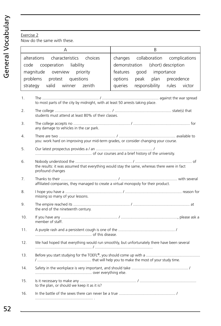### <u>Exercise 2</u>

Now do the same with these.

| A                                                                 | B                                                                                           |
|-------------------------------------------------------------------|---------------------------------------------------------------------------------------------|
| alterations characteristics choices<br>code cooperation liability | changes collaboration complications<br>demonstration (short) description                    |
| magnitude overview priority                                       | features good importance                                                                    |
| problems protest questions                                        | peak plan precedence<br>options                                                             |
| strategy valid winner zenith                                      | responsibility rules victor<br>queries                                                      |
| 1.                                                                | to most parts of the city by midnight, with at least 50 arrests taking place.               |
| 2.<br>students must attend at least 80% of their classes.         |                                                                                             |
| 3.<br>any damage to vehicles in the car park.                     |                                                                                             |
| 4.                                                                | you: work hard on improving your mid-term grades, or consider changing your course.         |
| 5.                                                                |                                                                                             |
| 6.<br>profound changes                                            | the results: it was assumed that everything would stay the same, whereas there were in fact |
| 7.                                                                | affiliated companies, they managed to create a virtual monopoly for their product.          |
| 8.<br>missing so many of your lessons.                            |                                                                                             |
| 9.<br>the end of the nineteenth century.                          |                                                                                             |
| 10.<br>member of staff.                                           |                                                                                             |
| 11.                                                               |                                                                                             |
| 12.                                                               | We had hoped that everything would run smoothly, but unfortunately there have been several  |
| 13.                                                               |                                                                                             |
| 14.                                                               |                                                                                             |
| 15.<br>to the plan, or should we keep it as it is?                |                                                                                             |
| 16.                                                               |                                                                                             |
|                                                                   |                                                                                             |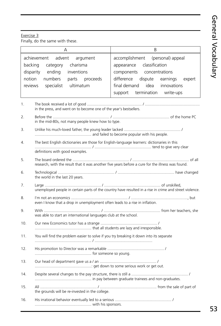### <u>Exercise 3</u>

Finally, do the same with these.

|         | A                                                                                                                                                                                                                                                  | B                                                                                                                                                                                                     |  |  |  |  |  |
|---------|----------------------------------------------------------------------------------------------------------------------------------------------------------------------------------------------------------------------------------------------------|-------------------------------------------------------------------------------------------------------------------------------------------------------------------------------------------------------|--|--|--|--|--|
| reviews | achievement advent argument<br>backing<br>category charisma<br>disparity ending inventions<br>notion numbers parts proceeds<br>specialist ultimatum                                                                                                | accomplishment (personal) appeal<br>appearance classification<br>components concentrations<br>difference dispute earnings<br>expert<br>final demand idea innovations<br>support termination write-ups |  |  |  |  |  |
| 1.      | in the press, and went on to become one of the year's bestsellers.                                                                                                                                                                                 |                                                                                                                                                                                                       |  |  |  |  |  |
| 2.      | in the mid-80s, not many people knew how to type.                                                                                                                                                                                                  |                                                                                                                                                                                                       |  |  |  |  |  |
| 3.      |                                                                                                                                                                                                                                                    |                                                                                                                                                                                                       |  |  |  |  |  |
| 4.      | The best English dictionaries are those for English-language learners: dictionaries in this<br>tend to give very clear (discussion of the control of the control of the control of the control of the control o<br>definitions with good examples. |                                                                                                                                                                                                       |  |  |  |  |  |
| 5.      | research, with the result that it was another five years before a cure for the illness was found.                                                                                                                                                  |                                                                                                                                                                                                       |  |  |  |  |  |
| 6.      | the world in the last 20 years.                                                                                                                                                                                                                    |                                                                                                                                                                                                       |  |  |  |  |  |
| 7.      |                                                                                                                                                                                                                                                    | unemployed people in certain parts of the country have resulted in a rise in crime and street violence.                                                                                               |  |  |  |  |  |
| 8.      | even I know that a drop in unemployment often leads to a rise in inflation.                                                                                                                                                                        |                                                                                                                                                                                                       |  |  |  |  |  |
| 9.      | was able to start an international languages club at the school.                                                                                                                                                                                   |                                                                                                                                                                                                       |  |  |  |  |  |
| 10.     |                                                                                                                                                                                                                                                    |                                                                                                                                                                                                       |  |  |  |  |  |
| 11.     | You will find the problem easier to solve if you try breaking it down into its separate                                                                                                                                                            |                                                                                                                                                                                                       |  |  |  |  |  |
| 12.     |                                                                                                                                                                                                                                                    |                                                                                                                                                                                                       |  |  |  |  |  |
| 13.     |                                                                                                                                                                                                                                                    |                                                                                                                                                                                                       |  |  |  |  |  |
| 14.     |                                                                                                                                                                                                                                                    |                                                                                                                                                                                                       |  |  |  |  |  |
| 15.     | the grounds will be re-invested in the college.                                                                                                                                                                                                    |                                                                                                                                                                                                       |  |  |  |  |  |
| 16.     |                                                                                                                                                                                                                                                    |                                                                                                                                                                                                       |  |  |  |  |  |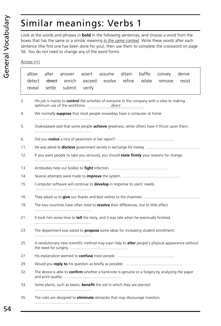## [Similar meanings: Verbs 1](#page-4-0)

Look at the words and phrases in **bold** in the following sentences, and choose a word from the boxes that has the same or a similar meaning *in the same context*. Write these words after each sentence (the first one has been done for you), then use them to complete the crossword on page 56. You do not need to change any of the word forms.

### $Across$  ( $\Rightarrow$ )

|     | allow<br>detect<br>reveal                                                                           | alter<br>direct<br>settle                                                                   | answer<br>enrich<br>submit | assert<br>exceed<br>verify | assume<br>evolve                                                                       | attain<br>refine | baffle<br>relate | convey<br>remove                                                                                       | derive<br>resist                                                                                  |
|-----|-----------------------------------------------------------------------------------------------------|---------------------------------------------------------------------------------------------|----------------------------|----------------------------|----------------------------------------------------------------------------------------|------------------|------------------|--------------------------------------------------------------------------------------------------------|---------------------------------------------------------------------------------------------------|
| 2.  | His job is mainly to <b>control</b> the activities of everyone in the company with a view to making |                                                                                             |                            |                            |                                                                                        |                  |                  |                                                                                                        |                                                                                                   |
| 4.  |                                                                                                     | We normally suppose that most people nowadays have a computer at home.                      |                            |                            |                                                                                        |                  |                  |                                                                                                        |                                                                                                   |
| 5.  |                                                                                                     | Shakespeare said that some people achieve greatness, while others have it thrust upon them. |                            |                            |                                                                                        |                  |                  |                                                                                                        |                                                                                                   |
| 6.  |                                                                                                     |                                                                                             |                            |                            |                                                                                        |                  |                  |                                                                                                        |                                                                                                   |
| 11. |                                                                                                     |                                                                                             |                            |                            |                                                                                        |                  |                  |                                                                                                        |                                                                                                   |
| 12. |                                                                                                     |                                                                                             |                            |                            |                                                                                        |                  |                  | If you want people to take you seriously, you should <b>state firmly</b> your reasons for change.      |                                                                                                   |
| 13. |                                                                                                     |                                                                                             |                            |                            |                                                                                        |                  |                  |                                                                                                        |                                                                                                   |
| 14. |                                                                                                     |                                                                                             |                            |                            |                                                                                        |                  |                  |                                                                                                        |                                                                                                   |
| 15. |                                                                                                     |                                                                                             |                            |                            | Computer software will continue to develop in response to users' needs.                |                  |                  |                                                                                                        |                                                                                                   |
| 16. |                                                                                                     |                                                                                             |                            |                            |                                                                                        |                  |                  |                                                                                                        |                                                                                                   |
| 19. |                                                                                                     |                                                                                             |                            |                            | The two countries have often tried to resolve their differences, but to little effect. |                  |                  |                                                                                                        |                                                                                                   |
| 21. |                                                                                                     | It took him some time to tell the story, and it was late when he eventually finished.       |                            |                            |                                                                                        |                  |                  |                                                                                                        |                                                                                                   |
| 23. |                                                                                                     | The department was asked to <b>propose</b> some ideas for increasing student enrollment.    |                            |                            |                                                                                        |                  |                  |                                                                                                        |                                                                                                   |
| 25. |                                                                                                     |                                                                                             |                            |                            |                                                                                        |                  |                  |                                                                                                        | A revolutionary new scientific method may soon help to alter people's physical appearance without |
| 27. |                                                                                                     |                                                                                             |                            |                            |                                                                                        |                  |                  |                                                                                                        |                                                                                                   |
| 29. |                                                                                                     |                                                                                             |                            |                            |                                                                                        |                  |                  |                                                                                                        |                                                                                                   |
| 32. |                                                                                                     |                                                                                             |                            |                            |                                                                                        |                  |                  | The device is able to <b>confirm</b> whether a banknote is genuine or a forgery by analyzing the paper |                                                                                                   |
| 33. |                                                                                                     |                                                                                             |                            |                            | Some plants, such as beans, <b>benefit</b> the soil in which they are planted.         |                  |                  |                                                                                                        |                                                                                                   |
| 35. |                                                                                                     |                                                                                             |                            |                            | The rules are designed to <b>eliminate</b> obstacles that may discourage investors.    |                  |                  |                                                                                                        |                                                                                                   |
|     |                                                                                                     |                                                                                             |                            |                            |                                                                                        |                  |                  |                                                                                                        |                                                                                                   |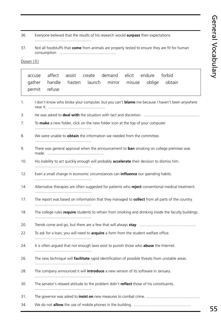36. Everyone believed that the results of his research would **surpass** their expectations.

.....................................................

37. Not all foodstuffs that **come** from animals are properly tested to ensure they are fit for human consumption. .....................................................

Down  $(\sqrtU)$ 

 $\overline{1}$ 

|     | affect<br>demand<br>elicit<br>forbid<br>assist<br>endure<br>create<br>accuse<br>handle<br>launch mirror<br>gather<br>misuse<br>oblige<br>obtain<br>hasten<br>refuse<br>permit |  |  |  |  |  |  |
|-----|-------------------------------------------------------------------------------------------------------------------------------------------------------------------------------|--|--|--|--|--|--|
| 1.  | I don't know who broke your computer, but you can't blame me because I haven't been anywhere                                                                                  |  |  |  |  |  |  |
| 3.  |                                                                                                                                                                               |  |  |  |  |  |  |
| 7.  | To make a new folder, click on the new folder icon at the top of your computer.                                                                                               |  |  |  |  |  |  |
| 8.  | We were unable to <b>obtain</b> the information we needed from the committee.                                                                                                 |  |  |  |  |  |  |
| 9.  | There was general approval when the announcement to <b>ban</b> smoking on college premises was                                                                                |  |  |  |  |  |  |
| 10. | His inability to act quickly enough will probably accelerate their decision to dismiss him.                                                                                   |  |  |  |  |  |  |
| 12. | Even a small change in economic circumstances can <i>influence</i> our spending habits.                                                                                       |  |  |  |  |  |  |
| 14. | Alternative therapies are often suggested for patients who reject conventional medical treatment.                                                                             |  |  |  |  |  |  |
| 17. | The report was based on information that they managed to <b>collect</b> from all parts of the country.                                                                        |  |  |  |  |  |  |
| 18. | The college rules require students to refrain from smoking and drinking inside the faculty buildings.                                                                         |  |  |  |  |  |  |
| 20. |                                                                                                                                                                               |  |  |  |  |  |  |
| 22. | To ask for a loan, you will need to acquire a form from the student welfare office.                                                                                           |  |  |  |  |  |  |
| 24. | It is often argued that not enough laws exist to punish those who abuse the Internet.                                                                                         |  |  |  |  |  |  |
| 26. | The new technique will facilitate rapid identification of possible threats from unstable areas.                                                                               |  |  |  |  |  |  |
| 28. | The company announced it will <b>introduce</b> a new version of its software in January.                                                                                      |  |  |  |  |  |  |
| 30. | The senator's relaxed attitude to the problem didn't reflect those of his constituents.                                                                                       |  |  |  |  |  |  |
| 31. |                                                                                                                                                                               |  |  |  |  |  |  |
| 34. |                                                                                                                                                                               |  |  |  |  |  |  |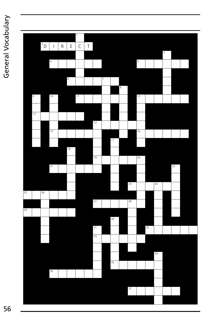General Vocabulary General Vocabulary

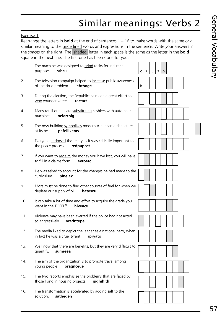# [Similar meanings: Verbs 2](#page-4-1)

### Exercise 1

Rearrange the letters in **bold** at the end of sentences 1 – 16 to make words with the same or a similar meaning to the underlined words and expressions in the sentence. Write your answers in the spaces on the right. The shaded letter in each space is the same as the letter in the **bold** square in the next line. The first one has been done for you.

- 1. The machine was designed to grind rocks for industrial purposes. **srhcu**
- 2. The television campaign helped to increase public awareness of the drug problem. **iehthnge**
- 3. During the election, the Republicans made a great effort to woo younger voters. **tactart**
- 4. Many retail outlets are substituting cashiers with automatic machines. **nelarcpig**
- 5. The new building symbolizes modern American architecture at its best. **pefeliixems**
- 6. Everyone endorsed the treaty as it was critically important to the peace process. **redpupost**
- 7. If you want to reclaim the money you have lost, you will have to fill in a claims form. **evroerc**
- 8. He was asked to account for the changes he had made to the curriculum. **pinelax**
- 9. More must be done to find other sources of fuel for when we deplete our supply of oil. **hatesxu**
- 10. It can take a lot of time and effort to acquire the grade you want in the TOEFL®. **hiveace**
- 11. Violence may have been averted if the police had not acted so aggressively. **vredntepe**
- 12. The media liked to depict the leader as a national hero, when in fact he was a cruel tyrant. **rpryato**
- 13. We know that there are benefits, but they are very difficult to quantify. **sumreea**
- 14. The aim of the organization is to promote travel among young people. **oragnceue**
- 15. The two reports emphasize the problems that are faced by those living in housing projects. **gighihlth**
- 16. The transformation is accelerated by adding salt to the solution. **satheden**

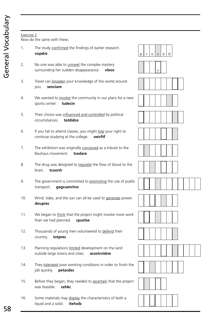### Exercise 2 Now do the same with these.

- 1. The study confirmed the findings of earlier research. **vopdre**
- 2. No one was able to unravel the complex mystery surrounding her sudden disappearance. **vleos**
- 3. Travel can broaden your knowledge of the world around you. **senciare**
- 4. We wanted to involve the community in our plans for a new sports center. **ludecin**
- 5. Their choice was influenced and controlled by political circumstances. **tatdidce**
- 6. If you fail to attend classes, you might lose your right to continue studying at the college. **oeirftf**
- 7. The exhibition was originally conceived as a tribute to the Bauhaus movement. **tcedare**
- 8. The drug was designed to regulate the flow of blood to the brain. **tcoonlr**
- 9. The government is committed to promoting the use of public transport. **gagcuenrino**
- 10. Wind, tides, and the sun can all be used to generate power. **douprec**
- 11. We began to think that the project might involve more work than we had planned. **cpustse**
- 12. Thousands of young men volunteered to defend their country. **totprec**
- 13. Planning regulations limited development on the land outside large towns and cities. **acostrnidne**
- 14. They tolerated poor working conditions in order to finish the job quickly. **petacdec**
- 15. Before they began, they needed to ascertain that the project was feasible. **cehkc**
- 16. Some materials may display the characteristics of both a liquid and a solid. **itehxib**

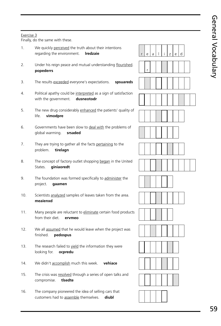#### Exercise 3

Finally, do the same with these.

- 1. We quickly perceived the truth about their intentions regarding the environment. **lredzaie**
- 2. Under his reign peace and mutual understanding flourished. **popederrs**
- 3. The results exceeded everyone's expectations. **spsuareds**
- 4. Political apathy could be interpreted as a sign of satisfaction with the government. **dusneotodr**
- 5. The new drug considerably enhanced the patients' quality of life. **vimodpre**
- 6. Governments have been slow to deal with the problems of global warming. **srsaded**
- 7. They are trying to gather all the facts pertaining to the problem. **tirelagn**
- 8. The concept of factory outlet shopping began in the United States. **giniaoredt**
- 9. The foundation was formed specifically to administer the project. **gaamen**
- 10. Scientists analyzed samples of leaves taken from the area. **meaienxd**
- 11. Many people are reluctant to eliminate certain food products from their diet. **ervmeo**
- 12. We all assumed that he would leave when the project was finished. **pedospus**
- 13. The research failed to yield the information they were looking for. **ocpredu**
- 14. We didn't accomplish much this week. **vehiace**
- 15. The crisis was resolved through a series of open talks and compromise. **tlsedte**
- 16. The company pioneered the idea of selling cars that customers had to assemble themselves. **diubl**

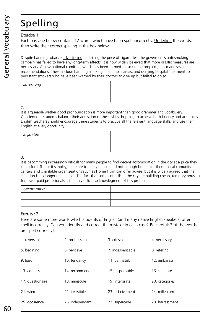# [Spelling](#page-4-0)

#### Exercise 1

Each passage below contains 12 words which have been spelt incorrectly. Underline the words, then write their correct spelling in the box below.

#### 1.

Despite banning tobacco advertiseing and rising the price of cigarrettes, the goverment's anti-smoking campain has failed to have any long-term affects. It is now widely beleived that more drastic measures are neccessary. A new national comittee, which has been formed to tackle the proplem, has made several reccomendations. These include banning smoking in all public areas, and denying hospital treatment to persistant smokers who have been warned by their doctors to give up but failed to do so.

| advertising |  |  |
|-------------|--|--|
|             |  |  |
|             |  |  |

2.

It is argueable wether good pronounciation is more important than good grammer and vocabulery. Consientious students balance their aquisition of these skills, hopeing to acheive both fluency and accuracey. English teachers should encourage there students to practice all the relevant language skills, and use their English at every oportunity.

| arguable |  |  |
|----------|--|--|
|          |  |  |
|          |  |  |

3.

It is becomming increasingly dificult for many people to find decent accomodation in the city at a price they can afford. To put it simpley, there are to many people and not enough homes for them. Local comunity centers and charitable organizeations such as Home Front can offer advise, but it is widely agreed that the situation is no longer managable. The fact that some councils in the city are building cheap, tempory housing for lower-paid profesionals is the only official acknowlegment of this problem.

| becomming |  |  |
|-----------|--|--|
|           |  |  |
|           |  |  |

### Exercise 2

Here are some more words which students of English (and many native English speakers) often spell incorrectly. Can you identify and correct the mistake in each case? Be careful: 3 of the words are spelt correctly!

| 1. reversable    | 2. proffessional | 3. critisize     | 4. neccesary    |
|------------------|------------------|------------------|-----------------|
| 5. begining      | 6. percieve      | 7. indespensable | 8. refering     |
| 9. liason        | 10. tendancy     | 11. definately   | 12. embarass    |
| 13. address      | 14. recommend    | 15. responsable  | 16. seperate    |
| 17. questionaire | 18. miniscule    | 19. intergrate   | 20. categories  |
| 21. wierd        | 22. iresistible  | 23. acheivement  | 24. millenium   |
| 25. occurence    | 26. independant  | 27. supercede    | 28. harrassment |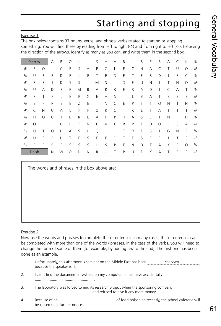## [Starting and stopping](#page-4-1)

#### Exercise 1

The box below contains 37 nouns, verbs, and phrasal verbs related to starting or stopping something. You will find these by reading from left to right  $(\Rightarrow)$  and from right to left  $(\Leftarrow)$ , following the direction of the arrows. Identify as many as you can, and write them in the second box.

|                | Start $\Rightarrow$ |              | А           | Β | 0 |              |   | S | H         | А       | $\mathsf R$ |           | S            | E           | Β       | А | C            | К              | $\sigma$                 |
|----------------|---------------------|--------------|-------------|---|---|--------------|---|---|-----------|---------|-------------|-----------|--------------|-------------|---------|---|--------------|----------------|--------------------------|
| ∉              | S                   | O            |             | C | Ε | S            | А | E | C         |         | E           | C         | $\mathsf{N}$ | A           | C       | Τ | U            | $\circ$        | ₽                        |
| $\phi$         | U                   | $\mathsf{R}$ | E           | D | E | L            | E | Τ | E         | D       | E           | Τ         | Ε            | $\mathsf R$ | D       |   | S            | C              | $\sigma$                 |
| ∉              | S                   | S            |             | D | S | S            |   | M | S         |         | D           | E         | U            | N           |         |   | N            | O              | ↩                        |
| $\phi$         | U                   | А            | D           | E | E | M            | B | A | ${\sf R}$ | К       | E           | ${\sf R}$ | А            | D           |         | C | A            | Τ              | $\overline{\mathcal{L}}$ |
| ∉              | $\mathsf{R}$        |              | F           |   | E | P            | Χ | Ε | Η         | S       |             |           | $\sf B$      | А           | Т       | S | E            | E              | ₽                        |
| Ъ              | E                   | F            | $\mathsf R$ | E | E | Ζ            | E |   | N         | C       | E           | P         | T            |             | $\circ$ | N |              | $\mathsf{N}$   | $\mathfrak{P}$           |
| $\mathcal{L}$  | $\mathsf{C}$        | N            | U           | А |   | F            | F | O | К         | C       |             | Κ         | E            | Т           | А       |   | Τ            |                | ₽                        |
| $\mathfrak{B}$ | $\overline{H}$      | $\circ$      | U           |   | B | $\mathsf{R}$ | E | А | К         | P       | H           | А         | S            | E           |         | N | P            | $\overline{H}$ | $\sigma$                 |
| $\mathcal{L}$  | $\circ$             |              |             | U | P | Τ            | N | E | V         | E       | R           | P         | Τ            | U           | O       | Ε | S            | A              | ₽                        |
| $\phi$         | U                   |              | Q           | U | Α | S            | Η | Q | U         |         | Τ           | R         | E            | S           |         | G | $\mathsf{N}$ | ${\sf R}$      | $\sigma$                 |
| ∉              | U                   | S            | P           | U | Τ | E            | S | F | F         | $\circ$ | Τ           | E         | S            | E           | R       |   | Τ            | E              | ₽                        |
| $\mathfrak{B}$ | P                   | P            | $\mathsf R$ | E | S | S            | S | U | S         | P       | E           | N         | D            | Т           | А       | Κ | E            | $\circ$        | $\sigma$                 |
|                | Finish              |              | Ν           | W | O | D            | Ν | R | U         | Τ       | P           | U         | Ε            | К           | А       |   | F            | F              | ₽                        |

The words and phrases in the box above are:

#### Exercise 2

Now use the words and phrases to complete these sentences. In many cases, these sentences can be completed with more than one of the words / phrases. In the case of the verbs, you will need to change the form of some of them (for example, by adding -*ed* to the end). The first one has been done as an example.

- 1. Unfortunately, this afternoon's seminar on the Middle East has been *canceled*  because the speaker is ill.
- 2. I can't find the document anywhere on my computer. I must have accidentally ..................................................... it.
- 3. The laboratory was forced to end its research project when the sponsoring company ..................................................... and refused to give it any more money.
- 4. Because of an ..................................................... of food poisoning recently, the school cafeteria will be closed until further notice.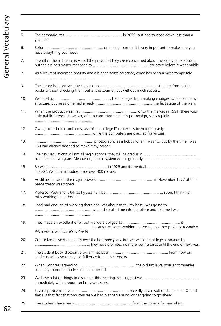| 5.  |                                                                                                          |  |  |  |  |  |
|-----|----------------------------------------------------------------------------------------------------------|--|--|--|--|--|
|     | year later.                                                                                              |  |  |  |  |  |
| 6.  | have everything you need.                                                                                |  |  |  |  |  |
| 7.  | Several of the airline's crews told the press that they were concerned about the safety of its aircraft, |  |  |  |  |  |
| 8.  | As a result of increased security and a bigger police presence, crime has been almost completely         |  |  |  |  |  |
| 9.  | books without checking them out at the counter, but without much success.                                |  |  |  |  |  |
| 10. |                                                                                                          |  |  |  |  |  |
| 11. | little public interest. However, after a concerted marketing campaign, sales rapidly                     |  |  |  |  |  |
| 12. | Owing to technical problems, use of the college IT center has been temporarily                           |  |  |  |  |  |
| 13. | 15 I had already decided to make it my career.                                                           |  |  |  |  |  |
| 14. |                                                                                                          |  |  |  |  |  |
| 15. | in 2002, World Film Studios made over 300 movies.                                                        |  |  |  |  |  |
| 16. | peace treaty was signed.                                                                                 |  |  |  |  |  |
| 17. | miss working here, though.                                                                               |  |  |  |  |  |
| 18. | I had had enough of working there and was about to tell my boss I was going to                           |  |  |  |  |  |
| 19. | this sentence with one phrasal verb)                                                                     |  |  |  |  |  |
| 20. | Course fees have risen rapidly over the last three years, but last week the college announced a          |  |  |  |  |  |
| 21. | students will have to pay the full price for all their books.                                            |  |  |  |  |  |
| 22. | suddenly found themselves much better off.                                                               |  |  |  |  |  |
| 23. | immediately with a report on last year's sales.                                                          |  |  |  |  |  |
| 24. | these is that fact that two courses we had planned are no longer going to go ahead.                      |  |  |  |  |  |
| 25. |                                                                                                          |  |  |  |  |  |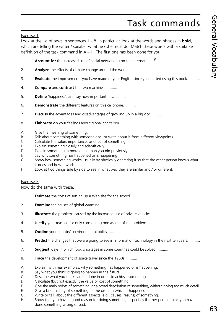### [Task commands](#page-4-1)

#### Exercise 1

Look at the list of tasks in sentences 1 – 8. In particular, look at the words and phrases in **bold**, which are telling the writer / speaker what he / she must do. Match these words with a suitable definition of the task command in  $A - H$ . The first one has been done for you.

- 1. **Account for** the increased use of social networking on the Internet. .....*F*....
- 2. **Analyze** the effects of climate change around the world. .........
- 3. **Evaluate** the improvements you have made to your English since you started using this book. .........
- 4. **Compare** and **contrast** the two machines. .........
- 5. **Define** 'happiness', and say how important it is. .........
- 6. **Demonstrate** the different features on this cellphone. .........
- 7. **Discuss** the advantages and disadvantages of growing up in a big city. .........
- 8. **Elaborate on** your feelings about global capitalism. .........
- A. Give the meaning of something.
- B. Talk about something with someone else, or write about it from different viewpoints.<br>C. Calculate the value, importance, or effect of something.
- Calculate the value, importance, or effect of something.
- D. Explain something closely and scientifically.
- E. Explain something in more detail than you did previously.
- F. Say why something has happened or is happening.
- G. Show how something works, usually by physically operating it so that the other person knows what it does and how it works.
- H. Look at two things side by side to see in what way they are similar and / or different.

#### Exercise 2

Now do the same with these.

- 1. **Estimate** the costs of setting up a Web site for the school. .........
- 2. **Examine** the causes of global warming. .........
- 3. **Illustrate** the problems caused by the increased use of private vehicles. .........
- 4. **Justify** your reasons for only considering one aspect of the problem. .........
- 5. **Outline** your country's environmental policy. .........
- 6. **Predict** the changes that we are going to see in information technology in the next ten years. .........
- 7. **Suggest** ways in which food shortages in some countries could be solved. .........
- 8. **Trace** the development of space travel since the 1960s. .........
- A. Explain, with real examples, why something has happened or is happening.
- B. Say what you think is going to happen in the future.<br>C. Describe what you think can be done in order to ach
- Describe what you think can be done in order to achieve something.
- D. Calculate (but not exactly) the value or cost of something.<br>E. Give the main points of something or a broad description of
- Give the main points of something, or a broad description of something, without giving too much detail.
- F. Give a brief history of something, in the order in which it happened.
- G. Write or talk about the different aspects (e.g., causes, results) of something.
- H. Show that you have a good reason for doing something, especially if other people think you have done something wrong or bad.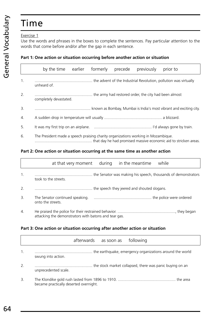## [Time](#page-4-0)

### Exercise 1

Use the words and phrases in the boxes to complete the sentences. Pay particular attention to the words that come before and/or after the gap in each sentence.

### **Part 1: One action or situation occurring before another action or situation**

|    | by the time earlier                                                               | formerly | precede | previously | prior to |
|----|-----------------------------------------------------------------------------------|----------|---------|------------|----------|
|    |                                                                                   |          |         |            |          |
| 1. | the advent of the Industrial Revolution, pollution was virtually<br>unheard of.   |          |         |            |          |
| 2. | completely devastated.                                                            |          |         |            |          |
| 3. |                                                                                   |          |         |            |          |
| 4. |                                                                                   |          |         |            |          |
| 5. |                                                                                   |          |         |            |          |
| 6. | The President made a speech praising charity organizations working in Mozambique. |          |         |            |          |

### **Part 2: One action or situation occurring at the same time as another action**

|                  | at that very moment during in the meantime<br>while                                                                                                      |
|------------------|----------------------------------------------------------------------------------------------------------------------------------------------------------|
| $\mathbf{1}$ .   | the Senator was making his speech, thousands of demonstrators (and the Senator was making his speech, thousands of demonstrators<br>took to the streets. |
| 2.               |                                                                                                                                                          |
| 3.               | onto the streets.                                                                                                                                        |
| $\overline{4}$ . | attacking the demonstrators with batons and tear gas.                                                                                                    |

### **Part 3: One action or situation occurring after another action or situation**

|    |                                        | afterwards as soon as | following                                                |
|----|----------------------------------------|-----------------------|----------------------------------------------------------|
|    | swung into action.                     |                       | the earthquake, emergency organizations around the world |
| 2. | unprecedented scale.                   |                       |                                                          |
| 3. | became practically deserted overnight. |                       | the area                                                 |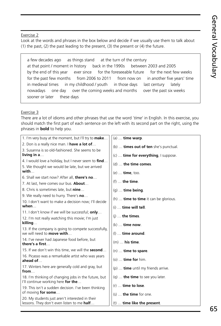#### Exercise 2

Look at the words and phrases in the box below and decide if we usually use them to talk about (1) the past, (2) the past leading to the present, (3) the present or (4) the future.

a few decades ago as things stand at the turn of the century at that point / moment in history back in the 1990s between 2003 and 2005 by the end of this year ever since for the foreseeable future for the next few weeks for the past few months from 2006 to 2011 from now on in another five vears' time in medieval times in my childhood / youth in those days last century lately nowadays one day over the coming weeks and months over the past six weeks sooner or later these days

#### Exercise 3

There are a lot of idioms and other phrases that use the word '*time*' in English. In this exercise, you should match the first part of each sentence on the left with its second part on the right, using the phrases in **bold** to help you.

| 1. I'm very busy at the moment, but I'll try to make                                          | $(a) \ldots$ time warp.                       |  |  |  |
|-----------------------------------------------------------------------------------------------|-----------------------------------------------|--|--|--|
| 2. Don is a really nice man. I have a lot of                                                  | (b) <b>times out of ten</b> she's punctual.   |  |  |  |
| 3. Susanna is so old-fashioned. She seems to be                                               |                                               |  |  |  |
| living in a<br>4. I would love a holiday, but I never seem to find                            | $(c)$ <b>time for everything</b> , I suppose. |  |  |  |
| 5. We thought we would be late, but we arrived                                                | (d)  the time comes.                          |  |  |  |
| with                                                                                          | $(e) \ldots$ time, too.                       |  |  |  |
| 6. Shall we start now? After all, there's no                                                  |                                               |  |  |  |
| 7. At last, here comes our bus. About                                                         | $(f)$ the time.                               |  |  |  |
| 8. Chris is sometimes late, but nine                                                          | $(q)$ time being.                             |  |  |  |
| 9. We really need to hurry. There's no                                                        | $(h) \ldots$ time to time it can be glorious. |  |  |  |
| 10. I don't want to make a decision now; I'll decide<br>when                                  |                                               |  |  |  |
| 11. I don't know if we will be successful; only                                               | (i)  time will tell.                          |  |  |  |
| 12. I'm not really watching this movie; I'm just                                              | $(i)$ the times.                              |  |  |  |
| killing                                                                                       | $(k)$ time now.                               |  |  |  |
| 13. If the company is going to compete successfully,                                          |                                               |  |  |  |
| we will need to <b>move with</b>                                                              | $($ l $)$ time around.                        |  |  |  |
| 14. I've never had Japanese food before, but<br>there's a first                               | $(m)$ his time.                               |  |  |  |
| 15. If we don't win this time, we will the second                                             | $(n) \ldots$ time to spare.                   |  |  |  |
| 16. Picasso was a remarkable artist who was years<br>ahead of                                 | $(o) \ldots$ time for him.                    |  |  |  |
| 17. Winters here are generally cold and gray, but<br>from $\ldots$                            | $(p) \ldots$ time until my friends arrive.    |  |  |  |
| 18. I'm thinking of changing jobs in the future, but<br>I'll continue working here for the    | $(q) \ldots$ the time to see you later.       |  |  |  |
| 19. This isn't a sudden decision. I've been thinking                                          | $(r) \ldots$ time to lose.                    |  |  |  |
| of moving for some                                                                            | $(s) \ldots$ the time for one.                |  |  |  |
| 20. My students just aren't interested in their<br>lessons. They don't even listen to me half | $(t)$ time like the present.                  |  |  |  |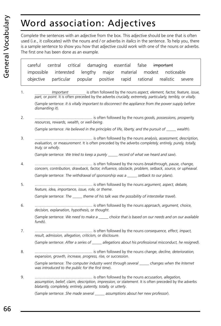## [Word association: Adjectives](#page-4-0)

Complete the sentences with an adjective from the box. This adjective should be one that is often used (i.e., it *collocates*) with the nouns and / or adverbs in *italics* in the sentence. To help you, there is a sample sentence to show you how that adjective could work with one of the nouns or adverbs. The first one has been done as an example.

| careful central critical damaging essential false important           |  |  |  |
|-----------------------------------------------------------------------|--|--|--|
| impossible interested lengthy major material modest noticeable        |  |  |  |
| objective particular popular positive rapid rational realistic severe |  |  |  |

1. *Important* is often followed by the nouns *aspect, element, factor, feature, issue, part,* or *point*. It is often preceded by the adverbs *crucially, extremely, particularly, terribly,* or *vitally*.

(Sample sentence: *It is vitally important to disconnect the appliance from the power supply before dismantling it*).

2. ...................................................... is often followed by the nouns *goods, possessions, prosperity, resources, rewards, wealth,* or *well-being*.

(Sample sentence: *He believed in the principles of life, liberty, and the pursuit of* \_\_\_\_\_ *wealth*).

3. ...................................................... is often followed by the nouns *analysis, assessment, description, evaluation,* or *measurement*. It is often preceded by the adverbs *completely, entirely, purely, totally, truly,* or *wholly*.

(Sample sentence: *We tried to keep a purely* \_\_\_\_\_ *record of what we heard and saw*).

4. ...................................................... is often followed by the nouns *breakthrough, pause, change, concern, contribution, drawback, factor, influence, obstacle, problem, setback, source,* or *upheaval*.

(Sample sentence: *The withdrawal of sponsorship was a* \_\_\_\_\_ *setback to our plans*).

5. ...................................................... is often followed by the nouns *argument, aspect, debate, feature, idea, importance, issue, role,* or *theme*.

(Sample sentence: *The* \_\_\_\_\_ *theme of his talk was the possibility of interstellar travel*).

6. ...................................................... is often followed by the nouns *approach, argument, choice, decision, explanation, hypothesis,* or *thought*.

(Sample sentence: *We need to make a* \_\_\_\_\_ *choice that is based on our needs and on our available funds*).

7. ...................................................... is often followed by the nouns *consequence, effect, impact, result, admission, allegation, criticism,* or *disclosure*.

(Sample sentence: *After a series of* \_\_\_\_\_ *allegations about his professional misconduct, he resigned*).

8. ...................................................... is often followed by the nouns *change, decline, deterioration, expansion, growth, increase, progress, rise,* or *succession*.

(Sample sentence: *The computer industry went through several* \_\_\_\_\_ *changes when the Internet was introduced to the public for the first time*).

9. ...................................................... is often followed by the nouns *accusation, allegation, assumption, belief, claim, description, impression,* or *statement*. It is often preceded by the adverbs *blatantly, completely, entirely, patently, totally,* or *utterly*.

(Sample sentence: *She made several* \_\_\_\_\_ *assumptions about her new professor*).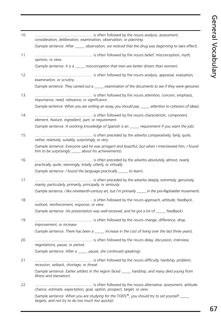| 10. | consideration, deliberation, examination, observation, or planning.                                                                                        |
|-----|------------------------------------------------------------------------------------------------------------------------------------------------------------|
|     | (Sample sentence: After ______ observation, we noticed that the drug was beginning to take effect).                                                        |
| 11. | opinion, or view.                                                                                                                                          |
|     | (Sample sentence: It is a _____ misconception that men are better drivers than women).                                                                     |
| 12. | examination, or scrutiny.                                                                                                                                  |
|     | (Sample sentence: They carried out a _____ examination of the documents to see if they were genuine).                                                      |
| 13. | importance, need, relevance, or significance.                                                                                                              |
|     | (Sample sentence: When you are writing an essay, you should pay _____ attention to cohesion of ideas).                                                     |
| 14. | element, feature, ingredient, part, or requirement.                                                                                                        |
|     | (Sample sentence: A working knowledge of Spanish is an _____ requirement if you want the job).                                                             |
| 15. | rather, relatively, suitably, surprisingly, or very.                                                                                                       |
|     | (Sample sentence: Everyone said he was arrogant and boastful, but when I interviewed him, I found<br>him to be surprisingly _____ about his achievements). |
| 16. | practically, quite, seemingly, totally, utterly, or virtually.                                                                                             |
|     | (Sample sentence: I found the language practically _____ to learn).                                                                                        |
| 17. | mainly, particularly, primarily, principally, or seriously.                                                                                                |
|     | (Sample sentence: I like nineteenth-century art, but I'm primarily ____ in the pre-Raphaelite movement).                                                   |
| 18. | outlook, reinforcement, response, or view.                                                                                                                 |
|     | (Sample sentence: His presentation was well-received, and he got a lot of _____ feedback).                                                                 |
| 19. | improvement, or increase.                                                                                                                                  |
|     | (Sample sentence: There has been a _____ increase in the cost of living over the last three years).                                                        |
| 20. | negotiations, pause, or period.                                                                                                                            |
|     | (Sample sentence: After a _____ pause, she continued speaking).                                                                                            |
| 21. | recession, setback, shortage, or threat.                                                                                                                   |
|     | (Sample sentence: Earlier settlers in the region faced _____ hardship, and many died young from<br>illness and starvation).                                |
| 22. | chance, estimate, expectation, goal, option, prospect, target, or view.                                                                                    |
|     | (Sample sentence: When you are studying for the TOEFL®, you should try to set yourself $\_\_$<br>targets, and not try to do too much too quickly).         |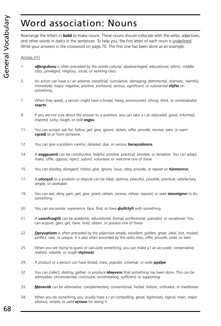## [Word association: Nouns](#page-4-0)

Rearrange the letters in **bold** to make nouns. These nouns should collocate with the verbs, adjectives, and other words in *italics* in the sentences. To help you, the first letter of each noun is underlined. Write your answers in the crossword on page 70. The first one has been done as an example.

### $\angle$ Across ( $\Leftrightarrow$ )

- 1. **aBkrgcdonu** is often preceded by the words *cultural, disadvantaged, educational, ethnic, middleclass, privileged, religious, social,* or *working class*.
- 5. An action can have a / an *adverse, beneficial, cumulative, damaging, detrimental, dramatic, harmful, immediate, major, negative, positive, profound, serious, significant,* or *substantial* **cfefte** on something.
- 7. When they speak, a person might have a *broad, heavy, pronounced, strong, thick,* or *unmistakable* **ceactn**.
- 8. If you are not sure about the answer to a question, you can take a / an *educated, good, informed, inspired, lucky, rough,* or *wild* **esgsu**.
- 11. You can *accept, ask for, follow, get, give, ignore, obtain, offer, provide, receive, take,* or *want* **vacedi** to or from someone.
- 12. You can give a problem *careful, detailed, due,* or *serious* **tieracoidonns**.
- 14. A **esggsuonti** can be *constructive, helpful, positive, practical, sensible,* or *tentative*. You can *adopt, make, offer, oppose, reject, submit, volunteer,* or *welcome* one of these.
- 15. You can *disobey, disregard, follow, give, ignore, issue, obey, provide,* or *repeat* an **tiinstonruc**.
- 17. A **utonsoli** to a problem or dispute can be *ideal, optimal, peaceful, possible, practical, satisfactory, simple,* or *workable*.
- 19. You can *ask, deny, gain, get, give, grant, obtain, receive, refuse, request,* or *seek* **sieomiprsn** to do something.
- 20. You can *encounter, experience, face, find,* or *have* **diulfctyfi** with something.
- 21. A **uaonficaqtili** can be *academic, educational, formal, professional, specialist,* or *vocational*. You can *acquire, gain, get, have, hold, obtain,* or *possess* one of these.
- 22. **Opryuptiotn** is often preceded by the adjectives *ample, excellent, golden, great, ideal, lost, missed, perfect, rare,* or *unique*. It is also often preceded by the verbs *miss, offer, provide, seize,* or *take*.
- 25. When you are trying to guess or calculate something, you can make a / an *accurate, conservative, realistic, reliable,* or *rough* **steimeat**.
- 29. A product or a person can have *broad, mass, popular, universal,* or *wide* **paalpe**.
- 32. You can *collect, destroy, gather,* or *produce* **ideevenc** that something has been done. This can be *admissible, circumstantial, conclusive, incriminating, sufficient,* or *supporting*.
- 33. **Menecidi** can be *alternative, complementary, conventional, herbal, holistic, orthodox,* or *traditional*.
- 34. When you do something, you usually have a / an *compelling, good, legitimate, logical, main, major, obvious, simple,* or *valid* **ernsao** for doing it.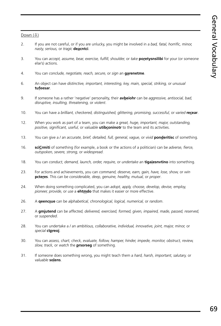#### Down  $(\sqrtU)$

- 2. If you are not careful, or if you are unlucky, you might be involved in a *bad, fatal, horrific, minor, nasty, serious,* or *tragic* **deacntci**.
- 3. You can *accept, assume, bear, exercise, fulfill, shoulder,* or *take* **poretysnsilibi** for your (or someone else's) actions.
- 4. You can *conclude, negotiate, reach, secure,* or *sign* an **garenetme**.
- 6. An object can have *distinctive, important, interesting, key, main, special, striking,* or *unusual* **tufeesar**.
- 9. If someone has a rather 'negative' personality, their **avbeiohr** can be *aggressive, antisocial, bad, disruptive, insulting, threatening,* or *violent*.
- 10. You can have a *brilliant, checkered, distinguished, glittering, promising, successful,* or *varied* **recear**.
- 12. When you work as part of a team, you can make a *great, huge, important, major, outstanding, positive, significant, useful,* or *valuable* **utibconinotr** to the team and its activities.
- 13. You can give a / an *accurate, brief, detailed, full, general, vague,* or *vivid* **ponderitisc** of something.
- 16. **sciCrmiti** of something (for example, a book or the actions of a politician) can be *adverse, fierce, outspoken, severe, strong,* or *widespread*.
- 18. You can *conduct, demand, launch, order, require,* or *undertake* an **tigaiesnvtino** into something.
- 23. For actions and achievements, you can *command, deserve, earn, gain, have, lose, show,* or *win* **pcteres**. This can be *considerable, deep, genuine, healthy, mutual,* or *proper*.
- 24. When doing something complicated, you can *adopt, apply, choose, develop, devise, employ, pioneer, provide,* or *use* a **ehtmdo** that makes it easier or more effective.
- 26. A **qeencsue** can be *alphabetical, chronological, logical, numerical,* or *random*.
- 27. A **gmjutend** can be *affected, delivered, exercised, formed, given, impaired, made, passed, reserved,*  or *suspended*.
- 28. You can undertake a / an *ambitious, collaborative, individual, innovative, joint, major, minor,* or *special* **ctpreoj**.
- 30. You can *assess, chart, check, evaluate, follow, hamper, hinder, impede, monitor, obstruct, review, slow, track,* or *watch* the **prsorseg** of something.
- 31. If someone does something wrong, you might teach them a *hard, harsh, important, salutary,* or *valuable* **solens**.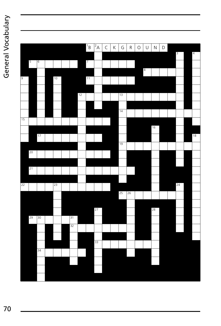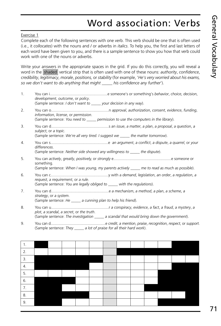# [Word association: Verbs](#page-4-0)

#### Exercise 1

Complete each of the following sentences with one verb. This verb should be one that is often used (i.e., it *collocates*) with the nouns and / or adverbs in *italics*. To help you, the first and last letters of each word have been given to you, and there is a sample sentence to show you how that verb could work with one of the nouns or adverbs.

Write your answers in the appropriate spaces in the grid. If you do this correctly, you will reveal a word in the shaded vertical strip that is often used with one of these nouns: *authority*, *confidence*, *credibility*, *legitimacy*, *morale*, *positions,* or *stability* (for example, '*He's very worried about his exams, so we don't want to do anything that might \_\_\_\_\_ his confidence any further*').

- 1. You can i......................................................e someone's or something's *behavior*, *choice*, *decision*, *development*, *outcome*, or *policy*. (Sample sentence: *I don't want to \_\_\_\_\_ your decision in any way*). 2. You can o......................................................n *approval*, *authorization*, *consent*, *evidence*, *funding*, *information*, *license*, or *permission*. (Sample sentence: *You need to \_\_\_\_\_ permission to use the computers in the library*). 3. You can d......................................................s an *issue*, *a matter*, *a plan*, *a proposal*, *a question*, *a subject*, or *a topic*. (Sample sentence: *We're all very tired. I suggest we \_\_\_\_\_ the matter tomorrow*). 4. You can s......................................................e *an argument*, *a conflict*, *a dispute*, *a quarrel*, or *your differences*. (Sample sentence: *Neither side showed any willingness to \_\_\_\_\_ the dispute*). 5. You can *actively*, *greatly*, *positively,* or *strongly* e......................................................e someone or something. (Sample sentence: *When I was young, my parents actively \_\_\_\_\_ me to read as much as possible*). 6. You can c......................................................y with a *demand*, *legislation*, *an order*, *a regulation*, *a request*, *a requirement*, or *a rule*. (Sample sentence: *You are legally obliged to \_\_\_\_\_ with the regulations*). 7. You can d......................................................e *a mechanism*, *a method*, *a plan*, *a scheme*, *a strategy*, or *a system*. (Sample sentence: *He \_\_\_\_\_ a cunning plan to help his friend*). 8. You can u......................................................r *a conspiracy*, *evidence*, *a fact*, *a fraud*, *a mystery*, *a plot*, *a scandal*, *a secret*, or *the truth*. (Sample sentence: *The investigation \_\_\_\_\_ a scandal that would bring down the government*).
- 9. You can d......................................................e *credit*, *a mention*, *praise*, *recognition*, *respect*, or *support*. (Sample sentence: *They \_\_\_\_\_ a lot of praise for all their hard work*).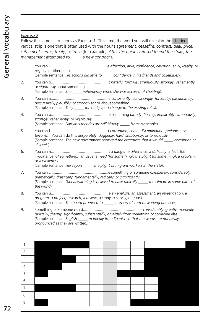Follow the same instructions as Exercise 1. This time, the word you will reveal in the shaded vertical strip is one that is often used with the nouns *agreement, ceasefire, contract, deal, price, settlement, terms, treaty*, or *truce* (for example, '*After the unions refused to end the strike, the management attempted to \_\_\_\_\_ a new contract*').

- 1. You can i......................................................e *affection*, *awe*, *confidence*, *devotion*, *envy*, *loyalty*, or *respect* in other people.
	- (Sample sentence: *His actions did little to \_\_\_\_\_ confidence in his friends and colleagues*).
- 2. You can o......................................................t *bitterly*, *formally*, *strenuously*, *strongly*, *vehemently*, or *vigorously* about something. (Sample sentence: *She \_\_\_\_\_ vehemently when she was accused of cheating*).
- 3. You can a......................................................e *consistently*, *convincingly*, *forcefully*, *passionately*, *persuasively*, *plausibly*, or *strongly* for or about something. (Sample sentence: *They \_\_\_\_\_ forcefully for a change to the existing rules*).
- 4. You can o......................................................e something *bitterly*, *fiercely*, *implacably*, *strenuously*, *strongly*, *vehemently*, or *vigorously*. (Sample sentence: *Darwin's theories are still bitterly \_\_\_\_\_ by many people*).
- 5. You can f......................................................t *corruption*, *crime*, *discrimination*, *prejudice*, or *terrorism*. You can do this *desperately*, *doggedly*, *hard*, *stubbornly*, or *tenaciously*. (Sample sentence: *The new government promised the electorate that it would \_\_\_\_\_ corruption at all levels*).
- 6. You can h......................................................t *a danger*, *a difference*, *a difficulty*, *a fact*, *the importance (of something)*, *an issue*, *a need (for something)*, *the plight (of something)*, *a problem*, or *a weakness*.

(Sample sentence: *Her report \_\_\_\_\_ the plight of migrant workers in the state*).

- 7. You can c......................................................e something or someone *completely*, *considerably*, *dramatically*, *drastically*, *fundamentally*, *radically*, or *significantly*. (Sample sentence: *Global warming is believed to have radically \_\_\_\_\_ the climate in some parts of the world*).
- 8. You can u......................................................e *an analysis*, *an assessment*, *an investigation*, *a program*, *a project*, *research*, *a review*, *a study*, *a survey*, or *a task*. (Sample sentence: *The board promised to \_\_\_\_\_ a review of current working practices*).
- 9. Something or someone can d......................................................r *considerably*, *greatly*, *markedly*, *radically*, *sharply*, *significantly*, *substantially*, or *widely* from something or someone else. (Sample sentence: *English \_\_\_\_\_ markedly from Spanish in that the words are not always pronounced as they are written*).

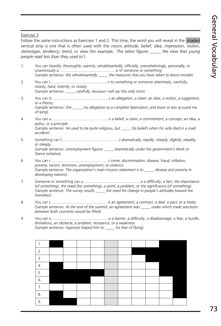Follow the same instructions as Exercises 1 and 2. This time, the word you will reveal in the shaded vertical strip is one that is often used with the nouns *attitude*, *belief*, *idea*, *impression*, *notion*, *stereotype*, *tendency*, *trend*, or *view* (for example, '*The latest figures \_\_\_\_\_ the view that young people read less than they used to*').

- 1. You can *heartily*, *thoroughly*, *warmly*, *wholeheartedly*, *officially*, *overwhelmingly*, *personally*, or *unanimously* a......................................................e of someone or something. (Sample sentence: *We wholeheartedly \_\_\_\_\_ the measures that you have taken to boost morale*).
- 2. You can l......................................................n to something or someone *attentively*, *carefully*, *closely*, *hard*, *intently*, or *closely*.

(Sample sentence: *\_\_\_\_\_ carefully*, *because I will say this only once*).

- 3. You can d......................................................s *an allegation*, *a claim*, *an idea*, *a notion*, *a suggestion*, or *a theory*. (Sample sentence: *She \_\_\_\_\_ my allegation as a complete fabrication*, *and more or less accused me of lying*).
- 4. You can a......................................................n *a belief*, *a claim*, *a commitment*, *a concept*, *an idea*, *a policy*, or *a principle*. (Sample sentence: *He used to be quite religious*, *but \_\_\_\_\_ his beliefs when his wife died in a road accident*).
- 5. Something can f......................................................l *dramatically*, *rapidly*, *sharply*, *slightly*, *steadily*, or *steeply*. (Sample sentence: *Unemployment figures \_\_\_\_\_ dramatically under the government's Work or Starve initiative*).
- 6. You can c......................................................t *crime*, *discrimination*, *disease*, *fraud*, *inflation*, *poverty*, *racism*, *terrorism*, *unemployment*, or *violence*. (Sample sentence: *The organization's main mission statement is to \_\_\_\_\_ disease and poverty In developing nations*).
- 7. Someone or something can u......................................................e *a difficulty*, *a fact*, *the importance (of something)*, *the need (for something)*, *a point*, *a problem*, or *the significance (of something)*. (Sample sentence: *The survey results \_\_\_\_\_ the need for change in people's attitudes toward the homeless*).
- 8. You can c......................................................e *an agreement*, *a contract*, *a deal*, *a pact*, or *a treaty*. (Sample sentence: *At the end of the summit*, *an agreement was \_\_\_\_\_ under which trade sanctions between both countries would be lifted*).
- 9. You can o......................................................e *a barrier*, *a difficulty*, *a disadvantage*, *a fear*, *a hurdle*, *limitations*, *an obstacle*, *a problem*, *resistance*, or *a weakness*. (Sample sentence: *Hypnosis helped him to \_\_\_\_\_ his fear of flying*).

| 1. |  |  |  |  |  |
|----|--|--|--|--|--|
| 2. |  |  |  |  |  |
| 3. |  |  |  |  |  |
| 4. |  |  |  |  |  |
| 5. |  |  |  |  |  |
| 6. |  |  |  |  |  |
| 7. |  |  |  |  |  |
| 8. |  |  |  |  |  |
| 9. |  |  |  |  |  |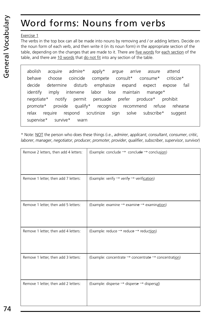## [Word forms: Nouns from verbs](#page-4-1)

### Exercise 1

The verbs in the top box can all be made into nouns by removing and / or adding letters. Decide on the noun form of each verb, and then write it (in its noun form) in the appropriate section of the table, depending on the changes that are made to it. There are five words for each section of the table, and there are 10 words that do not fit into any section of the table.

abolish acquire admire\* apply\* argue arrive assure attend behave choose coincide compete consult\* consume\* criticize\* decide determine disturb emphasize expand expect expose fail identify imply intervene labor lose maintain manage\* negotiate\* notify permit persuade prefer produce\* prohibit promote\* provide qualify\* recognize recommend refuse rehearse relax require respond scrutinize sign solve subscribe\* suggest supervise\* survive\* warn

\* Note: NOT the person who does these things (i.e., *admirer*, *applicant*, *consultant*, *consumer*, *critic*, *laborer*, *manager*, *negotiator*, *producer*, *promoter*, *provider*, *qualifier*, *subscriber*, *supervisor*, *survivor*)

| Remove 2 letters, then add 4 letters: | (Example: conclude $\rightarrow$ conclude $\rightarrow$ conclusion)          |
|---------------------------------------|------------------------------------------------------------------------------|
| Remove 1 letter, then add 7 letters:  | (Example: verify $\rightarrow$ verify $\rightarrow$ verification)            |
| Remove 1 letter, then add 5 letters:  | (Example: examine $\rightarrow$ examine $\rightarrow$ examination)           |
| Remove 1 letter, then add 4 letters:  | (Example: reduce $\rightarrow$ reduce $\rightarrow$ reduction)               |
| Remove 1 letter, then add 3 letters:  | (Example: concentrate $\rightarrow$ concentrate $\rightarrow$ concentration) |
| Remove 1 letter, then add 2 letters:  | (Example: disperse $\rightarrow$ disperse $\rightarrow$ dispersal)           |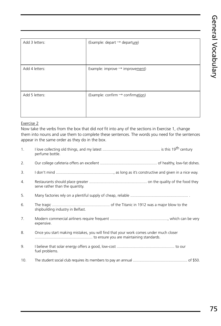| Add 3 letters: | (Example: depart $\rightarrow$ departure)     |
|----------------|-----------------------------------------------|
| Add 4 letters: | Example: improve $\rightarrow$ improvement)   |
| Add 5 letters: | (Example: confirm $\rightarrow$ confirmation) |

Now take the verbs from the box that did *not* fit into any of the sections in Exercise 1, change them into nouns and use them to complete these sentences. The words you need for the sentences appear in the same order as they do in the box.

| 1.  | perfume bottle.                                                                      |
|-----|--------------------------------------------------------------------------------------|
| 2.  |                                                                                      |
| 3.  |                                                                                      |
| 4.  | serve rather than the quantity.                                                      |
| 5.  |                                                                                      |
| 6.  | shipbuilding industry in Belfast.                                                    |
| 7.  | expensive.                                                                           |
| 8.  | Once you start making mistakes, you will find that your work comes under much closer |
| 9.  | fuel problems.                                                                       |
| 10. |                                                                                      |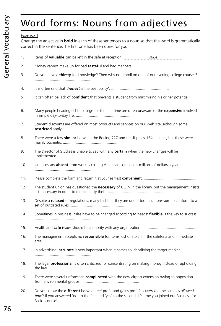# [Word forms: Nouns from adjectives](#page-4-1)

### Exercise 1

Change the adjective in **bold** in each of these sentences to a noun so that the word is grammatically correct in the sentence.The first one has been done for you.

1. Items of **valuable** can be left in the safe at reception. *value*  2. Money cannot make up for bad **tasteful** and bad manners. ...................................................... 3. Do you have a **thirsty** for knowledge? Then why not enroll on one of our evening college courses? ...................................................... 4. It is often said that '*honest* is the best policy'. ...................................................... 5 It can often be lack of **confident** that prevents a student from maximizing his or her potential. ...................................................... 6. Many people heading off to college for the first time are often unaware of the **expensive** involved in simple day-to-day life. ...................................................... 7. Student discounts are offered on most products and services on our Web site, although some **restricted** apply. ...................................................... 8. There were a few **similar** between the Boeing 727 and the Tupolev 154 airliners, but these were mainly cosmetic. ...................................................... 9. The Director of Studies is unable to say with any **certain** when the new changes will be implemented. ...................................................... 10. Unnecessary **absent** from work is costing American companies millions of dollars a year. ...................................................... 11. Please complete the form and return it at your earliest **convenient**. ...................................................... 12. The student union has questioned the **necessary** of CCTV in the library, but the management insists it is necessary in order to reduce petty theft. ...................................................... 13. Despite a **relaxed** of regulations, many feel that they are under too much pressure to conform to a set of outdated rules. ...................................................... 14. Sometimes in business, rules have to be changed according to needs: **flexible** is the key to success. ...................................................... 15. Health and **safe** issues should be a priority with any organization. ...................................................... 16. The management accepts no **responsible** for items lost or stolen in the cafeteria and immediate area. ...................................................... 17. In advertising, **accurate** is very important when it comes to identifying the target market. ...................................................... 18. The legal **professional** is often criticized for concentrating on making money instead of upholding the law. ...................................................... 19. There were several unforeseen **complicated** with the new airport extension owing to opposition from environmental groups. ...................................................... 20. Do you know the **different** between *net* profit and *gross* profit? Is *overtime* the same as *allowed time*? If you answered 'no' to the first and 'yes' to the second, it's time you joined our Business for Basics course! ......................................................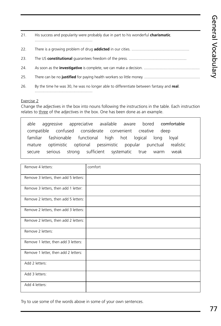21. His success and popularity were probably due in part to his wonderful **charismatic**. ...................................................... 22. There is a growing problem of drug **addicted** in our cities. ...................................................... 23. The US **constitutional** guarantees freedom of the press. ...................................................... 24. As soon as the **investigative** is complete, we can make a decision. ...................................................... 25. There can be no **justified** for paying health workers so little money. ...................................................... 26. By the time he was 30, he was no longer able to differentiate between fantasy and **real**.

### Exercise 2

......................................................

Change the adjectives in the box into nouns following the instructions in the table. Each instruction relates to three of the adjectives in the box. One has been done as an example.

able aggressive appreciative available aware bored comfortable compatible confused considerate convenient creative deep familiar fashionable functional high hot logical long loyal mature optimistic optional pessimistic popular punctual realistic secure serious strong sufficient systematic true warm weak

| Remove 4 letters:                     | comfort |
|---------------------------------------|---------|
| Remove 3 letters, then add 5 letters: |         |
| Remove 3 letters, then add 1 letter:  |         |
| Remove 2 letters, then add 5 letters: |         |
| Remove 2 letters, then add 3 letters: |         |
| Remove 2 letters, then add 2 letters: |         |
| Remove 2 letters:                     |         |
| Remove 1 letter, then add 3 letters:  |         |
| Remove 1 letter, then add 2 letters:  |         |
| Add 2 letters:                        |         |
| Add 3 letters:                        |         |
| Add 4 letters:                        |         |

Try to use some of the words above in some of your own sentences.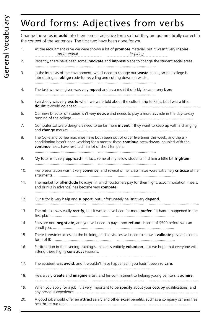# [Word forms: Adjectives from verbs](#page-4-1)

Change the verbs in **bold** into their correct adjective form so that they are grammatically correct in the context of the sentences. The first two have been done for you.

| 1.  | At the recruitment drive we were shown a lot of <b>promote</b> material, but it wasn't very inspire.<br>promotional                                                                                                                                 |
|-----|-----------------------------------------------------------------------------------------------------------------------------------------------------------------------------------------------------------------------------------------------------|
| 2.  | Recently, there have been some innovate and impress plans to change the student social areas.                                                                                                                                                       |
| 3.  | In the interests of the environment, we all need to change our <b>waste</b> habits, so the college is<br>introducing an <b>oblige</b> code for recycling and cutting down on waste.                                                                 |
| 4.  | The task we were given was very repeat and as a result it quickly became very bore.                                                                                                                                                                 |
| 5.  | Everybody was very excite when we were told about the cultural trip to Paris, but I was a little                                                                                                                                                    |
| 6.  | Our new Director of Studies isn't very decide and needs to play a more act role in the day-to-day                                                                                                                                                   |
| 7.  | Computer software designers need to be far more invent if they want to keep up with a changing                                                                                                                                                      |
| 8.  | The Coke and coffee machines have both been out of order five times this week, and the air-<br>conditioning hasn't been working for a month: these continue breakdowns, coupled with the<br>continue heat, have resulted in a lot of short tempers. |
| 9.  | My tutor isn't very <b>approach</b> : in fact, some of my fellow students find him a little bit frighten!                                                                                                                                           |
| 10. | Her presentation wasn't very convince, and several of her classmates were extremely criticize of her                                                                                                                                                |
| 11. | The market for all-include holidays (in which customers pay for their flight, accommodation, meals,<br>and drinks in advance) has become very compete.                                                                                              |
| 12. | Our tutor is very help and support, but unfortunately he isn't very depend.                                                                                                                                                                         |
| 13. | The mistake was easily rectify, but it would have been far more prefer if it hadn't happened in the                                                                                                                                                 |
| 14. | Fees are non-negotiate, and you will need to pay a non-refund deposit of \$500 before we can                                                                                                                                                        |
| 15. | There is restrict access to the building, and all visitors will need to show a validate pass and some                                                                                                                                               |
| 16. | Participation in the evening training seminars is entirely <b>volunteer</b> , but we hope that everyone will<br>attend these highly construct sessions.                                                                                             |
| 17. | The accident was avoid, and it wouldn't have happened if you hadn't been so care.                                                                                                                                                                   |
| 18. | He's a very create and imagine artist, and his commitment to helping young painters is admire.                                                                                                                                                      |
| 19. | When you apply for a job, it is very important to be specify about your occupy qualifications, and                                                                                                                                                  |
| 20. | A good job should offer an <b>attract</b> salary and other <b>excel</b> benefits, such as a company car and free                                                                                                                                    |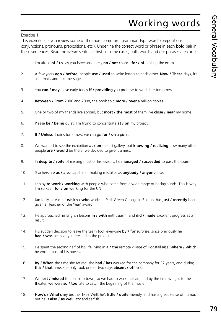### [Working words](#page-4-0)

#### Exercise 1

This exercise lets you review some of the more common 'grammar'-type words (prepositions, conjunctions, pronouns, prepositions, etc.). Underline the correct word or phrase in each **bold** pair in these sentences. Read the *whole* sentence first. In some cases, both words and / or phrases are correct.

- 1. I'm afraid **of / to** say you have absolutely **no / not** chance **for / of** passing the exam.
- 2. A few years **ago / before**, people **use / used** to write letters to each other. **Now / These** days, it's all e-mails and text messages.
- 3. You **can / may** leave early today **if / providing** you promise to work late tomorrow.
- 4. **Between / From** 2006 and 2008, the book sold **more / over** a million copies.
- 5. One or two of my friends live abroad, but **most / the most** of them live **close / near** my home.
- 6. Please **be / being** quiet. I'm trying to concentrate **at / on** my project.
- 7. **If / Unless** it rains tomorrow, we can go **for / on** a picnic.
- 8. We wanted to see the exhibition **at / on** the art gallery, but **knowing / realizing** how many other people **are / would** be there, we decided to give it a miss.
- 9. In **despite / spite** of missing most of his lessons, he **managed / succeeded** to pass the exam.
- 10. Teachers are **as / also** capable of making mistakes as **anybody / anyone** else.
- 11. I enjoy **to work / working** with people who come from a wide range of backgrounds. This is why I'm so keen **for / on** working for the UN.
- 12. Jan Kelly, a teacher **which / who** works at Park Green College in Boston, has **just / recently** been given a 'Teacher of the Year' award.
- 13. He approached his English lessons **in / with** enthusiasm, and **did / made** excellent progress as a result.
- 14. His sudden decision to leave the team took everyone **by / for** surprise, since previously he **had / was** been very interested in the project.
- 15. He spent the second half of his life living in **a / the** remote village of Hogstail Rise, **where / which** he wrote most of his novels.
- 16. **By / When** the time she retired, she **had / has** worked for the company for 32 years, and during **this / that** time, she only took one or two days **absent / off** sick.
- 17. We **lost / missed** the bus into town, so we had to walk instead, and by the time we got to the theater, we were **so / too** late to catch the beginning of the movie.
- 18. **How's / What's** my brother like? Well, he's **little / quite** friendly, and has a great sense of humor, but he is **also / as well** lazy and selfish.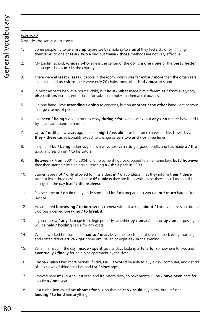Now do the same with these.

- 1. Some people try to give **in / up** cigarettes by smoking **to / until** they feel sick, or by limiting themselves to one or **few / two** a day, but **these / those** methods are not very effective.
- 2. My English school, **which / who** is near the center of the city, is **a one / one** of the **best / better** language schools **at / in** the country.
- 3. There were at **least / less** 60 people in the room, which was far **extra / more** than the organizers expected, and **as / since** there were only 20 chairs, most of us **had / must** to stand.
- 4. In most respects he was a normal child, but **how / what** made him different **as / from** everybody **else / others** was his enthusiasm for solving complex mathematical puzzles.
- 5. On one hand I love **attending / going** to concerts, but on **another / the other** hand I get nervous in large crowds of people.
- 6. I've **been / being** working on this essay **during / for** over a week, but **any / no** matter how hard I try, I just can't seem to finish it.
- 7. Up **to / until** a few years ago, people **might / would** have the same career for life. Nowadays, **they / these** can reasonably expect to change careers two **and / or** three times.
- 8. In spite of **be / being** rather lazy, he is always able **can / to** get good results and has made **a / the** good impression **on / to** his tutors.
- 9. **Between / From** 2001 to 2004, unemployment figures dropped to an all-time low, **but / however** they then started climbing again, reaching **a / their** peak in 2009.
- 10. Students are **not / only** allowed to miss a class **in / on** condition that they inform **their / there** tutor at least three days in advance (**if / unless** they are ill, in which case they should try to call the college on the day **itself / themselves**).
- 11. Please come **at / on** time to your lessons, and **be / do** prepared to work **a lot / much** harder from now on.
- 12. He admitted **borrowing / to borrow** my camera without asking **about / for** my permission, but he vigorously denied **breaking / to break** it.
- 13. If you cause **a / any** damage to college property, whether **by / on** accident or **by / on** purpose, you will be **held / holding** liable for any costs.
- 14. When I worked last summer, I **had to / must** leave the apartment at seven o'clock every morning, and I often didn't **arrive / get** home until seven or eight **at / in** the evening.
- 15. When I arrived in the city I **made / spent** several days looking **after / for** somewhere to live, and **eventually / finally** found a nice apartment by the river.
- 16. I **hope / wish** I had more money. If I did, I **will / would** be able to buy a new computer, and get rid of this slow old thing that I've had **for / since** ages.
- 17. I moved here **at / in** April last year, and it's March now, so next month I'll **be / have been** here for exactly **a / one** year.
- 18. Last night, Ron asked me **about / for** \$10 so that he **can / could** buy pizza, but I refused **lending / to lend** him anything.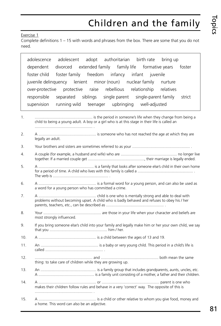# [Children and the family](#page-4-0)

Exercise 1

Complete definitions 1 – 15 with words and phrases from the box. There are some that you do not need.

adolescence adolescent adopt authoritarian birth rate bring up dependent divorced extended family family life formative years foster foster child foster family freedom infancy infant juvenile juvenile delinquency lenient minor (noun) nuclear family nurture over-protective protective raise rebellious relationship relatives responsible separated siblings single parent single-parent family strict supervision running wild teenager upbringing well-adjusted

<sup>1. ......................................................</sup> is the period in someone's life when they change from being a child to being a young adult. A boy or a girl who is at this stage in their life is called an ...................................................... . 2. A ...................................................... is someone who has not reached the age at which they are legally an adult. 3. Your brothers and sisters are sometimes referred to as your ...................................................... . 4. A couple (for example, a husband and wife) who are ...................................................... no longer live together. If a married couple get ......................................................, their marriage is legally ended. 5. A ...................................................... is a family that looks after someone else's child in their own home for a period of time. A child who lives with this family is called a ...................................................... . The verb is ...................................................... . 6. A ...................................................... is a formal word for a young person, and can also be used as a word for a young person who has committed a crime. 7. A ...................................................... child is one who is mentally strong and able to deal with problems without becoming upset. A child who is badly behaved and refuses to obey his / her parents, teachers, etc., can be described as ...................................................... . 8. Your ...................................................... are those in your life when your character and beliefs are most strongly influenced. 9. If you bring someone else's child into your family and legally make him or her your own child, we say that you ...................................................... him / her. 10. A ...................................................... is a child between the ages of 13 and 19. 11. An ...................................................... is a baby or very young child. This period in a child's life is called ...................................................... . 12. ...................................................... and ...................................................... both mean the same thing: to take care of children while they are growing up. 13. An ...................................................... is a family group that includes grandparents, aunts, uncles, etc. A ...................................................... is a family unit consisting of a mother, a father and their children. 14. A ...................................................... or ...................................................... parent is one who makes their children follow rules and behave in a very 'correct' way. The opposite of this is ...................................................... . 15. A ...................................................... is a child or other relative to whom you give food, money and a home. This word can also be an adjective.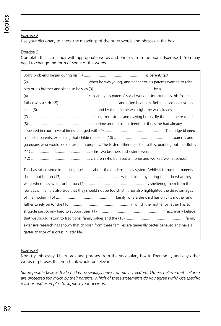Use your dictionary to check the meanings of the other words and phrases in the box.

### Exercise 3

Complete this case study with appropriate words and phrases from the box in Exercise 1. You may need to change the form of some of the words.

|                                         | guardians who would look after them properly. The foster father objected to this, pointing out that Bob's        |
|-----------------------------------------|------------------------------------------------------------------------------------------------------------------|
|                                         |                                                                                                                  |
|                                         |                                                                                                                  |
|                                         | This has raised some interesting questions about the modern family system. While it is true that parents         |
|                                         |                                                                                                                  |
|                                         |                                                                                                                  |
|                                         | realities of life, it is also true that they should not be too strict. It has also highlighted the disadvantages |
|                                         |                                                                                                                  |
|                                         |                                                                                                                  |
|                                         |                                                                                                                  |
|                                         |                                                                                                                  |
|                                         | extensive research has shown that children from these families are generally better behaved and have a           |
| getter chance of success in later life. |                                                                                                                  |

### Exercise 4

Now try this essay. Use words and phrases from the vocabulary box in Exercise 1, and any other words or phrases that you think would be relevant.

*Some people believe that children nowadays have too much freedom. Others believe that children are protected too much by their parents. Which of these statements do you agree with? Use specific reasons and examples to support your decision.*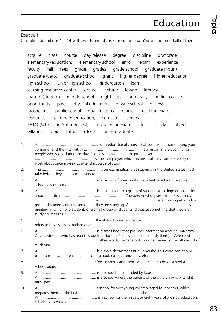# [Education](#page-4-0)

Exercise 1

Complete definitions 1 – 14 with words and phrases from the box. You will not need all of them.

| acquire class course day-release degree discipline doctorate                    |
|---------------------------------------------------------------------------------|
| elementary (education) elementary school enroll exam experience                 |
| faculty fail fees grade grades grade school graduate (noun)                     |
| graduate (verb) graduate school grant higher degree higher education            |
| high school junior high school kindergarten learn                               |
| learning resources center lecture lecturer lesson literacy                      |
| mature (student) middle school night class numeracy on line course              |
| opportunity pass physical education private school professor                    |
| prospectus public school qualifications quarter resit (an exam)                 |
| resources secondary (education) semester seminar                                |
| SAT® (Scholastic Aptitude Test) sit / take (an exam) skills<br>subject<br>study |
| topic tutor tutorial undergraduate<br>syllabus                                  |

| 1.                    |                                                                            |                                                                                               |
|-----------------------|----------------------------------------------------------------------------|-----------------------------------------------------------------------------------------------|
|                       | people who work during the day. People who have a job might be given       |                                                                                               |
|                       | work about once a week to attend a course of study.                        |                                                                                               |
| 2.                    | take before they can go to university.                                     |                                                                                               |
| 3.                    |                                                                            |                                                                                               |
| $\mathcal{A}_{\cdot}$ |                                                                            |                                                                                               |
|                       |                                                                            | meeting at which one student, or a small group of students, discusses something that they are |
| 5.                    |                                                                            |                                                                                               |
|                       | refers to basic skills in mathematics.                                     |                                                                                               |
| 6.                    | students).                                                                 | Once a student who has read this book decides he / she would like to study there, he/she must |
| 7 <sub>1</sub>        | used to refer to the teaching staff of a school, college, university, etc. |                                                                                               |
| 8.                    |                                                                            |                                                                                               |
|                       | school subject.                                                            |                                                                                               |
| 9.                    |                                                                            |                                                                                               |
| 10.                   |                                                                            |                                                                                               |
|                       |                                                                            |                                                                                               |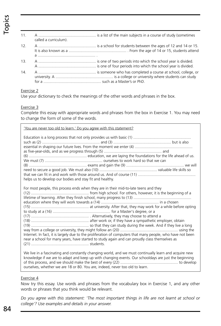11. A ...................................................... is a list of the main subjects in a course of study (sometimes called a curriculum). 12. A ...................................................... is a school for students between the ages of 12 and 14 or 15. It is also known as a ...................................................... . From the age of 14 or 15, students attend a ...................................................... . 13. A ...................................................... is one of two periods into which the school year is divided. A ...................................................... is one of four periods into which the school year is divided. 14. A ...................................................... is someone who has completed a course at school, college, or university. A ...................................................... is a college or university where students can study for a ...................................................... such as a Master's or PhD.

### Exercise 2

Use your dictionary to check the meanings of the other words and phrases in the box.

### Exercise 3

Complete this essay with appropriate words and phrases from the box in Exercise 1. You may need to change the form of some of the words.

'You are never too old to learn.' Do you agree with this statement? Education is a long process that not only provides us with basic (1) ...................................................... such as (2) ...................................................... and (3) ...................................................... but is also essential in shaping our future lives. From the moment we enter (4) ...................................................... as fi ve-year-olds, and as we progress through (5) ...................................................... and (6) ...................................................... education, we are laying the foundations for the life ahead of us. We must (7) ...................................................... ourselves to work hard so that we can (8) ...................................................... exams and gain the (9) ...................................................... we will need to secure a good job. We must also (10) ...................................................... valuable life skills so that we can fi t in and work with those around us. And of course (11) ...................................................... helps us to develop our bodies and stay fit and healthy. For most people, this process ends when they are in their mid-to-late teens and they (12) ...................................................... from high school. For others, however, it is the beginning of a lifetime of learning. After they fi nish school, many progress to (13) ...................................................... education where they will work towards a (14) ...................................................... in a chosen (15) ...................................................... at university. After that, they may work for a while before opting

to study at a (16) ...................................................... for a Master's degree, or a (17) ...................................................... . Alternatively, they may choose to attend a (18) ...................................................... after work or, if they have a sympathetic employer, obtain (19) ...................................................... so that they can study during the week. And if they live a long way from a college or university, they might follow an (20) ...................................................... using the Internet. In fact, it is largely due to the proliferation of computers that many people, who have not been near a school for many years, have started to study again and can proudly class themselves as (21) ...................................................... students.

We live in a fascinating and constantly changing world, and we must continually learn and acquire new knowledge if we are to adapt and keep up with changing events. Our schooldays are just the beginning of this process, and we should make the best of every (22) ...................................................... to develop ourselves, whether we are 18 or 80. You are, indeed, never too old to learn.

### Exercise 4

Now try this essay. Use words and phrases from the vocabulary box in Exercise 1, and any other words or phrases that you think would be relevant.

*Do you agree with this statement: 'The most important things in life are not learnt at school or college'? Use examples and details in your answer.*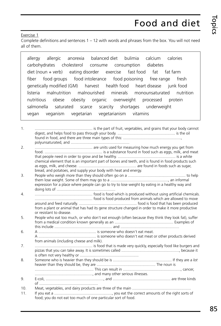### [Food and diet](#page-4-0)

Exercise 1

Complete definitions and sentences  $1 - 12$  with words and phrases from the box. You will not need all of them.

allergy allergic anorexia balanced diet bulimia calcium calories carbohydrates cholesterol consume consumption diabetes diet (noun + verb) eating disorder exercise fast food fat fat farm fiber food groups food intolerance food poisoning free range fresh genetically modified (GM) harvest health food heart disease junk food listeria malnutrition malnourished minerals monounsaturated nutrition nutritious obese obesity organic overweight processed protein salmonella saturated scarce scarcity shortages underweight vegan veganism vegetarian vegetarianism vitamins

| 1.                    |                                                                                                                                                                      |
|-----------------------|----------------------------------------------------------------------------------------------------------------------------------------------------------------------|
| 2.                    | chemical element that is an important part of bones and teeth, and is found in food products such<br>bread, and potatoes, and supply your body with heat and energy. |
| 3.                    | expression for a place where people can go to try to lose weight by eating in a healthy way and                                                                      |
| $\mathcal{A}_{\cdot}$ | from a plant or animal that has had its gene structure changed in order to make it more productive<br>or resistant to disease.                                       |
| 5.                    | People who eat too much, or who don't eat enough (often because they think they look fat), suffer                                                                    |
| 6.                    | from animals (including cheese and milk).                                                                                                                            |
| 7.                    |                                                                                                                                                                      |
| 8.                    |                                                                                                                                                                      |
| 9.                    |                                                                                                                                                                      |
| 10.<br>11.            | food; you do not eat too much of one particular sort of food.                                                                                                        |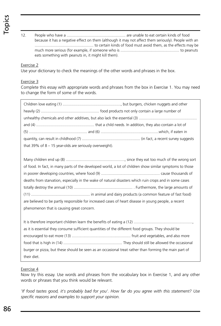12. People who have a ....................................................... are unable to eat certain kinds of food because it has a negative effect on them (although it may not affect them seriously). People with an ....................................................... to certain kinds of food must avoid them, as the effects may be much more serious (for example, if someone who is ....................................................... to peanuts eats something with peanuts in, it might kill them).

### Exercise 2

Use your dictionary to check the meanings of the other words and phrases in the box.

#### Exercise 3

Complete this essay with appropriate words and phrases from the box in Exercise 1. You may need to change the form of some of the words.

| that 39% of $8 - 15$ year-olds are seriously overweight). |                                                                                                                                                                                                                                                                                                                                                                                                                                                             |
|-----------------------------------------------------------|-------------------------------------------------------------------------------------------------------------------------------------------------------------------------------------------------------------------------------------------------------------------------------------------------------------------------------------------------------------------------------------------------------------------------------------------------------------|
|                                                           |                                                                                                                                                                                                                                                                                                                                                                                                                                                             |
|                                                           |                                                                                                                                                                                                                                                                                                                                                                                                                                                             |
|                                                           | of food. In fact, in many parts of the developed world, a lot of children show similar symptoms to those                                                                                                                                                                                                                                                                                                                                                    |
|                                                           |                                                                                                                                                                                                                                                                                                                                                                                                                                                             |
|                                                           | deaths from starvation, especially in the wake of natural disasters which ruin crops and in some cases                                                                                                                                                                                                                                                                                                                                                      |
|                                                           |                                                                                                                                                                                                                                                                                                                                                                                                                                                             |
|                                                           |                                                                                                                                                                                                                                                                                                                                                                                                                                                             |
|                                                           | are believed to be partly responsible for increased cases of heart disease in young people, a recent                                                                                                                                                                                                                                                                                                                                                        |
| phenomenon that is causing great concern.                 |                                                                                                                                                                                                                                                                                                                                                                                                                                                             |
|                                                           |                                                                                                                                                                                                                                                                                                                                                                                                                                                             |
|                                                           |                                                                                                                                                                                                                                                                                                                                                                                                                                                             |
|                                                           | $\mathcal{L}(\mathcal{L}(\mathcal{L}(\mathcal{L}(\mathcal{L}(\mathcal{L}(\mathcal{L}(\mathcal{L}(\mathcal{L}(\mathcal{L}(\mathcal{L}(\mathcal{L}(\mathcal{L}(\mathcal{L}(\mathcal{L}(\mathcal{L}(\mathcal{L}(\mathcal{L}(\mathcal{L}(\mathcal{L}(\mathcal{L}(\mathcal{L}(\mathcal{L}(\mathcal{L}(\mathcal{L}(\mathcal{L}(\mathcal{L}(\mathcal{L}(\mathcal{L}(\mathcal{L}(\mathcal{L}(\mathcal{L}(\mathcal{L}(\mathcal{L}(\mathcal{L}(\mathcal{L}(\mathcal{$ |

| as it is essential they consume sufficient quantities of the different food groups. They should be |                                                                                                       |
|----------------------------------------------------------------------------------------------------|-------------------------------------------------------------------------------------------------------|
|                                                                                                    |                                                                                                       |
|                                                                                                    |                                                                                                       |
|                                                                                                    | burger or pizza, but these should be seen as an occasional treat rather than forming the main part of |
| their diet.                                                                                        |                                                                                                       |

### Exercise 4

Now try this essay. Use words and phrases from the vocabulary box in Exercise 1, and any other words or phrases that you think would be relevant.

*'If food tastes good, it's probably bad for you'. How far do you agree with this statement? Use specific reasons and examples to support your opinion.*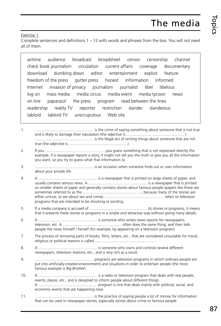### [The media](#page-4-0)

Exercise 1

Complete sentences and definitions 1 – 12 with words and phrases from the box. You will not need all of them.

airtime audience broadcast broadsheet censor censorship channel check book journalism circulation current affairs coverage documentary download dumbing down editor entertainment exploit feature freedom of the press gutter press honest information informed Internet invasion of privacy journalism journalist libel libelous log on mass media media circus media event media tycoon news on line paparazzi the press program read between the lines readership reality TV reporter restriction slander slanderous tabloid tabloid TV unscrupulous Web site

- 1. ....................................................... is the crime of saying something about someone that is not true and is likely to damage their reputation (the adjective is .......................................................) . ....................................................... is the illegal act of writing things about someone that are not true (the adjective is .......................................................).
- 2. If you ......................................................., you guess something that is not expressed directly (for example, if a newspaper reports a story, it might not tell you the truth or give you all the information you want, so you try to guess what that information is).
- 3. ....................................................... is an occasion when someone finds out or uses information about your private life.
- 4. A ....................................................... is a newspaper that is printed on large sheets of paper, and usually contains serious news. A ....................................................... is a newspaper that is printed on smaller sheets of paper and generally contains stories about famous people (papers like these are sometimes referred to as the ......................................................., because many of the stories are either untrue, or are about sex and crime). ....................................................... refers to television programs that are intended to be shocking or exciting.
- 5. If a media company is accused of ....................................................... its stories or programs, it means that it presents these stories or programs in a simple and attractive way without giving many details.
- 6. A ....................................................... is someone who writes news reports for newspapers, television, etc. A ....................................................... often does the same thing, and then tells people the news himself / herself (for example, by appearing on a television program).
- 7. The process of removing parts of books, films, letters, etc., that are considered unsuitable for moral, religious or political reasons is called ....................................................... .
- 8. A ....................................................... is someone who owns and controls several different newspapers, television stations, etc., and is very rich as a result.
- 9. ....................................................... programs are television programs in which ordinary people are put into artificially-created environments and situations in order to entertain people (the most famous example is *Big Brother*).
- 10. A ....................................................... is a radio or television program that deals with real people, events, places, etc., and is designed to inform people about different things. A ....................................................... program is one that deals mainly with political, social, and economic events that are happening now.
- 11. ....................................................... is the practice of paying people a lot of money for information that can be used in newspaper stories, especially stories about crime or famous people.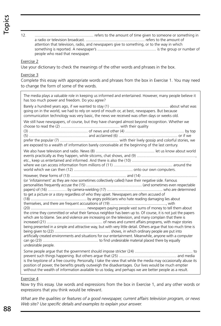Topics

12. ....................................................... refers to the amount of time given to someone or something in a radio or television broadcast. ....................................................... refers to the amount of attention that television, radio, and newspapers give to something, or to the way in which something is reported. A newspaper's ....................................................... is the group or number of people who read that newspaper.

### Exercise 2

Use your dictionary to check the meanings of the other words and phrases in the box.

### Exercise 3

Complete this essay with appropriate words and phrases from the box in Exercise 1. You may need to change the form of some of the words.

| The media plays a valuable role in keeping us informed and entertained. However, many people believe it<br>has too much power and freedom. Do you agree?                                                                                                                                                                                                                                                                                                                                                                                                                                                                                                                        |
|---------------------------------------------------------------------------------------------------------------------------------------------------------------------------------------------------------------------------------------------------------------------------------------------------------------------------------------------------------------------------------------------------------------------------------------------------------------------------------------------------------------------------------------------------------------------------------------------------------------------------------------------------------------------------------|
| going on in the world, we had to rely on word of mouth or, at best, newspapers. But because<br>communication technology was very basic, the news we received was often days or weeks old.                                                                                                                                                                                                                                                                                                                                                                                                                                                                                       |
| We still have newspapers, of course, but they have changed almost beyond recognition. Whether we<br>are exposed to a wealth of information barely conceivable at the beginning of the last century.                                                                                                                                                                                                                                                                                                                                                                                                                                                                             |
|                                                                                                                                                                                                                                                                                                                                                                                                                                                                                                                                                                                                                                                                                 |
| (or 'infotainment' as they are now sometimes collectively called) have their negative side. Famous<br>to get a picture or a story regardless of who they upset. Newspapers are often accused of<br>the crime they committed or what their famous neighbor has been up to. Of course, it is not just the papers<br>which are to blame. Sex and violence are increasing on the television, and many complain that there is<br>being presented in a simple and attractive way, but with very little detail. Others argue that too much time is<br>artificially created environments and situations for our entertainment. Meanwhile, anyone with a computer<br>undesirable people. |
| is the keystone of a free country. Personally, I take the view that while the media may occasionally abuse its<br>position of power, the benefits greatly outweigh the disadvantages. Our lives would be much emptier                                                                                                                                                                                                                                                                                                                                                                                                                                                           |

### Exercise 4

Now try this essay. Use words and expressions from the box in Exercise 1, and any other words or expressions that you think would be relevant.

without the wealth of information available to us today, and perhaps we are better people as a result.

*What are the qualities or features of a good newspaper, current affairs television program, or news Web site? Use specific details and examples to explain your answer.*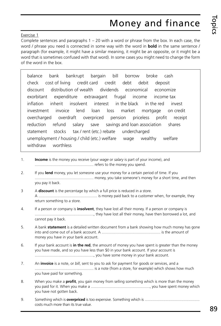# [Money and finance](#page-4-0)

### Exercise 1

Complete sentences and paragraphs  $1 - 20$  with a word or phrase from the box. In each case, the word / phrase you need is connected in some way with the word in **bold** in the same sentence / paragraph (for example, it might have a similar meaning, it might be an opposite, or it might be a word that is sometimes confused with that word). In some cases you might need to change the form of the word in the box.

balance bank bankrupt bargain bill borrow broke cash check cost of living credit card credit debt debit deposit discount distribution of wealth dividends economical economize exorbitant expenditure extravagant frugal income income tax inflation inherit insolvent interest in the black in the red invest investment invoice lend loan loss market mortgage on credit overcharged overdraft overpriced pension priceless profit receipt reduction refund salary save savings and loan association shares statement stocks tax / rent (etc.) rebate undercharged unemployment / housing / child (etc.) welfare wage wealthy welfare withdraw worthless

- 1. **Income** is the money you receive (your *wage* or *salary* is part of your income), and ....................................................... refers to the money you spend.
- 2. If you **lend** money, you let someone use your money for a certain period of time. If you ....................................................... money, you take someone's money for a short time, and then you pay it back.
- 3 A **discount** is the percentage by which a full price is reduced in a store. A ....................................................... is money paid back to a customer when, for example, they return something to a store.
- 4. If a person or company is **insolvent**, they have lost all their money. If a person or company is ......................................................., they have lost all their money, have then borrowed a lot, and cannot pay it back.
- 5. A bank **statement** is a detailed written document from a bank showing how much money has gone into and come out of a bank account. A ....................................................... is the amount of money you have in your bank account.
- 6. If your bank account is **in the red**, the amount of money you have spent is greater than the money you have made, and so you have less than \$0 in your bank account. If your account is ......................................................., you have some money in your bank account.
- 7. An **invoice** is a note, or *bill*, sent to you to ask for payment for goods or services, and a ....................................................... is a note (from a store, for example) which shows how much you have paid for something.
- 8. When you make a **profit**, you gain money from selling something which is more than the money you paid for it. When you make a ......................................................., you have spent money which you have not gotten back.
- 9. Something which is **overpriced** is too expensive. Something which is ....................................................... costs much more than its true value.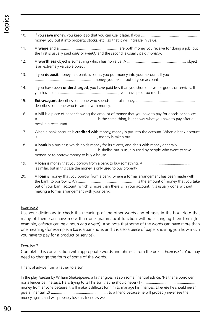- 10. If you **save** money, you keep it so that you can use it later. If you ....................................................... money, you put it into property, stocks, etc., so that it will increase in value.
- 11. A **wage** and a ....................................................... are both money you receive for doing a job, but the first is usually paid *daily* or *weekly* and the second is usually paid *monthly*.
- 12. A **worthless** object is something which has no value. A ....................................................... object is an extremely valuable object.
- 13. If you **deposit** money in a bank account, you put money into your account. If you ....................................................... money, you take it out of your account.
- 14. If you have been **undercharged**, you have paid less than you should have for goods or services. If you have been ......................................................., you have paid too much.
- 15. **Extravagant** describes someone who spends a lot of money. ....................................................... describes someone who is careful with money.
- 16. A **bill** is a piece of paper showing the amount of money that you have to pay for goods or services. A ....................................................... is the same thing, but shows what you have to pay after a meal in a restaurant.
- 17. When a bank account is **credited** with money, money is put into the account. When a bank account is ......................................................., money is taken out.
- 18. A **bank** is a business which holds money for its clients, and deals with money generally. A ....................................................... is similar, but is usually used by people who want to save money, or to borrow money to buy a house.
- 19. A **loan** is money that you borrow from a bank to buy something. A ....................................................... is similar, but in this case the money is only used to buy property.
- 20. A **loan** is money that you borrow from a bank, where a formal arrangement has been made with the bank to borrow it. An ....................................................... is the amount of money that you take out of your bank account, which is more than there is in your account. It is usually done without making a formal arrangement with your bank.

Use your dictionary to check the meanings of the other words and phrases in the box. Note that many of them can have more than one grammatical function without changing their form (for example, *balance* can be a noun *and* a verb). Also note that some of the words can have more than one meaning (for example, a *bill* is a banknote, and it is also a piece of paper showing you how much you have to pay for a product or service).

### Exercise 3

Complete this conversation with appropriate words and phrases from the box in Exercise 1. You may need to change the form of some of the words.

#### Financial advice from a father to a son

In the play *Hamlet* by William Shakespeare, a father gives his son some financial advice. 'Neither a borrower nor a lender be', he says. He is trying to tell his son that he should never (1) ....................................................... money from anyone because it will make it difficult for him to manage his finances. Likewise he should never give a financial (2) ....................................................... to a friend because he will probably never see the money again, and will probably lose his friend as well.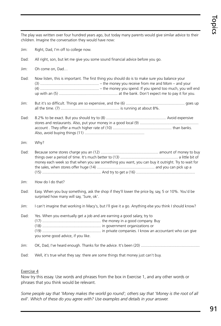The play was written over four hundred years ago, but today many parents would give similar advice to their children. Imagine the conversation they would have now:

Jim: Right, Dad, I'm off to college now.

Dad: All right, son, but let me give you some sound financial advice before you go.

Jim: Oh come on, Dad…

Dad: Now listen, this is important. The first thing you should do is to make sure you balance your (3) ....................................................... – the money you receive from me and Mom – and your (4) ....................................................... – the money you spend. If you spend too much, you will end up with an (5) ....................................................... at the bank. Don't expect me to pay it for you.

- Jim: But it's so difficult. Things are so expensive, and the (6) ....................................................... goes up all the time. (7) ....................................................... is running at about 8%.
- Dad: 8.2% to be exact. But you should try to (8) ........................................................ Avoid expensive stores and restaurants. Also, put your money in a good local (9) ....................................................... account . They offer a much higher rate of (10) ....................................................... than banks. Also, avoid buying things (11) ........................................................

Jim: Why?

Dad: Because some stores charge you an (12) ....................................................... amount of money to buy things over a period of time. It's much better to (13) ....................................................... a little bit of money each week so that when you see something you want, you can buy it outright. Try to wait for the sales, when stores offer huge (14) ....................................................... and you can pick up a (15) ........................................................ And try to get a (16) ........................................................

- Jim: How do I do that?
- Dad: Easy. When you buy something, ask the shop if they'll lower the price by, say, 5 or 10%. You'd be surprised how many will say, 'Sure, ok'.

Jim: I can't imagine that working in Macy's, but I'll give it a go. Anything else you think I should know?

Dad: Yes. When you eventually get a job and are earning a good salary, try to (17) ....................................................... the money in a good company. Buy (18) ....................................................... in government organizations or (19) ....................................................... in private companies. I know an accountant who can give you some good advice, if you like.

Jim: OK, Dad, I've heard enough. Thanks for the advice. It's been (20) ........................................................

Dad: Well, it's true what they say: there are some things that money just can't buy.

### Exercise 4

Now try this essay. Use words and phrases from the box in Exercise 1, and any other words or phrases that you think would be relevant.

*Some people say that 'Money makes the world go round'; others say that 'Money is the root of all evil'. Which of these do you agree with? Use examples and details in your answer.*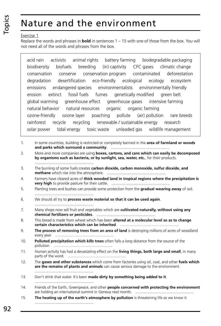# Topics

### [Nature and the environment](#page-4-1)

### Exercise 1

Replace the words and phrases in **bold** in sentences 1 – 15 with one of those from the box. You will not need all of the words and phrases from the box.

acid rain activists animal rights battery farming biodegradable packaging biodiversity biofuels breeding (in) captivity CFC gases climatic change conservation conserve conservation program contaminated deforestation degradation desertification eco-friendly ecological ecology ecosystem emissions endangered species environmentalists environmentally friendly erosion extinct fossil-fuels fumes genetically-modified green-belt global warming greenhouse effect greenhouse gases intensive farming natural behavior natural resources organic organic farming ozone-friendly ozone layer poaching pollute (air) pollution rare breeds rainforest recycle recycling renewable / sustainable energy research solar power tidal energy toxic waste unleaded gas wildlife management

- 1. In some countries, building is restricted or completely banned in the **area of farmland or woods and parks which surround a community**. .......................................................
- 2. More and more companies are using **boxes, cartons, and cans which can easily be decomposed by organisms such as bacteria, or by sunlight, sea, water, etc.**, for their products. .......................................................
- 3. The burning of some fuels creates **carbon dioxide, carbon monoxide, sulfur dioxide, and methane** which rise into the atmosphere. .......................................................
- 4. Farmers have cleared acres of **thick wooded land in tropical regions where the precipitation is very high** to provide pasture for their cattle. .......................................................
- 5. Planting trees and bushes can provide some protection from the **gradual wearing away** of soil. .......................................................
- 6. We should all try to **process waste material so that it can be used again**. .......................................................
- 7. Many shops now sell fruit and vegetables which are **cultivated naturally, without using any chemical fertilizers or pesticides**. .......................................................
- 8. This bread is made from wheat which has been **altered at a molecular level so as to change certain characteristics which can be inherited**. .......................................................
- 9. **The process of removing trees from an area of land** is destroying millions of acres of woodland every year. .......................................................
- 10. **Polluted precipitation which kills trees** often falls a long distance from the source of the pollution. .......................................................
- 11. Human activity has had a devastating effect on the **living things, both large and small**, in many parts of the word. .......................................................
- 12. The **gases and other substances** which come from factories using oil, coal, and other **fuels which are the remains of plants and animals** can cause serious damage to the environment.
- 13. Don't drink that water. It's been **made dirty by something being added to it**. .......................................................
- 14. Friends of the Earth, Greenpeace, and other **people concerned with protecting the environment** are holding an international summit in Geneva next month. .......................................................

15. **The heating up of the earth's atmosphere by pollution** is threatening life as we know it. .......................................................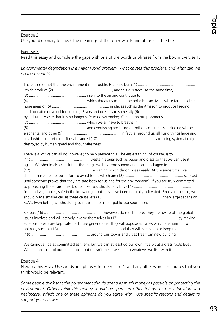Use your dictionary to check the meanings of the other words and phrases in the box.

Exercise 3

Read this essay and complete the gaps with one of the words or phrases from the box in Exercise 1.

*Environmental degradation is a major world problem. What causes this problem, and what can we do to prevent it?*

| by industrial waste that it is no longer safe to go swimming. Cars pump out poisonous<br>destroyed by human greed and thoughtlessness.                                                                                                                                                                                                                                                                                                                                                              |
|-----------------------------------------------------------------------------------------------------------------------------------------------------------------------------------------------------------------------------------------------------------------------------------------------------------------------------------------------------------------------------------------------------------------------------------------------------------------------------------------------------|
| There is a lot we can all do, however, to help prevent this. The easiest thing, of course, is to<br>again. We should also check that the things we buy from supermarkets are packaged in<br>until someone proves that they are safe both for us and for the environment). If you are truly committed<br>fruit and vegetables, safe in the knowledge that they have been naturally cultivated. Finally, of course, we<br>SUVs. Even better, we should try to make more use of public transportation. |
| sure our forests are kept safe for future generations. They will oppose activities which are harmful to                                                                                                                                                                                                                                                                                                                                                                                             |

(19) ....................................................... around our towns and cities free from new building.

We cannot all be as committed as them, but we can at least do our own little bit at a grass roots level. We humans control our planet, but that doesn't mean we can do whatever we like with it.

### Exercise 4

Now try this essay. Use words and phrases from Exercise 1, and any other words or phrases that you think would be relevant.

*Some people think that the government should spend as much money as possible on protecting the environment. Others think this money should be spent on other things such as education and healthcare. Which one of these opinions do you agree with? Use specific reasons and details to support your answer.*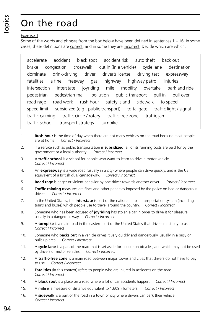### [On the road](#page-4-1)

### Exercise 1

Some of the words and phrases from the box below have been defined in sentences 1 – 16. In some cases, these definitions are correct, and in some they are incorrect. Decide which are which.

accelerate accident black spot accident risk auto theft back out brake congestion crosswalk cut in (in a vehicle) cycle lane destination dominate drink-driving driver driver's license driving test expressway fatalities a fine freeway gas highway highway patrol injuries intersection interstate joyriding mile mobility overtake park and ride pedestrian pedestrian mall pollution public transport pull in pull over road rage road work rush hour safety island sidewalk to speed speed limit subsidized (e.g., public transport) to tailgate traffic light / signal traffic calming traffic circle / rotary traffic-free zone traffic jam traffic school transport strategy turnpike

- 1. **Rush hour** is the time of day when there are not many vehicles on the road because most people are at home. *Correct / Incorrect*
- 2. If a service such as public transportation is **subsidized**, all of its running costs are paid for by the government or a local authority. *Correct / Incorrect*
- 3. A **traffic school** is a school for people who want to learn to drive a motor vehicle. *Correct / Incorrect*
- 4. An **expressway** is a wide road (usually in a city) where people can drive quickly, and is the US equivalent of a British *dual carriageway*. *Correct / Incorrect*
- 5. **Road rage** is anger or violent behavior by one driver towards another driver. *Correct / Incorrect*
- 6. **Traffic calming** measures are fines and other penalties imposed by the police on bad or dangerous drivers. *Correct / Incorrect*
- 7. In the United States, the **interstate** is part of the national public transportation system (including trains and buses) which people use to travel around the country. *Correct / Incorrect*
- 8. Someone who has been accused of **joyriding** has stolen a car in order to drive it for pleasure, usually in a dangerous way. *Correct / Incorrect*
- 9. A **turnpike** is a main road in the eastern part of the United States that drivers must pay to use. *Correct / Incorrect*
- 10. Someone who **backs out** in a vehicle drives it very quickly and dangerously, usually in a busy or built-up area. *Correct / Incorrect*
- 11. A **cycle lane** is a part of the road that is set aside for people on bicycles, and which may not be used by drivers of motor vehicles. *Correct / Incorrect*
- 12. A **traffic-free zone** is a main road between major towns and cities that drivers do not have to pay to use. *Correct / Incorrect*
- 13. **Fatalities** (in this context) refers to people who are injured in accidents on the road. *Correct / Incorrect*
- 14. A **black spot** is a place on a road where a lot of car accidents happen. *Correct / Incorrect*
- 15. A **mile** is a measure of distance equivalent to 1.609 kilometers. *Correct / Incorrect*
- 16. A **sidewalk** is a part of the road in a town or city where drivers can park their vehicle. *Correct / Incorrect*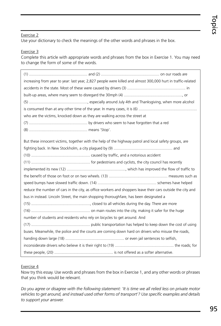Use your dictionary to check the meanings of the other words and phrases in the box.

### Exercise 3

Complete this article with appropriate words and phrases from the box in Exercise 1. You may need to change the form of some of the words.

|                                                                            | increasing from year to year: last year, 2,827 people were killed and almost 300,000 hurt in traffic-related |  |
|----------------------------------------------------------------------------|--------------------------------------------------------------------------------------------------------------|--|
|                                                                            |                                                                                                              |  |
|                                                                            |                                                                                                              |  |
|                                                                            |                                                                                                              |  |
|                                                                            |                                                                                                              |  |
| who are the victims, knocked down as they are walking across the street at |                                                                                                              |  |
|                                                                            |                                                                                                              |  |
|                                                                            |                                                                                                              |  |
|                                                                            | But these innocent victims, together with the help of the highway patrol and local safety groups, are        |  |
|                                                                            |                                                                                                              |  |
|                                                                            |                                                                                                              |  |
|                                                                            |                                                                                                              |  |
|                                                                            |                                                                                                              |  |
|                                                                            |                                                                                                              |  |
|                                                                            |                                                                                                              |  |
|                                                                            |                                                                                                              |  |
|                                                                            | reduce the number of cars in the city, as office workers and shoppers leave their cars outside the city and  |  |
|                                                                            | bus in instead. Lincoln Street, the main shopping thoroughfare, has been designated a                        |  |
|                                                                            |                                                                                                              |  |
|                                                                            |                                                                                                              |  |
| number of students and residents who rely on bicycles to get around. And   |                                                                                                              |  |
|                                                                            |                                                                                                              |  |
|                                                                            | buses. Meanwhile, the police and the courts are coming down hard on drivers who misuse the roads,            |  |
|                                                                            |                                                                                                              |  |
|                                                                            |                                                                                                              |  |
|                                                                            |                                                                                                              |  |

### Exercise 4

Now try this essay. Use words and phrases from the box in Exercise 1, and any other words or phrases that you think would be relevant.

*Do you agree or disagree with the following statement: 'It is time we all relied less on private motor vehicles to get around, and instead used other forms of transport'? Use specific examples and details to support your answer.*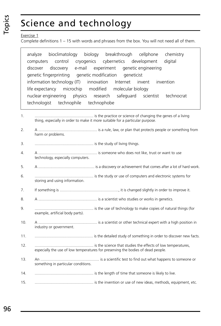## [Science and technology](#page-4-1)

### Exercise 1

Topics

Complete definitions 1 – 15 with words and phrases from the box. You will not need all of them.

analyze bioclimatology biology breakthrough cellphone chemistry computers control cryogenics cybernetics development digital discover discovery e-mail experiment genetic engineering genetic fingerprinting genetic modification geneticist information technology (IT) innovation Internet invent invention  $l$ ife expectancy microchip modified molecular biology nuclear engineering physics research safeguard scientist technocrat technologist technophile technophobe

- 1. ....................................................... is the practice or science of changing the genes of a living thing, especially in order to make it more suitable for a particular purpose.
- 2. A ....................................................... is a rule, law, or plan that protects people or something from harm or problems.
- 3. ....................................................... is the study of living things.
- 4. A ....................................................... is someone who does not like, trust or want to use technology, especially computers.
- 5. A ....................................................... is a discovery or achievement that comes after a lot of hard work.
- 6. ....................................................... is the study or use of computers and electronic systems for storing and using information.
- 7. If something is  $\ldots$  is  $\ldots$  is  $\ldots$  is  $\ldots$  it is changed slightly in order to improve it.
- 8. A ....................................................... is a scientist who studies or works in genetics.
- 9. ....................................................... is the use of technology to make copies of natural things (for example, artificial body parts).
- 10. A ....................................................... is a scientist or other technical expert with a high position in industry or government.
- 11. ....................................................... is the detailed study of something in order to discover new facts.
- 12. ....................................................... is the science that studies the effects of low temperatures, especially the use of low temperatures for preserving the bodies of dead people.
- 13. An ....................................................... is a scientific test to find out what happens to someone or something in particular conditions.
- 14. ....................................................... is the length of time that someone is likely to live.
- 15. ....................................................... is the invention or use of new ideas, methods, equipment, etc.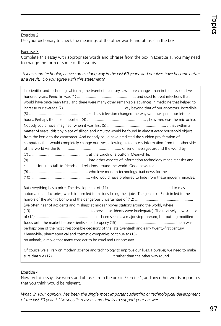Use your dictionary to check the meanings of the other words and phrases in the box.

### Exercise 3

Complete this essay with appropriate words and phrases from the box in Exercise 1. You may need to change the form of some of the words.

*'Science and technology have come a long way in the last 60 years, and our lives have become better as a result.' Do you agree with this statement?*

| In scientific and technological terms, the twentieth century saw more changes than in the previous five<br>would have once been fatal, and there were many other remarkable advances in medicine that helped to<br>matter of years, this tiny piece of silicon and circuitry would be found in almost every household object<br>from the kettle to the camcorder. And nobody could have predicted the sudden proliferation of<br>computers that would completely change our lives, allowing us to access information from the other side<br>cheaper for us to talk to friends and relations around the world. Good news for |
|-----------------------------------------------------------------------------------------------------------------------------------------------------------------------------------------------------------------------------------------------------------------------------------------------------------------------------------------------------------------------------------------------------------------------------------------------------------------------------------------------------------------------------------------------------------------------------------------------------------------------------|
| automation in factories, which in turn led to millions losing their jobs. The genius of Einstein led to the<br>(we often hear of accidents and mishaps at nuclear power stations around the world, where<br>perhaps one of the most irresponsible decisions of the late twentieth and early twenty-first century.<br>on animals, a move that many consider to be cruel and unnecessary.                                                                                                                                                                                                                                     |

Of course we all rely on modern science and technology to improve our lives. However, we need to make sure that we (17) ....................................................... it rather than the other way round.

### Exercise 4

Now try this essay. Use words and phrases from the box in Exercise 1, and any other words or phrases that you think would be relevant.

What, in your opinion, has been the single most important scientific or technological development *of the last 50 years? Use specific reasons and details to support your answer.*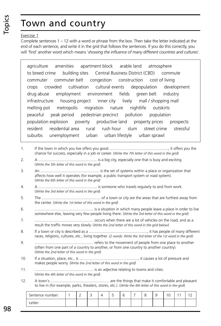### [Town and country](#page-4-1)

### Exercise 1

Complete sentences 1 – 12 with a word or phrase from the box. Then take the letter indicated at the end of each sentence, and write it in the grid that follows the sentences. If you do this correctly, you will 'find' another word which means '*showing the influence of many different countries and cultures*'.

agriculture amenities apartment block arable land atmosphere to breed crime building sites Central Business District (CBD) commute commuter commuter belt congestion construction cost of living crops crowded cultivation cultural events depopulation development drug abuse employment environment fields green belt industry infrastructure housing project inner city lively mall / shopping mall melting pot metropolis migration nature nightlife outskirts peaceful peak period pedestrian precinct pollution population population explosion poverty productive land property prices prospects resident residential area rural rush hour slum street crime stressful suburbs unemployment urban urban lifestyle urban sprawl

- 1. If the town in which you live offers you good ......................................................., it offers you the chance for success, especially in a job or career. (*Write the 7th letter of this word in the grid*)
- 2. A ....................................................... is a big city, especially one that is busy and exciting. (*Write the 5th letter of this word in the grid*)
- 3. An ....................................................... is the set of systems within a place or organization that affects how well it operates (for example, a public transport system or road system). (*Write the 6th letter of this word in the grid)*
- 4. A ....................................................... is someone who travels regularly to and from work. (*Write the 3rd letter of this word in the grid*)
- 5. The ....................................................... of a town or city are the areas that are furthest away from the center. (*Write the 1st letter of this word in the grid*)
- 6. ....................................................... is a situation in which many people leave a place in order to live somewhere else, leaving very few people living there. (*Write the 3rd letter of this word in the grid*)
- 7. ....................................................... occurs when there are a lot of vehicles on the road, and as a result the traffic moves very slowly. (*Write the 2nd letter of this word in the grid below*)
- 8. If a town or city is described as a ......................................................., it has people of many different races, religions, cultures, etc., living together. (*2 words: Write the 3rd letter of the 1st word in the grid*)
- 9. ....................................................... refers to the movement of people from one place to another (often from one part of a country to another, or from one country to another country). (*Write the 2nd letter of this word in the grid*)
- 10. If a situation, place, etc., is ......................................................., it causes a lot of pressure and makes people worry. *(Write the 2nd letter of this word in the grid)*
- 11. ....................................................... is an adjective relating to towns and cities. (*Write the 4th letter of this word in the grid*)
- 12. A town's ....................................................... are the things that make it comfortable and pleasant to live in (for example, parks, theaters, stores, etc.). (*Write the 4th letter of this word in the grid*)

| Sentence number: | <u>_</u> |  | ۔ |  | ◡ | $\sim$ |  |
|------------------|----------|--|---|--|---|--------|--|
| Letter:          |          |  |   |  |   |        |  |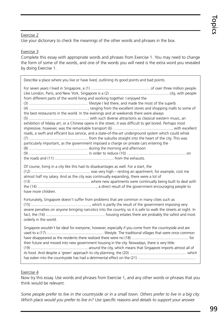Use your dictionary to check the meanings of the other words and phrases in the box.

Exercise 3

Complete this essay with appropriate words and phrases from Exercise 1. You may need to change the form of some of the words, and one of the words you will need is the extra word you revealed by doing Exercise 1.

Describe a place where you live or have lived, outlining its good points and bad points. For seven years I lived in Singapore, a (1) ....................................................... of over three million people. Like London, Paris, and New York, Singapore is a (2) ....................................................... city, with people from different parts of the world living and working together. I enjoyed the (3) ....................................................... lifestyle I led there, and made the most of the superb (4) ......................................................., ranging from the excellent stores and shopping malls to some of the best restaurants in the world. In the evenings and at weekends there were always (5) .......................................................: with such diverse attractions as classical western music, an exhibition of Malay art, or a Chinese opera in the street, it was difficult to get bored. Perhaps most impressive, however, was the remarkable transport (6) ......................................................., with excellent roads, a swift and efficient bus service, and a state-of-the-art underground system which could whisk (7) ....................................................... from the suburbs straight into the heart of the city. This was particularly important, as the government imposed a charge on private cars entering the (8) ....................................................... during the morning and afternoon (9) ....................................................... in order to reduce (10) ....................................................... on the roads and (11) ....................................................... from the exhausts. Of course, living in a city like this had its disadvantages as well. For a start, the (12) ....................................................... was very high – renting an apartment, for example, cost me almost half my salary. And as the city was continually expanding, there were a lot of (13) ....................................................... where new apartments were continually being built to deal with the (14) ......................................................., a direct result of the government encouraging people to have more children. Fortunately, Singapore doesn't suffer from problems that are common in many cities such as (15) ......................................................., which is partly the result of the government imposing very severe penalties on anyone bringing narcotics into the country, so it is safe to walk the streets at night. In fact, the (16) ....................................................... housing estates there are probably the safest and most orderly in the world. Singapore wouldn't be ideal for everyone, however, especially if you come from the countryside and are used to a (17) ....................................................... lifestyle. The traditional villages that were once common have disappeared as the residents there realized there were no (18) ....................................................... for their future and moved into new government housing in the city. Nowadays, there is very little (19) ....................................................... around the city, which means that Singapore imports almost all of its food. And despite a 'green' approach to city planning, the (20) ....................................................... which has eaten into the countryside has had a detrimental effect on the (21) ........................................................

### Exercise 4

Now try this essay. Use words and phrases from Exercise 1, and any other words or phrases that you think would be relevant.

*Some people prefer to live in the countryside or in a small town. Others prefer to live in a big city. Which place would you prefer to live in? Use specific reasons and details to support your answer.*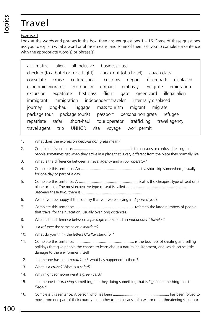### [Travel](#page-4-1)

### Exercise 1

Look at the words and phrases in the box, then answer questions  $1 - 16$ . Some of these questions ask you to explain what a word or phrase means, and some of them ask you to complete a sentence with the appropriate word(s) or phrase(s).

acclimatize alien all-inclusive business class check in (to a hotel or for a flight) check out (of a hotel) coach class consulate cruise culture shock customs deport disembark displaced economic migrants ecotourism embark embassy emigrate emigration excursion expatriate first-class flight gate green-card illegal-alien immigrant immigration independent traveler internally displaced journey long-haul luggage mass tourism migrant migrate package tour package tourist passport persona non grata refugee repatriate safari short-haul tour operator trafficking travel-agency travel agent trip UNHCR visa voyage work permit

- 1. What does the expression *persona non grata* mean?
- 2. Complete this sentence: ....................................................... is the nervous or confused feeling that people sometimes get when they arrive in a place that is very different from the place they normally live.

3. What is the difference between a *travel agency* and a *tour operator*?

- 4. Complete this sentence: An ....................................................... is a short trip somewhere, usually for one day or part of a day.
- 5. Complete this sentence: A ....................................................... seat is the cheapest type of seat on a plane or train. The most expensive type of seat is called ........................................................ Between these two, there is ........................................................
- 6. Would you be happy if the country that you were staying in *deported* you?
- 7. Complete this sentence: ....................................................... refers to the large numbers of people that travel for their vacation, usually over long distances.
- 8. What is the difference between a *package tourist* and an *independent traveler*?
- 9. Is a *refugee* the same as an *expatriate*?
- 10. What do you think the letters *UNHCR* stand for?
- 11. Complete this sentence: ....................................................... is the business of creating and selling holidays that give people the chance to learn about a natural environment, and which cause little damage to the environment itself.
- 12. If someone has been *repatriated*, what has happened to them?
- 13. What is a *cruise*? What is a *safari*?
- 14. Why might someone want a *green card*?
- 15. If someone is *trafficking* something, are they doing something that is *legal* or something that is *illegal*?
- 16. Complete this sentence: A person who has been ....................................................... has been forced to move from one part of their country to another (often because of a war or other threatening situation).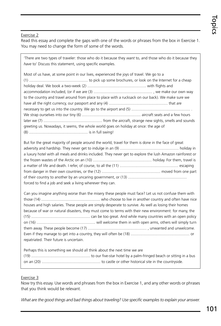Read this essay and complete the gaps with one of the words or phrases from the box in Exercise 1. You may need to change the form of some of the words.

'There are two types of traveler: those who do it because they *want* to, and those who do it because they *have* to' Discuss this statement, using specific examples.

| Most of us have, at some point in our lives, experienced the joys of travel. We go to a            |  |
|----------------------------------------------------------------------------------------------------|--|
|                                                                                                    |  |
|                                                                                                    |  |
|                                                                                                    |  |
| to the country and travel around from place to place with a rucksack on our back). We make sure we |  |
|                                                                                                    |  |
|                                                                                                    |  |
|                                                                                                    |  |
|                                                                                                    |  |
| greeting us. Nowadays, it seems, the whole world goes on holiday at once: the age of               |  |
|                                                                                                    |  |

But for the great majority of people around the world, travel for them is done in the face of great adversity and hardship. They never get to indulge in an (9) ....................................................... holiday in a luxury hotel with all meals and drinks included. They never get to explore the lush Amazon rainforest or the frozen wastes of the Arctic on an (10) ....................................................... holiday. For them, travel is a matter of life and death. I refer, of course, to all the (11) ....................................................... escaping from danger in their own countries, or the (12) ....................................................... moved from one part of their country to another by an uncaring government, or (13) ....................................................... forced to find a job and seek a living wherever they can.

Can you imagine anything worse than the misery these people must face? Let us not confuse them with those (14) ....................................................... who choose to live in another country and often have nice houses and high salaries. These people are simply desperate to survive. As well as losing their homes because of war or natural disasters, they must come to terms with their new environment: for many, the (15) ....................................................... can be too great. And while many countries with an open policy on (16) ....................................................... will welcome them in with open arms, others will simply turn them away. These people become (17) ....................................................... , unwanted and unwelcome. Even if they manage to get into a country, they will often be (18) ....................................................... or repatriated. Their future is uncertain.

| Perhaps this is something we should all think about the next time we are |  |  |  |  |
|--------------------------------------------------------------------------|--|--|--|--|
|                                                                          |  |  |  |  |
|                                                                          |  |  |  |  |

### Exercise 3

Now try this essay. Use words and phrases from the box in Exercise 1, and any other words or phrases that you think would be relevant.

*What are the good things and bad things about traveling? Use specific examples to explain your answer.*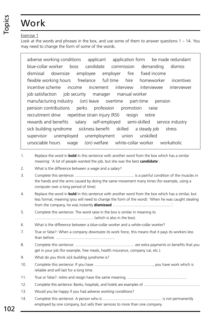### [Work](#page-4-1)

### Exercise 1

Look at the words and phrases in the box, and use some of them to answer questions  $1 - 14$ . You may need to change the form of some of the words.

adverse working conditions applicant application form be made redundant blue-collar worker boss candidate commission demanding dismiss dismissal downsize employee employer fire fixed-income flexible working hours freelance full time hire homeworker incentives incentive scheme income increment interview interviewee interviewer job satisfaction job security manager manual worker manufacturing industry (on) leave overtime part-time pension pension contributions perks profession promotion raise recruitment drive repetitive strain injury (RSI) resign retire rewards and benefits salary self-employed semi-skilled service industry sick building syndrome sickness benefit skilled a steady job stress supervisor unemployed unemployment union unskilled unsociable hours wage (on) welfare white-collar worker workaholic

- 1. Replace the word in **bold** in this sentence with another word from the box which has a similar meaning: 'A lot of people wanted the job, but she was the best **candidate**'.
- 2. What is the difference between a *wage* and a *salary*?
- 3. Complete this sentence: ....................................................... is a painful condition of the muscles in the hands and the arms caused by doing the same movement many times (for example, using a computer over a long period of time).
- 4. Replace the word in **bold** in this sentence with another word from the box which has a similar, but less formal, meaning (you will need to change the form of the word): 'When he was caught stealing from the company, he was instantly **dismissed** .......................................................'.
- 5. Complete this sentence: The word *raise* in the box is similar in meaning to ....................................................... (which is also in the box).
- 6. What is the difference between a *blue-collar worker* and a *white-collar worker*?
- 7. True or false?: When a company *downsizes* its work force, this means that it pays its workers less than before. .......................................................
- 8. Complete this sentence: ....................................................... are extra payments or benefits that you get in your job (for example, free meals, health insurance, company car, etc.).
- 9. What do you think *sick building syndrome* is?
- 10. Complete this sentence: If you have ......................................................., you have work which is reliable and will last for a long time.
- 11. True or false?: *retire* and *resign* have the same meaning. .......................................................
- 12. Complete this sentence: Banks, hospitals, and hotels are examples of ........................................................
- 13. Would you be happy if you had *adverse working conditions*?
- 14. Complete this sentence: A person who is ....................................................... is not permanently employed by one company, but sells their services to more than one company.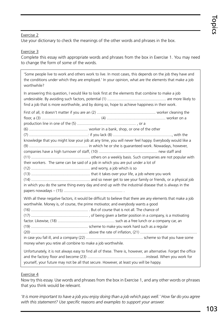Use your dictionary to check the meanings of the other words and phrases in the box.

### Exercise 3

Complete this essay with appropriate words and phrases from the box in Exercise 1. You may need to change the form of some of the words.

'Some people live to work and others work to live. In most cases, this depends on the job they have and the conditions under which they are employed.' In your opinion, what are the elements that make a job worthwhile? In answering this question, I would like to look first at the elements that combine to make a job *un*desirable. By avoiding such factors, potential (1) ....................................................... are more likely to find a job that is more worthwhile, and by doing so, hope to achieve happiness in their work. First of all, it doesn't matter if you are an (2) ....................................................... worker cleaning the fl oor, a (3) ....................................................... (4) ....................................................... worker on a production line in one of the (5) ....................................................... , or a (6) ....................................................... worker in a bank, shop, or one of the other (7) .......................................................: if you lack (8) ......................................................., with the knowledge that you might lose your job at any time, you will never feel happy. Everybody would like a (9) ....................................................... in which he or she is guaranteed work. Nowadays, however, companies have a high turnover of staff, (10) ....................................................... new staff and (11) ....................................................... others on a weekly basis. Such companies are not popular with their workers. The same can be said of a job in which you are put under a lot of (12) ....................................................... and worry, a job which is so (13) ....................................................... that it takes over your life, a job where you work (14) ....................................................... and so never get to see your family or friends, or a physical job in which you do the same thing every day and end up with the industrial disease that is always in the papers nowadays – (15) ....................................................... . With all these negative factors, it would be difficult to believe that there are *any* elements that make a job worthwhile. Money is, of course, the prime motivator, and everybody wants a good (16) ....................................................... . But of course that is not all. The chance of (17) ....................................................... , of being given a better position in a company, is a motivating factor. Likewise, (18) ....................................................... such as a free lunch or a company car, an (19) ....................................................... scheme to make you work hard such as a regular (20) ....................................................... above the rate of infl ation, (21) ....................................................... in case you fall ill, and a company (22) ....................................................... scheme so that you have some money when you retire all combine to make a job worthwhile. Unfortunately, it is not always easy to find all of these. There is, however, an alternative. Forget the office and the factory fl oor and become (23) .......................................................instead. When you work for yourself, your future may not be all that secure. However, at least you will be happy.

### Exercise 4

Now try this essay. Use words and phrases from the box in Exercise 1, and any other words or phrases that you think would be relevant.

*'It is more important to have a job you enjoy doing than a job which pays well.' How far do you agree with this statement? Use specific reasons and examples to support your answer.*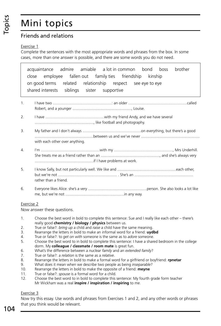## [Mini topics](#page-4-1)

### Friends and relations

### Exercise 1

Complete the sentences with the most appropriate words and phrases from the box. In some cases, more than one answer is possible, and there are some words you do not need.

acquaintance admire amiable a lot in common bond boss brother close employee fallen out family ties friendship kinship on good terms related relationship respect see eye to eye shared interests siblings sister supportive

- 1. I have two .......................................................: an older .......................................................called Robert, and a younger ......................................................., Louise.
- 2. I have .......................................................with my friend Andy, and we have several ......................................................., like football and photography.
- 3. My father and I don't always .......................................................on everything, but there's a good .......................................................between us and we've never ....................................................... with each other over anything.
- 4. I'm .......................................................with my ......................................................., Mrs Underhill. She treats me as a friend rather than an ......................................................., and she's always very .......................................................if I have problems at work.
- 5. I know Sally, but not particularly well. We like and .......................................................each other, but we're not ....................................................... . She's an ....................................................... rather than a friend.
- 6. Everyone likes Alice: she's a very .......................................................person. She also looks a lot like me, but we're not .......................................................in any way.

### Exercise 2

Now answer these questions.

- 1. Choose the best word in bold to complete this sentence: Sue and I really like each other there's really good **chemistry / biology / physics** between us.
- 2. True or false?: *bring up* a child and *raise* a child have the same meaning.
- 3. Rearrange the letters in bold to make an informal word for a friend: **uydbd**
- 4. True or false?: to *get on with* someone is the same as to *adore* someone.
- 5. Choose the best word to in bold to complete this sentence: I have a shared bedroom in the college dorm. My **colleague / classmate / room mate** is great fun.
- 6. What's the difference between a *nuclear family* and an *extended family*?
- 7. True or false?: a *relation* is the same as a *relative*.
- 8. Rearrange the letters in bold to make a formal word for a girlfriend or boyfriend: **rpnetar**
- 9. What does it mean when we describe two people as being *inseparable*?
- 10. Rearrange the letters in bold to make the opposite of a friend: **meyne**
- 11. True or false?: *spouse* is a formal word for a child.
- 12. Choose the best word to in bold to complete this sentence: My fourth grade form teacher Mr Wickham was a real **inspire / inspiration / inspiring** to me.

### Exercise 3

Now try this essay. Use words and phrases from Exercises 1 and 2, and any other words or phrases that you think would be relevant.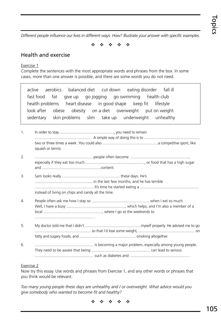*Different people influence our lives in different ways. How? Illustrate your answer with specific examples.*

### \* \* \* \* \*

### Health and exercise

### Exercise 1

Complete the sentences with the most appropriate words and phrases from the box. In some cases, more than one answer is possible, and there are some words you do not need.

active aerobics balanced diet cut down eating disorder fall ill fast food fat give up go jogging go swimming health club health problems heart disease in good shape keep fit lifestyle look after obese obesity on a diet overweight put on weight sedentary skin problems slim take up underweight unhealthy

| 1.                    |                                                    |  |  |  |  |
|-----------------------|----------------------------------------------------|--|--|--|--|
|                       | squash or tennis.                                  |  |  |  |  |
| 2.                    |                                                    |  |  |  |  |
|                       |                                                    |  |  |  |  |
| 3.                    |                                                    |  |  |  |  |
|                       |                                                    |  |  |  |  |
|                       |                                                    |  |  |  |  |
|                       | instead of living on chips and candy all the time. |  |  |  |  |
| $\mathcal{A}_{\cdot}$ |                                                    |  |  |  |  |
|                       |                                                    |  |  |  |  |
|                       |                                                    |  |  |  |  |
|                       |                                                    |  |  |  |  |
| 5.                    |                                                    |  |  |  |  |
|                       |                                                    |  |  |  |  |
|                       |                                                    |  |  |  |  |
| 6.                    |                                                    |  |  |  |  |
|                       |                                                    |  |  |  |  |
|                       |                                                    |  |  |  |  |
|                       |                                                    |  |  |  |  |

### Exercise 2

Now try this essay. Use words and phrases from Exercise 1, and any other words or phrases that you think would be relevant.

*Too many young people these days are unhealthy and / or overweight. What advice would you give somebody who wanted to become fit and healthy?*

 $\begin{array}{cccccccccccccc} \Phi & \Phi & \Phi & \Phi & \Phi & \Phi \end{array}$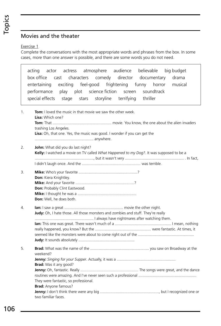### Movies and the theater

#### Exercise 1

Complete the conversations with the most appropriate words and phrases from the box. In some cases, more than one answer is possible, and there are some words you do not need.

1. **Tom:** I loved the music in that movie we saw the other week. **Lisa:** Which one? **Tom:** That ....................................................... movie. You know, the one about the alien invaders trashing Los Angeles. **Lisa:** Oh, that one. Yes, the music was good. I wonder if you can get the ....................................................... anywhere. 2. **John:** What did you do last night? **Kelly:** I watched a movie on TV called *What Happened to my Dog?*. It was supposed to be a ......................................................., but it wasn't very ....................................................... . In fact, I didn't laugh once. And the ....................................................... was terrible. 3. **Mike:** Who's your favorite .......................................................? **Don:** Kiera Knightley. **Mike:** And your favorite .......................................................? **Don:** Probably Clint Eastwood. **Mike:** I thought he was a ....................................................... **Don:** Well, he does both. 4. **Ian:** I saw a great ....................................................... movie the other night. acting actor actress atmosphere audience believable big budget box office cast characters comedy director documentary drama entertaining exciting feel-good frightening funny horror musical performance play plot science-fiction screen soundtrack special effects stage stars storyline terrifying thriller

**Judy:** Oh, I hate those. All those monsters and zombies and stuff. They're really ....................................................... I always have nightmares after watching them. **Ian:** This one was great. There wasn't much of a ....................................................... I mean, nothing really happened, you know? But the ....................................................... were fantastic. At times, it seemed like the monsters were about to come right out of the ....................................................... **Judy:** It sounds absolutely ....................................................... 5. **Brad:** What was the name of the ....................................................... you saw on Broadway at the weekend? **Jenny:** *Singing for your Supper*. Actually, it was a ....................................................... **Brad:** Was it any good? **Jenny:** Oh, fantastic. Really ....................................................... The songs were great, and the dance routines were amazing. And I've never seen such a professional ....................................................... They were fantastic, so professional. **Brad:** Anyone famous? **Jenny:** I don't think there were any big ......................................................., but I recognized one or two familiar faces.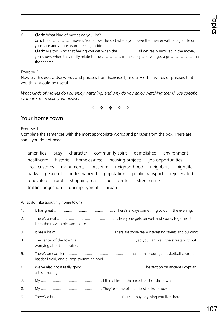6. **Clark:** What kind of movies do you like?

Jan: I like ............... movies. You know, the sort where you leave the theater with a big smile on your face and a nice, warm feeling inside.

**Clark:** Me too. And that feeling you get when the …………… all get really involved in the movie, you know, when they really relate to the …………… in the story, and you get a great …………… in the theater.

# Exercise 2

Now try this essay. Use words and phrases from Exercise 1, and any other words or phrases that you think would be useful.

*What kinds of movies do you enjoy watching, and why do you enjoy watching them? Use specific examples to explain your answer.*

 $\ddot{\phi}$  ,  $\ddot{\phi}$  ,  $\ddot{\phi}$  ,  $\ddot{\phi}$  ,  $\ddot{\phi}$ 

# Your home town

Exercise 1

Complete the sentences with the most appropriate words and phrases from the box. There are some you do not need.

| amenities                                                      |  | busy character community spirit demolished environment          |  |       |  |  |
|----------------------------------------------------------------|--|-----------------------------------------------------------------|--|-------|--|--|
| healthcare                                                     |  | historic homelessness housing projects job opportunities        |  |       |  |  |
| local customs                                                  |  | monuments museum neighborhood neighbors nightlife               |  |       |  |  |
| parks                                                          |  | peaceful pedestrianized population public-transport rejuvenated |  |       |  |  |
| shopping mall<br>sports center street crime<br>renovated rural |  |                                                                 |  |       |  |  |
|                                                                |  | traffic congestion unemployment                                 |  | urban |  |  |

What do I like about my home town?

| 1.               |                                            |  |
|------------------|--------------------------------------------|--|
| 2.               | keep the town a pleasant place.            |  |
| 3.               |                                            |  |
| $\overline{4}$ . | worrying about the traffic.                |  |
| 5.               | baseball field, and a large swimming pool. |  |
| 6.               | art is amazing.                            |  |
| 7.               |                                            |  |
| 8.               |                                            |  |
| 9.               |                                            |  |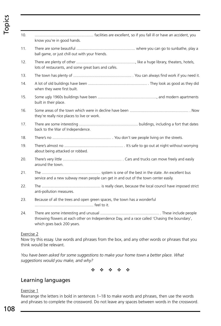Topics

| 10.        | know you're in good hands.                                                                                                  |
|------------|-----------------------------------------------------------------------------------------------------------------------------|
| 11.        | ball game, or just chill out with your friends.                                                                             |
| 12.        | lots of restaurants, and some great bars and cafés.                                                                         |
| 13.        |                                                                                                                             |
| 14.        | when they were first built.                                                                                                 |
| 15.        | built in their place.                                                                                                       |
| 16.        | they're really nice places to live or work.                                                                                 |
| 17.        | back to the War of Independence.                                                                                            |
| 18.        |                                                                                                                             |
| 19.        | about being attacked or robbed.                                                                                             |
| 20.        | around the town.                                                                                                            |
| 21.        | service and a new subway mean people can get in and out of the town center easily.                                          |
| 22.        | anti-pollution measures.                                                                                                    |
| 23.        | Because of all the trees and open green spaces, the town has a wonderful                                                    |
| 24.        | throwing flowers at each other on Independence Day, and a race called 'Chasing the boundary',<br>which goes back 200 years. |
| Exercise 2 |                                                                                                                             |

Now try this essay. Use words and phrases from the box, and any other words or phrases that you think would be relevant.

*You have been asked for some suggestions to make your home town a better place. What suggestions would you make, and why?*

\* \* \* \* \*

# Learning languages

Exercise 1

Rearrange the letters in bold in sentences 1–18 to make words and phrases, then use the words and phrases to complete the crossword. Do not leave any spaces between words in the crossword.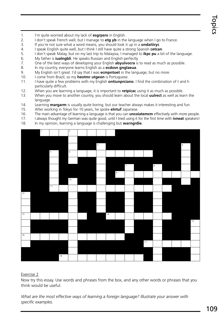- 1. I'm quite worried about my lack of **esgrpsro** in English.
- 2. I don't speak French well, but I manage to **etg yb** in the language when I go to France.<br>3. If you're not sure what a word means, you should look it up in a **ondaitirve**
- 3. If you're not sure what a word means, you should look it up in a **ondaitiryc**
- 4. I speak English quite well, but I think I still have quite a strong Spanish **cetcan**.
- 5. I don't speak Malay, but on my last trip to Malaysia, I managed to **ikpc pu** a bit of the language.
- 6. My father is **iualngbli**. He speaks Russian and English perfectly.
- 7. One of the best ways of developing your English **abyulvocra** is to read as much as possible.
- 8. In my country, everyone learns English as a **ecdosn gnglaeua**.
- 9. My English isn't great. I'd say that I was **ecmpntoet** in the language, but no more.
- 10. I come from Brazil, so my **heotmr utgeon** is Portuguese.
- 11. I have quite a few problems with my English **ontiunprciano**. I find the combination of t and h particularly difficult.
- 12. When you are learning a language, it is important to **retpicac** using it as much as possible.
- 13. When you move to another country, you should learn about the local **uulrect** as well as learn the language.
- 14. Learning **margarm** is usually quite boring, but our teacher always makes it interesting and fun.<br>15. After working in Tokyo for 10 years, he spoke **eintuf** Japanese.
- 15. After working in Tokyo for 10 years, he spoke **elntuf** Japanese.
- 16. The main advantage of learning a language is that you can **uncoiatemcm** effectively with more people.
- 17. I always thought my German was quite good, until I tried using it for the first time with **ivneat** speakers!
- 18. In my opinion, learning a language is challenging but **warngrdie**.



# Exercise 2

Now try this essay. Use words and phrases from the box, and any other words or phrases that you think would be useful.

*What are the most effective ways of learning a foreign language? Illustrate your answer with specific examples.*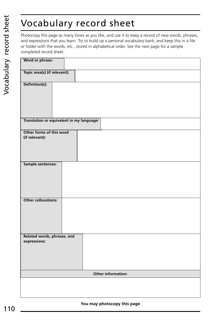# [Vocabulary record sheet](#page-4-0)

Photocopy this page as many times as you like, and use it to keep a record of new words, phrases, and expressions that you learn. Try to build up a personal vocabulary bank, and keep this in a file or folder with the words, etc., stored in alphabetical order. See the next page for a sample completed record sheet.

| Word or phrase:                             |                                           |  |
|---------------------------------------------|-------------------------------------------|--|
|                                             |                                           |  |
| Topic area(s) (if relevant):                |                                           |  |
| Definition(s):                              |                                           |  |
|                                             | Translation or equivalent in my language: |  |
| Other forms of this word<br>(if relevant):  |                                           |  |
| <b>Sample sentences:</b>                    |                                           |  |
| <b>Other collocations:</b>                  |                                           |  |
| Related words, phrases, and<br>expressions: |                                           |  |
| <b>Other information:</b>                   |                                           |  |
|                                             |                                           |  |
|                                             | You may photocopy this page               |  |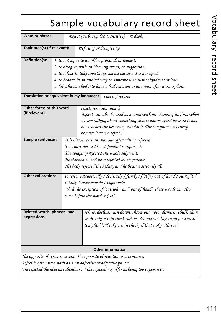# [Sample vocabulary record sheet](#page-4-1)

| Word or phrase:                                                                                                                                  |                                                           | Reject (verb, regular, transitive) / rI'dzekt /                                   |  |  |  |
|--------------------------------------------------------------------------------------------------------------------------------------------------|-----------------------------------------------------------|-----------------------------------------------------------------------------------|--|--|--|
| Topic area(s) (if relevant):                                                                                                                     |                                                           | Refusing or disagreeing                                                           |  |  |  |
| Definition(s):                                                                                                                                   |                                                           | 1. to not agree to an offer, proposal, or request.                                |  |  |  |
|                                                                                                                                                  | 2. to disagree with an idea, argument, or suggestion.     |                                                                                   |  |  |  |
|                                                                                                                                                  |                                                           | 3. to refuse to take something, maybe because it is damaged.                      |  |  |  |
|                                                                                                                                                  |                                                           | 4. to behave in an unkind way to someone who wants kindness or love.              |  |  |  |
| 5. (of a human body) to have a bad reaction to an organ after a transplant.                                                                      |                                                           |                                                                                   |  |  |  |
| Translation or equivalent in my language:                                                                                                        |                                                           | rejeter / refuser                                                                 |  |  |  |
| Other forms of this word                                                                                                                         |                                                           | reject, rejection (noun)                                                          |  |  |  |
| (if relevant):                                                                                                                                   |                                                           | 'Reject' can also be used as a noun without changing its form when                |  |  |  |
|                                                                                                                                                  |                                                           | we are talking about something that is not accepted because it has                |  |  |  |
|                                                                                                                                                  |                                                           | not reached the necessary standard: 'The computer was cheap                       |  |  |  |
|                                                                                                                                                  |                                                           | because it was a reject'.                                                         |  |  |  |
| <b>Sample sentences:</b><br>It is almost certain that our offer will be rejected.                                                                |                                                           |                                                                                   |  |  |  |
|                                                                                                                                                  |                                                           | The court rejected the defendant's argument.                                      |  |  |  |
|                                                                                                                                                  |                                                           | The company rejected the whole shipment.                                          |  |  |  |
|                                                                                                                                                  |                                                           | He claimed he had been rejected by his parents.                                   |  |  |  |
|                                                                                                                                                  | His body rejected the kidney and he became seriously ill. |                                                                                   |  |  |  |
| <b>Other collocations:</b>                                                                                                                       |                                                           | to reject categorically / decisively / firmly / flatly / out of hand / outright / |  |  |  |
|                                                                                                                                                  |                                                           | totally / unanimously / vigorously.                                               |  |  |  |
|                                                                                                                                                  |                                                           | With the exception of 'outright' and 'out of hand', these words can also          |  |  |  |
|                                                                                                                                                  |                                                           | come <b>before</b> the word 'reject'.                                             |  |  |  |
|                                                                                                                                                  |                                                           |                                                                                   |  |  |  |
| Related words, phrases, and                                                                                                                      |                                                           | refuse, decline, turn down, throw out, veto, dismiss, rebuff, shun,               |  |  |  |
| expressions:                                                                                                                                     |                                                           | snub, take a rain check (idiom. 'Would you like to go for a meal                  |  |  |  |
|                                                                                                                                                  |                                                           | tonight?' 'I'll take a rain check, if that's ok with you')                        |  |  |  |
|                                                                                                                                                  |                                                           |                                                                                   |  |  |  |
|                                                                                                                                                  |                                                           |                                                                                   |  |  |  |
| <b>Other information:</b>                                                                                                                        |                                                           |                                                                                   |  |  |  |
|                                                                                                                                                  |                                                           |                                                                                   |  |  |  |
| The opposite of reject is accept. The opposite of rejection is acceptance.<br>Reject is often used with as $+$ an adjective or adjective phrase: |                                                           |                                                                                   |  |  |  |
|                                                                                                                                                  |                                                           |                                                                                   |  |  |  |
| 'He rejected the idea as ridiculous'. 'She rejected my offer as being too expensive'.                                                            |                                                           |                                                                                   |  |  |  |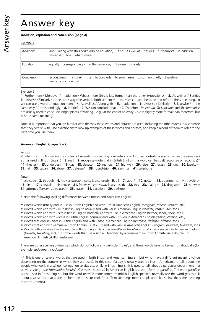# **Addition, equation and conclusion (page 4)**

### Exercise 1

| Addition:   | along with (this could also be equation) also as well as besides furthermore in addition<br>and<br>moreover too what's more |
|-------------|-----------------------------------------------------------------------------------------------------------------------------|
| Equation:   | correspondingly in the same way likewise similarly<br>equally                                                               |
| Conclusion: | in conclusion in brief thus to conclude to summarize to sum up briefly therefore<br>we can conclude that                    |

# Exercise 2

**1.** Furthermore / Moreover / In addition / What's more (this is less formal than the other expressions) **2.** As well as / Besides **3.** Likewise / Similarly / In the same way (the verbs in both sentences – i.e., *respect* – are the same and refer to the same thing, so we can use a word of equation here) **4.** As well as / Along with **5.** In addition **6.** Likewise / Similarly **7.** Likewise / In the same way / Correspondingly **8.** In brief **9.** We can conclude that **10.** Therefore (*To sum up, To conclude* and *To summarize* are usually used to conclude longer pieces of writing – e.g., at the end of an essay. *Thus* is slightly more formal than *therefore*, but has the same meaning)

Note: It is important that you are familiar with the way these words and phrases are used, including the other words in a sentence that they 'work' with. Use a dictionary to look up examples of these words and phrases, and keep a record of them to refer to the next time you use them.

# **American English (pages 5 – 7)**

# Across

**2.** intermission **6.** over (in the context of repeating something completely only. In other contexts, *again* is used in the same way as it is used in British English) **8.** mail **9.** recognize (note that in British English, this word can be spelt *recognise* or *recognize*)\* **11.** theater\* **13.** underpass **16.** gas **18.** elevator **20.** realtors **24.** highway **26.** raise **27.** recess **29.** guy **30.** faculty\*\* **32.** fall **35.** sedan **36.** store **37.** defense\* **38.** round-trip **40.** alumnus **41.** cellphone

# **Down**

**1.** zip code **3.** through **4.** movies *(movie theater* is also used) **5.** bill **7.** labor\* **10.** gotten **12.** apartments **14.** travelers\* **15.** first **17.** sidewalk **19.** movie **21.** freeway (*expressway* is also used) **22.** this **23.** dialog\* **25.** drugstore **28.** subway **31.** attorney (*lawyer* is also used) **33.** eraser **34.** vacation **39.** bathroom

\* Note the following spelling differences between British and American English:

- Words which usually end in *–ise* in British English end with *–ize* in American English (*recognize*, *realize*, *itemize*, etc.).
- Words which end with *–re* in British English usually end with *–er* in American English (*theater*, *center*, *liter*, etc.).
- Words which end with *–our* in British English normally end with *–or* in American English (*humor*, *labor*, *color*, etc.).
- Words which end with *–ogue* in British English normally end with just *–og* in American English (*dialog*, *catalog*, etc.).
- Words that end in *–ence* in British English end with *–ense* in American English (*pretense*, *defense*, *offense*, etc.).
- Words that end with *–amme* in British English usually just end with *–am* in American English (*kilogram*, *program*, *telegram*, etc.)
- Words with a double L in the middle in British English (such as *traveller* or *travelling*) usually use a single L in American English (*traveler*, *traveling*, etc), but some words that use a single L followed by a consonant in British English use a double L in American English (skillful, installment).

There are other spelling differences which do not follow any particular 'rules', and these words have to be learnt individually (for example, *judgement* / *judgment*).

\*\* This is one of several words that are used in both British and American English, but which have a different meaning (often depending on the context in which they are used). In this case, *faculty* is usually used by North Americans to talk about the people who work in a school, college, university, etc, while in British English it is used to talk about a particular department in a university (e.g., *the Humanities Faculty*). *Gas* (see 16 across) in American English is a short form of *gasoline*. The word *gasoline* is also used in British English, but the word *petrol* is more common: British-English speakers normally use the word *gas* to talk about a substance that is used to heat the house or cook food. To make things more complicated, it also has the same meaning in North America.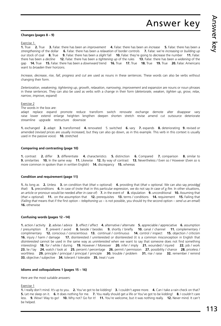Answer key

# **Changes (pages 8 – 9)**

### Exercise 1.

**1.** True **2.** True **3.** False: there has been an *improvement* **4.** False: there has been an *increase* **5.** False: there has been a *strengthening* of the dollar **6.** False: there has been a *relaxation* of border controls **7.** False: we're *increasing* or *building up* our stock of coal **8.** True **9.** False: there has been a *slight* fall **10.** False: they're going to *decrease* the number **11.** False: there has been a *decline* **12.** False: there has been a *tightening up* of the rules **13.** False: there has been a *widening* of the gap **14.** True **15.** False: there has been a *downward* trend **16.** True **17.** True **18.** True **19.** True **20.** False: Americans want to *broaden* their horizons.

*Increase*, *decrease*, *rise*, *fall*, *progress* and *cut* are used as nouns in these sentences. These words can also be verbs without changing their form.

*Deterioration*, *weakening*, *tightening up*, *growth*, *relaxation*, *narrowing*, *improvement* and *expansion* are nouns or noun phrases in these sentences. They can also be used as verbs with a change in their form (*deteriorate*, *weaken*, *tighten up*, *grow*, *relax*, *narrow*, *improve*, *expand*)

### Exercise 2

The words in the box are:

adapt replace expand promote reduce transform switch renovate exchange demote alter disappear vary raise lower extend enlarge heighten lengthen deepen shorten stretch revise amend cut outsource deteriorate streamline upgrade restructure downsize

**1.** exchanged **2.** adapt **3.** transformed **4.** renovated 5. switched **6.** vary **7.** expands **8.** deteriorating **9.** revised *or* amended (*revised* prices are usually increased, but they can also go down, as in this example. This verb in this context is usually used in the passive voice) **10.** stretched

# **Comparing and contrasting (page 10)**

**1.** contrast **2.** differ **3.** differentiate **4.** characteristics **5.** distinction **6.** Compared **7.** comparison **8.** similar to **9.** similarities **10.** In the same way **11.** Likewise **12.** By way of contrast **13.** Nevertheless / Even so / However (*Even so* is more common in spoken than in written English) **14.** discrepancy **15.** whereas

#### **Condition and requirement (page 11)**

**1.** As long as **2.** Unless **3.** on condition that (*that* = optional) **4.** providing that (*that* = optional. We can also say *provided that*) **5.** preconditions **6.** In case of (note that in this particular expression, we do not say *In case of a fire*. In other situations, an article or pronoun would be needed after *in case of*) **7.** in the event of **8.** stipulation **9.** unconditional **10.** Assuming that (*that* = optional) **11.** on the assumption that **12.** prerequisites **13.** terms / conditions **14.** requirement **15.** Failing that (*Failing that* means that if the first option – *telephoning us* – is not possible, you should try the second option – *send us an email*) **16.** otherwise

#### **Confusing words (pages 12 –14)**

**1.** action / activity **2.** advise / advice **3.** effect / affect **4.** alternative / alternate **5.** appreciable / appreciative **6.** assumption / presumption **7.** prevent / avoid **8.** beside / besides **9.** shortly / briefly **10.** canal / channel **11.** complementary / complimentary **12.** conscious / conscientious **13.** continual / continuous **14.** control / inspect **15.** objection / criticism **16.** injury / harm / damage **17.** disinterested / uninterested *or* disinterested (it is a common misconception in English that *disinterested* cannot be used in the same way as *uninterested* when we want to say that someone does not find something interesting) **18.** for / while / during **19.** However / Moreover **20.** infer / imply **21.** wounded / injured **22.** job / work **23.** lie / lay **24.** watch / look at **25.** percent / percentage **26.** permit / permission **27.** possibility / chance **28.** priceless / worthless **29.** principle / principal / principal / principle **30.** trouble / problem **31.** rise / raise **32.** remember / remind **33.** objective / subjective **34.** tolerant / tolerable **35.** treat / cure

#### **Idioms and colloquialisms 1 (pages 15 – 16)**

Here are the most suitable answers:

#### Exercise 1

**<sup>1.</sup>** I really don't mind. It's up to you. **2.** You've got to be kidding! **3.** I couldn't agree more. **4.** Can I take a rain check on that? **5.** Let me sleep on it. **6.** It does nothing for me. **7.** You really should get a life *or* You've got to be kidding! **8.** I couldn't care less. **9.** Wow! Way to go! **10.** Why not? Go for it! **11.** You're welcome, but it was nothing really. **12.** Never mind. It can't be helped.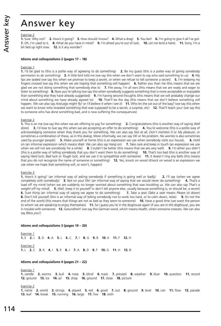# Exercise 2

**1.** Sure. Why not? **2.** How's it going? **3.** How should I know? **4.** What a drag! **5.** You bet! **6.** I'm going to give it all I've got. **7.** Oh, I'm used to it. **8.** What do you have in mind? **9.** I'm afraid you're out of luck. **10.** Let me lend a hand. **11.** Sorry, I'm a bit tied up right now. **12.** Is it any wonder?

# **Idioms and colloquialisms 2 (pages 17 – 18)**

### Exercise 1

**1.** I'd be glad to (this is a polite way of agreeing to do something) **2.** Be my guest (this is a polite way of giving somebody permission to do something) **3.** A little bird told me (we say this when we don't want to say who said something to us) **4.** My lips are sealed (we say this when we promise to keep a secret, or when we refuse to tell someone a secret) **5.** I'm keeping my fingers crossed (we say this when we are hoping that something will happen) **6.** Rather you than me (this means that we are glad we are not doing something that somebody else is) **7.** Fire away, I'm all ears (this means that we are ready and eager to listen to something) **8.** Now you're talking (we say this when somebody suggests something that is more acceptable or enjoyable than something else they have already suggested) **9.** I'm having second thoughts (this means that we will probably change our mind about something we have already agreed to) **10.** That'll be the day (this means that we don't believe something will happen. We can also say *And pigs might fly!* or *I'll believe it when I see it*) **11.** Who let the cat out of the bag? (we say this when we want to know who revealed something that was supposed to be a secret, a surprise, etc) **12.** That'll teach you! (we say this to someone who has done something bad, and is now suffering the consequences)

# Exercise 2

**1.** This is on me (we say this when we are offering to pay for something) **2.** Congratulations (this is another way of saying *Well done*) **3.** I'd love to (we say this when we are accepting an offer to do something) **4.** You're welcome (this is a polite way of acknowledging someone when they thank you for something. We can also say *Not at all*, *Don't mention it* or *My pleasure*, or sometimes a combination of these, as in this dialog. More informally, we can say *OK* or *No problem*. *No worries* is also sometimes **5.** Make yourself at home (this is an expression we use when somebody visits our house). **6.** Hold on (an informal expression which means *Wait*. We can also *say Hang on*) **7.** Take care and keep in touch (an expression we use when we will not see somebody for a while) **8.** Couldn't be better (this means that we are very well) **9.** I'd rather you didn't (this is a polite way of telling somebody that you don't want them to do something) **10.** That's too bad (this is another way of saying *Hard luck*, *Bad luck* or *Tough luck*, and we use it to sympathize with someone) **11.** It doesn't ring any bells (this means that you do not recognize the name of someone or something) **12.** Yes, knock on wood (*Knock on wood* is an expression we use when we hope that something will, or won't, happen)

# Exercise 3

**1.** How's it going? (an informal way of asking somebody if something is going well or badly) **2.** I'll say (when we agree completely with somebody) **3.** Not on your life! (an informal way of saying that we would never do something) **4.** That's a load off my mind (when we are suddenly no longer worried about something that was troubling us. We can also say *That's a weight off my mind*) **5.** Well, keep it to yourself (= don't tell anyone else, usually because something is, or should be, a secret) **6.** Sure thing (an informal way of saying we agree to do something) **7.** Take a seat (*Take a seat* means *Please sit down*) **8.** Don't kill yourself (this is an informal way of telling somebody not to work too hard, or to calm down, relax) **9.** It's not the end of the world (this means that things are not as bad as they seem to someone) **10.** Have a good time (we want the person to whom we are speaking to enjoy themselves) **11.** So I guess you're in the doghouse again (if you are *in the doghouse*, you are in trouble with someone) **12.** Gesundheit! (we say this German word, which means *health*, when someone sneezes. We can also say *Bless you!*)

# **Idioms and colloquialisms 3 (pages 19 – 20)**

Exercise 1 **1.** E **2.** J **3.** D **4.** A **5.** L **6.** C **7.** I **8.** G **9.** B **10.** K **11.** F **12.** H Exercise 2 **1.** L **2.** C **3.** K **4.** I **5.** E **6.** J **7.** A **8.** D **9.** F **10.** G **11.** H **12.** B

# **Idioms and colloquialisms 4 (pages 21 – 22)**

Exercise 1 **1.** candle **2.** worms **3.** bull **4.** nose **5.** blind **6.** track **7.** pressed **8.** weather **9.** blue **10.** question **11.** record **12.** ground **13.** ice **14.** air **15.** shop **16.** ground **17.** close **18.** picture

Exercise 2

**1.** name **2.** world **3.** strings **4.** played **5.** red **6.** good **7.** out **8.** ground **9.** level **10.** can **11.** flow **12.** parade **13.** leaf **14.** break **15.** running **16.** large **17.** five **18.** sixth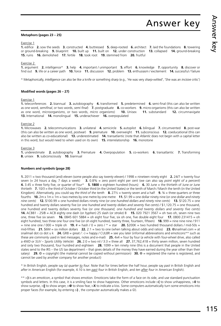# **Metaphors (pages 23 – 25)**

#### Exercise 1

**1.** edifice **2.** sow the seeds **3.** constructed **4.** buttressed **5.** deep-rooted **6.** architect **7.** laid the foundations **8.** towering or ground-breaking **9.** blueprint **10.** built up **11.** built on **12.** under construction **13.** collapsed **14.** ground-breaking **15.** ruins **16.** demolished **17.** fertile **18.** took root **19.** stemmed from **20.** fruitful

### Exercise 2

**1.** argument **2.** intelligence\* **3.** help **4.** important / unimportant **5.** effort **6.** knowledge **7.** opportunity **8.** discover or find out **9.** life or a career path **10.** force **11.** discussion **12.** problem **13.** enthusiasm / excitement **14.** successful / failure

\* Metaphorically, *intelligence* can also be like a knife or something sharp (e.g., 'He was very *sharp-witted*', 'She was an *incisive* critic')

# **Modified words (pages 26 – 27)**

### Exercise 1

**1.** teleconferences **2.** biannual **3.** autobiography **4.** transformed **5.** predetermined **6.** semi-final (this can also be written as one word, *semifinal*, or two words, *semi final*) **7.** postgraduate **8.** co-workers **9.** micro-organisms (this can also be written as one word, *microorganisms*, or two words, *micro organisms*) **10.** Unisex **11.** substandard **12.** circumnavigate **13.** International **14.** monolingual **15.** underachiever **16.** overpopulated

### Exercise 2

**1.** Microwaves **2.** telecommunications **3.** unilateral **4.** semicircle **5.** autopilot **6.** bilingual **7.** circumvented **8.** post-war (this can also be written as one word, *postwar*) **9.** premature **10.** overweight **11.** subconscious **12.** coeducational (this can also be written as *co-educational*) **13.** underestimated **14.** transatlantic (note that *Atlantic* does not begin with a capital letter in this word, but would need to when used on its own) **15.** interrelationship **16.** monotone

### Exercise 3

**1.** underestimate **2.** autobiography **3.** Premature **4.** Overpopulation **5.** co-workers **6.** transatlantic **7.** Transforming **8.** unisex **9.** subconsciously **10.** biannual

# **Numbers and symbols (page 28)**

**1.** 2011 = two thousand (and) eleven (some people also say *twenty eleven*) / 1998 = nineteen ninety eight **2.** 24/7 = twenty four seven (= 24 hours a day, 7 days a week) **3.** 0.8% = zero point eight per cent (we can also say *point eight of a percent*) **4.** 3.45 = three forty five, or quarter of four\* **5. 1800** = eighteen hundred (hours) **6.** 30 June = the thirtieth of June *or* June thirtieth **7.** 10/3 = the third of October / October third (in the United States) or the tenth of March / March the tenth (in the United Kingdom). Alternatively, you could say *the third of the tenth* **8.** 27½ = twenty seven and a half **9.** ¾ = three quarters *or* three fourths **10.** 2m x 1m x 1m = two metres by one metre by one metre **11.** \$1.99 = one dollar ninety nine (or *one dollar and ninety nine cents*) **12.** \$100.99 = one hundred dollars ninety nine (or *one hundred dollars and ninety nine cents*) **13.** \$120.75 = one hundred and twenty dollars seventy five (or *one hundred and twenty dollars and seventy five cents*) / \$1,120.75 = one thousand, one hundred and twenty dollars seventy five (or *one thousand, one hundred and twenty dollars and seventy five cents*) **14.** ACB81 - 25/B = ACB eighty one dash (or *hyphen*) 25 slash (or *stroke*) B **15.** 020 7921 3567 = oh two oh, seven nine two one, three five six seven **16.** 0845 601 5884 = oh eight four five, six oh one, five double eight four **17.** 0800 231415 = oh eight hundred, two three one four one five (or oh eight hundred, twenty three, fourteen, fifteen) **18.** 999 = nine nine nine / 911  $=$  nine one one / 000  $=$  triple oh **19.**  $\# =$  hash / 0  $=$  zero /  $* =$  star **20.** \$200K  $=$  two hundred thousand dollars / mid-50s  $=$ mid-fifties **21.** \$6M = six million dollars **22.** 2:1 = two to one (when talking about odds and ratios) **23.** @snailmail.com = at snailmail dot co dot u k **24.** GR8 = great / :-) = happy / CUL8R = see you later (informal abbreviations and emoticons\*\* such as these are commonly used in text messages, notes and e-mail) **25.** 4x4 = four by four (a vehicle with four-wheel drive, also called a *4WD* or *SUV – Sports Utility Vehicle*) **26.** 2:0 = two nil / 3:3 = three all **27.** 37,762,418 = thirty seven million, seven hundred and sixty two thousand, four hundred and eighteen **28.** 1099 = ten ninety nine (this is a document that people in the United states send to the IRS – the US tax department – that gives details of the money they have earned during the year other than their salary) **29.** © = copyright (the material cannot be copied without permission) **30.** ® = registered (the name is registered, and cannot be used by another company for another product)

\* In British English, people say *(a) quarter to four*. Note that for times before the half hour, people say *past* in British English and *after* in American English (for example, 4.10 is *ten past four* in British English, and *ten after four* in American English).

\*\* **:-)** is an *emoticon*, a symbol that shows emotion. Emoticons take the form of a face on its side, and use standard punctuation symbols and letters. In this case, it is a smiling face to show happiness. Other emoticons include **:-(** to show unhappiness, **:-0** to show surprise, **:-||** to show anger, **:-@** to show fear, **:-X** to indicate a kiss. Some computers automatically turn some emoticons into proper faces (for example, by entering  $\cdot$ -), the computer automatically makes a  $\circledcirc$ ).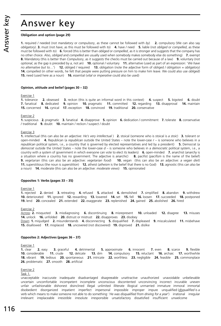# **Obligation and option (page 29)**

**1.** required / needed (not *mandatory* or *compulsory*, as these cannot be followed with *by*) **2.** compulsory (We can also say *obligatory*). **3.** must (not *have*, as this must be followed with *to*) **4.** have / need **5.** liable (not *obliged* or *compelled*, as these must be followed with *to*) **6.** forced (this is better than *obliged* or *compelled*, as it is stronger and suggests that the company has no other choice. Also, *obliged* and *compelled* are usually used when somebody makes somebody else do something) **7.** exempt **8.** Mandatory (this is better than *Compulsory*, as it suggests the checks must be carried out because of a law) **9.** voluntary (not *optional*, as the gap is preceded by *a*, not *an*) **10.** optional / voluntary **11.** alternative (used as part of an expression: '*We have no alternative but to…*') **12.** obliged / required **13.** obligation (note the adjective form of obliged / obligation = *obligatory*) **14.** compelled (in other words, he felt that people were putting pressure on him to make him leave. We could also use *obliged*) **15.** need (used here as a noun) **16.** essential (*vital* or *imperative* could also be used)

# **Opinion, attitude and belief (pages 30 – 32)**

### Exercise 1

**1.** tolerance **2.** obsessed **3.** reckon (this is quite an informal word in this context) **4.** suspect **5.** bigoted **6.** doubt **7.** fanatical **8.** dedicated **9.** opinion **10.** pragmatic **11.** committed **12.** regarding **13.** disapproval **14.** maintain **15.** concerned **16.** cynical **17.** exception **18.** convinced **19.** traditional **20.** conservative

# Exercise 2

**1.** suspicious **2.** pragmatic **3.** fanatical **4.** disapprove **5.** opinion **6.** dedication / commitment **7.** tolerate **8.** conservative / traditional **9.** doubt **10.** maintain / reckon / suspect / doubt

# Exercise 3

**1.** intellectual (this can also be an adjective: *He's very intellectual* ) **2.** stoical (someone who is stoical is *a stoic*) **3.** tolerant or open-minded **4.** Republican (a *republican* outside the United States – note the lower-case *r* – is someone who believes in a *republican* political system, i.e., a country that is governed by elected representatives and led by a president) **5.** Democrat (a *democrat* outside the United States – note the lower-case *d* – is someone who believes in a *democratic* political system, i.e., a country with a system of government in which everyone can vote to elect its leaders) **6.** open-minded **7.** anarchist (*anarchy* is a situation where a country has no government. The adjective is *anarchic*) **8.** pacifist (*pacifism* is the name of the belief) **9.** vegetarian (this can also be an adjective: *vegetarian food*) **11.** superstitious (the noun is *superstition*) **12.** atheist (*atheism* is the belief that there is no God) **13.** agnostic (this can also be a noun) **14.** moderate (this can also be an adjective: *moderate views*) **15.** opinionated

# **Opposites 1: Verbs (pages 33 – 35)**

#### Exercise 1

**1.** rejected **2.** denied **3.** retreating **4.** refused **5.** attacked **6.** demolished **7.** simplified **8.** abandon **9.** withdrew **10.** deteriorated **11.** ignored **12.** rewarding **13.** lowered **14.** set **15.** fell **16.** loosen **17.** succeeded **18.** postponed **19.** lend **20.** concealed **21.** extended **22.** exaggerate **23.** replenished **24.** gained **25.** abolished **26.** hired

# Exercise 2

Across: **2.** misquoted **3.** misdiagnosing **6.** discontinuing **8.** misrepresent **10.** unloaded **12.** disagree **13.** misuses **14.** unlock **16.** unfolded **20.** distrust or mistrust **22.** disapproves **23.** disobey Down: **1.** misjudged **2.** misunderstands **4.** disconnecting **5.** disqualified **7.** displeased **9.** miscalculated **11.** misbehave **15.** disallowed **17.** misplaced **18.** uncovered (not discovered) **19.** disproved **21.** dislike

# **Opposites 2: Adjectives (pages 36 – 37)**

#### Exercise 1

**1.** clear **2.** easy **3.** graceful **4.** detrimental **5.** approximate **6.** innocent **7.** even **8.** scarce **9.** flexible **10.** considerable **11.** crude **12.** delicate **13.** dim **14.** compulsory **15.** reluctant **16.** archaic **17.** worthwhile **18.** vibrant **19.** tedious **20.** spontaneous **21.** intricate **22.** worthless **23.** negligible **24.** feasible **25.** commonplace **26.** problematic **27.** smooth **28.** artificial

#### Exercise 2

# Task 1.

unacceptable inaccurate inadequate disadvantaged disagreeable unattractive unauthorized unavoidable unbelievable uncertain uncomfortable incompetent incomplete unconscious discontented unconvincing incorrect incurable uneven unfair unfashionable dishonest disinclined illegal unlimited illiterate illogical unmarried immature immoral immortal disobedient disorganized impatient imperfect impersonal impossible improper impure unqualified (*disqualified* is a verb which means to make someone not able to do something: '*He was disqualified from driving for a year*') irrational irregular irrelevant irreplaceable irresistible irresolute irresponsible unsatisfactory dissatisfied insufficient unwelcome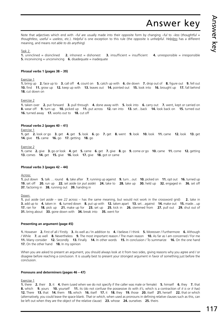Note that adjectives which end with *–ful* are usually made into their opposite form by changing *–ful* to *–less* (*thoughtful* = *thoughtless*, *useful* = *useless*, etc.). *Helpful* is one exception to this rule (the opposite is *unhelpful*. *Helpless* has a different meaning, and means *not able to do anything*)

Task 2.

**1.** uninclined = disinclined **2.** inhonest = dishonest **3.** imsufficient = insufficient **4.** unresponsible = irresponsible **5.** inconvincing = unconvincing **6.** disadequate = inadequate

#### **Phrasal verbs 1 (pages 38 – 39)**

#### Exercise 1

**1.** bring up **2.** face up to **3.** call off **4.** count on **5.** catch up with **6.** die down **7.** drop out of **8.** figure out **9.** fell out **10.** find **11.** grow up **12.** keep up with **13.** leaves out **14.** pointed out **15.** look into **16.** brought up **17.** fall behind **18.** cut down on

#### Exercise 2

**1.** taken over **2.** put forward **3.** pull through **4.** done away with **5.** look into **6.** carry out **7.** went, kept *or* carried on **8.** wear off **9.** turn up **10.** picked up **11.** put across **12.** ran into **13.** set…back **14.** look back on **15.** turned out **16.** turned away **17.** works out to **18.** cut off

### **Phrasal verbs 2 (pages 40 – 41)**

Exercise 1 **1.** get **2.** look *or* go **3.** get **4.** get **5.** look **6.** go **7.** get **8.** went **9.** look **10.** look **11.** came **12.** look **13.** get **14.** give **15.** came **16.** go **17.** getting **18.** go

#### Exercise 2

**1.** came **2.** give **3.** go *or* look **4.** get **5.** came **6.** get **7.** give **8.** go **9.** come *or* go **10.** came **11.** come **12.** getting **13.** comes **14.** get **15.** give **16.** look **17.** give **18.** got or came

#### **Phrasal verbs 3 (pages 42 – 44)**

Across:

**1.** put down **5.** talk … round **6.** take after **7.** running up against **9.** turn…out **10.** picked on **11.** opt out **16.** turned up **19.** set off **20.** run up **22.** set aside (or *put aside*) **24.** take to **28.** take up **30.** held up **32.** engaged in **36.** set off **37.** factoring in **38.** running out **39.** handing in

Down:

**1.** put aside (*set aside* – see *22 across* – has the same meaning, but would not work in the crossword grid) **2.** take in **3.** add up to **4.** taken in **6.** turned down **8.** put up with **12.** taken apart **13.** set…against **14.** make out **15.** made…up **17.** ran for **18.** pick up **21.** make up for **23.** set up **25.** kick in **26.** stemmed from **27.** pull out **29.** shut out of **31.** bring about **33.** gone down with **34.** break into **35.** went for

#### **Presenting an argument (page 45)**

**1.** However **2.** First of all / Firstly **3.** As well as / In addition to **4.** I believe / I think **5.** Moreover / Furthermore **6.** Although / While **7.** as well **8.** Nevertheless **9.** The most important reason / The main reason **10.** As far as I am concerned / For me **11.** Many consider **12.** Secondly **13.** Finally **14.** In other words **15.** In conclusion / To summarize **16.** On the one hand **17.** On the other hand **18.** In my opinion

When you are asked to present an argument, you should always look at it from two sides, giving reasons why you agree and / or disagree before reaching a conclusion. It is usually best to present your strongest argument in favor of something just before the conclusion.

#### **Pronouns and determiners (pages 46 – 47)**

Exercise 1

**1.** there **2.** their **3.** it **4.** them (used when we do not specify if the caller was male or female) **5.** himself **6.** they **7.** that **8.** which **9.** yours **10.** yourself **11.** its (do not confuse the possessive *its* with *it's*, which is a contraction of *it is* or *it has*) **12.** There **13.** that **14.** them **15.** which **16.** itself **17.** it **18.** they **19.** those **20.** itself **21.** herself **22.** that or which (alternatively, you could leave the space blank. *That* or *which*, when used as pronouns in defining relative clauses such as this, can be left out when they are the object of the relative clause) **23.** whose **24.** ourselves **25.** theirs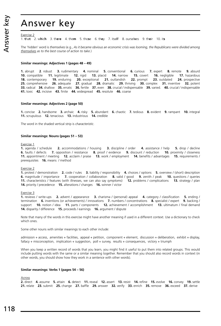### Exercise 2

1. **t**ha**t** 2. w**h**ic**h** 3. th**e**r**e** 4. the**m** 5. tho**s**e 6. th**e**y 7. itse**l**f 8. oursel**v**es 9. th**e**ir 10. it**s**

The 'hidden' word is *themselves* (e.g., *As it became obvious an economic crisis was looming, the Republicans were divided among themselves as to the best course of action to take*.)

### **Similar meanings: Adjectives 1 (pages 48 – 49)**

**1.** abrupt **2**. robust **3.** rudimentary **4.** nominal **5.** conventional **6.** curious **7.** expert **8.** remote **9.** absurd **10.** compatible **11.** legitimate **12.** rigid **13.** placid **14.** narrow **15.** covert **16.** negligible **17.** hazardous **18.** contemporary **19.** enduring **20.** exceptional **21.** outlandish **22.** prompt **23.** outdated **24.** prospective **25.** comprehensive **26.** adequate **27.** gradual **28.** dramatic **29.** thriving **30.** complex **31.** inventive **32.** potent **33.** radical **34.** shallow **35.** erratic **36.** fertile **37.** even **38.** crucial / indispensable **39.** varied. **40.** crucial / indispensable **41.** toxic **42.** incisive **43.** finite **44.** widespread **45.** resolute **46.** coarse

#### **Similar meanings: Adjectives 2 (page 50)**

**1.** concise **2.** handsome **3.** archaic **4.** risky **5.** abundant **6.** chaotic **7.** tedious **8.** evident **9.** rampant **10.** integral **11.** scrupulous **12.** tenacious **13.** industrious **14.** credible

The word in the shaded vertical strip is *characteristic*.

#### **Similar meanings: Nouns (pages 51 – 53)**

Exercise 1

**1.** agenda / schedule **2.** accommodations / housing **3.** discipline / order **4.** assistance / help **5.** drop / decline **6.** faults / defects **7.** opposition / resistance **8.** proof / evidence **9.** discount / reduction **10.** proximity / closeness **11.** appointment / meeting **12.** acclaim / praise **13.** work / employment **14.** benefits / advantages **15.** requirements / prerequisites **16.** means / method

Exercise 2

**1.** protest / demonstration **2.** code / rules **3.** liability / responsibility **4.** choices / options **5.** overview / (short) description **6.** magnitude / importance **7.** cooperation / collaboration **8.** valid / good **9.** zenith / peak **10.** questions / queries **11.** characteristics / features (with illnesses, we can also say *symptoms*) **12.** problems / complications **13.** strategy / plan **14.** priority / precedence **15.** alterations / changes **16.** winner / victor

#### Exercise 3

**1.** reviews / write-ups **2.** advent / appearance **3.** charisma / (personal) appeal **4.** category / classification **5.** ending / termination **6.** inventions (or achievements) / innovations **7.** numbers / concentrations **8.** specialist / expert **9.** backing / support **10.** notion / idea **11.** parts / components **12.** achievement / accomplishment **13.** ultimatum / final demand **14.** disparity / difference **15.** proceeds / earnings **16.** argument / dispute

Note that many of the words in this exercise might have another meaning if used in a different context. Use a dictionary to check which ones.

Some other nouns with similar meanings to each other include:

admission + access, amenities + facilities, appeal + petition, component + element, discussion + deliberation, exhibit + display, fallacy + misconception, implication + suggestion, poll + survey, results + consequences, victory + triumph

When you keep a written record of words that you learn, you might find it useful to put them into related groups. This would include putting words with the same or a similar meaning together. Remember that you should also record words in context (in other words, you should show how they work in a sentence with other words).

#### **Similar meanings: Verbs 1 (pages 54 – 56)**

Across

**2.** direct **4.** assume **5.** attain **6.** detect **11.** reveal **12.** assert **13.** resist **14.** refine **15.** evolve **16.** convey **19.** settle **21.** relate **23.** submit **25.** change **27.** baffle **29.** answer **32.** verify **33.** enrich **35.** remove **36.** exceed **37.** derive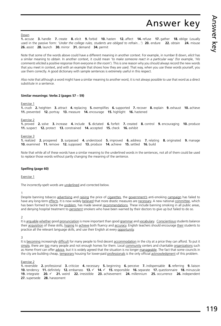#### Down

**1.** accuse **3.** handle **7.** create **8.** elicit **9.** forbid **10.** hasten **12.** affect **14.** refuse **17.** gather **18.** oblige (usually used in the passive form: '*Under the college rules, students are obliged to refrain…*') **20.** endure **22.** obtain **24.** misuse **26.** assist **28.** launch **30.** mirror **31.** demand **34.** permit

Note that some of the words above could have a different meaning in another context. For example, in number 8 down, *elicit* has a similar meaning to *obtain*. In another context, it could mean '*to make someone react in a particular way*' (for example, '*His comments elicited a positive response from everyone in the room*'). This is one reason why you should always record the new words that you meet in context, and with an example that shows how they are used. That way, when you use these words yourself, you use them correctly. A good dictionary with sample sentences is extremely useful in this respect.

Also note that although a word might have a similar meaning to another word, it is not always possible to use that word as a direct substitute in a sentence.

#### **Similar meanings: Verbs 2 (pages 57 – 59)**

Exercise 1

**1.** crush **2.** heighten **3.** attract **4.** replacing **5.** exemplifies **6.** supported **7.** recover **8.** explain **9.** exhaust **10.** achieve **11.** prevented **12.** portray **13.** measure **14.** encourage **15.** highlight **16.** hastened

Exercise 2

**1.** proved **2.** solve **3.** increase **4.** include **5.** dictated **6.** forfeit **7.** created **8.** control **9.** encouraging **10.** produce **11.** suspect **12.** protect **13.** constrained **14.** accepted **15.** check **16.** exhibit

#### Exercise 3

**1.** realized **2.** prospered **3.** surpassed **4.** understood **5.** improved **6.** address **7.** relating **8.** originated **9.** manage **10.** examined **11.** remove **12.** supposed **13.** produce **14.** achieve **15.** settled **16.** build

Note that while all of these words have a similar meaning to the underlined words in the sentences, not all of them could be used to *replace* those words without partly changing the meaning of the sentence.

# **Spelling (page 60)**

Exercise 1

The incorrectly-spelt words are underlined and corrected below.

1

Despite banning tobacco advertising and raising the price of cigarettes, the government's anti-smoking campaign has failed to have any long-term effects. It is now widely believed that more drastic measures are necessary. A new national committee, which has been formed to tackle the problem, has made several recommendations. These include banning smoking in all public areas, and denying hospital treatment to persistent smokers who have been warned by their doctors to give up but failed to do so.

 $\overline{2}$ 

It is arguable whether good pronunciation is more important than good grammar and vocabulary. Conscientious students balance their acquisition of these skills, hoping to achieve both fluency and accuracy. English teachers should encourage their students to practice all the relevant language skills, and use their English at every opportunity.

3

It is becoming increasingly difficult for many people to find decent accommodation in the city at a price they can afford. To put it simply, there are too many people and not enough homes for them. Local community centers and charitable organizations such as *Home Front* can offer advice, but it is widely agreed that the situation is no longer manageable. The fact that some councils in the city are building cheap, temporary housing for lower-paid professionals is the only official acknowledgment of this problem.

Exercise 2

**1.** reversible **2.** professional **3.** criticize **4.** necessary **5.** beginning **6.** perceive **7.** indispensable **8.** referring **9.** liaison **10.** tendency **11.** definitely **12.** embarrass **13.** 9 **14.** 9 **15.** responsible **16.** separate **17.** questionnaire **18.** minuscule **19.** integrate **20.** 9 **21.** weird **22.** irresistible **23.** achievement **24.** millennium **25.** occurrence **26.** independent **27.** supersede **28.** harassment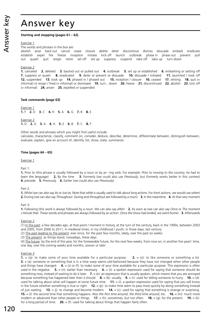# **Starting and stopping (pages 61 – 62)**

# Exercise 1

The words and phrases in the box are:

abolish arise back out cancel cease closure delete deter discontinue dismiss dissuade embark eradicate establish expel fire freeze inception initiate kick off launch outbreak phase in phase out prevent pull out quash quit resign retire set off set up suppress suspend take off take up turn down

# Exercise 2

**1.** canceled **2.** deleted **3.** backed out *or* pulled out **4.** outbreak **5.** set up *or* established **6.** embarking *or* setting off **7.** suppress *or* quash **8.** eradicated **9.** deter *or* prevent *or* dissuade **10.** dissuade / initiated **11.** launched / took off **12.** suspended **13.** took up **14.** phased in / phased out **15.** inception / closure **16.** ceased **17.** retiring **18.** quit (= informal) *or* resign / fired (= informal) or dismissed **19.** turn…down **20.** freeze **21.** discontinued **22.** abolish **23.** kick off (= informal) **24.** arisen **25.** expelled *or* suspended

# **Task commands (page 63)**

Exercise 1 **1.** F **2.** D **3.** C **4.** H **5.** A **6.** G **7.** B **8.** E Exercise 2 **1.** D **2.** G **3.** A **4.** H **5.** E **6.** B **7.** C **8.** F

Other words and phrases which you might find useful include: calculate, characterize, classify, comment on, consider, deduce, describe, determine, differentiate between, distinguish between, evaluate, explain, give an account of, identify, list, show, state, summarize

# **Time (pages 64 – 65)**

Exercise 1

Part 1:

**1.** Prior to (this phrase is usually followed by a noun or by an –ing verb. For example: *Prior to moving to the country, he had to learn the language*) **2.** By the time **3.** Formerly (we could also use *Previously*, but *Formerly* works better in this context) **4.** precede **5.** Previously **6.** Earlier (we could also use *Previously*)

Part 2:

**1.** While (we can also say *As* or *Just as*. Note that *while* is usually used to talk about long actions. For short actions, we would use *when*) **2.** During (we can also say *Throughout*. *During* and *throughout* are followed by a noun) **3.** In the meantime **4.** At that very moment

#### Part 3:

**1.** Following (this word is always followed by a noun. We can also say *after*) **2.** As soon as (we can also say *Once* or *The moment / minute that*. These words and phrases are always followed by an action: *Once the show had ended, we went home*) **3.** Afterwards

# Exercise 2

(1) In the past: a few decades ago, at that point / moment in history, at the turn of the century, back in the 1990s, between 2003 and 2005, from 2006 to 2011, in medieval times, in my childhood / youth, in those days, last century

(2) The past leading to the present: ever since, for the past few months, lately, over the past six weeks

(3) The present: as things stand, nowadays, these days

(4) The future: by the end of this year, for the foreseeable future, for the next few weeks, from now on, in another five years' time, one day, over the coming weeks and months, sooner or later

# Exercise 3

**1.**  $=$  (g): to make some of your time available for a particular purpose. **2.**  $=$  (o): to like someone or something a lot. **3.**  $=$  (a): someone or something that is in a time warp seems old-fashioned because they have not changed when other people and things have changed. **4.** = (s) or (f): to make some of your time available for a particular purpose. This expression is often used in the negative. **5.** = (n): earlier than necessary. **6.** = (t): a spoken expression used for saying that someone should do something now, instead of waiting to do it later. **7.** = (e): an expression that is usually spoken, which means that you are annoyed because something has happened later than it should.  $\mathbf{8.} = (b)$ : usually.  $\mathbf{9.} = (r)$ : used for telling someone to hurry.  $\mathbf{10.} = (d)$ : used for talking about what will happen at some future time.  $11 = (i)$ : a spoken expression used for saying that you will know in the future whether something is true or right.  $12. = (p)$ : to make time seem to pass more quickly by doing something instead of just waiting. **13.** = (j): to change and become modern. **14.** = (c): used for saying that something is strange or surprising. **15.** = (l): the second time that something happens. Also *the first time around*, *the third time around*, etc. **16.** = (m): much more modern or advanced than other people or things.  $17. = (h)$ : sometimes, but not often.  $18. = (g)$ : for the present.  $19. = (k)$ : for a long period of time.  $20 = (f)$ : used for talking about things that happen fairly often.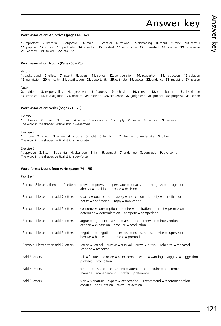### **Word association: Adjectives (pages 66 – 67)**

**1.** important **2.** material **3.** objective **4.** major **5.** central **6.** rational **7.** damaging **8.** rapid **9.** false **10.** careful **11.** popular **12.** critical **13.** particular **14.** essential **15.** modest **16.** impossible **17.** interested **18.** positive **19.** noticeable **20.** lengthy **21.** severe **22.** realistic

### **Word association: Nouns (Pages 68 – 70)**

Across

**1.** background **5.** effect **7.** accent **8.** guess **11.** advice **12.** consideration **14.** suggestion **15.** instruction **17.** solution **19.** permission **20.** difficulty **21.** qualification **22.** opportunity **25.** estimate **29.** appeal **32.** evidence **33.** medicine **34.** reason

Down

**2.** accident **3.** responsibility **4.** agreement **6.** features **9.** behavior **10.** career **12.** contribution **13.** description **16.** criticism **18.** investigation **23.** respect **24.** method **26.** sequence **27.** judgment **28.** project **30.** progress **31.** lesson

#### **Word association: Verbs (pages 71 – 73)**

Exercise 1

**1.** influence **2.** obtain **3.** discuss **4.** settle **5.** encourage **6.** comply **7.** devise **8.** uncover **9.** deserve The word in the shaded vertical strip is *undermine*.

#### Exercise 2

**1.** inspire **2.** object **3.** argue **4.** oppose **5.** fight **6.** highlight **7.** change **8.** undertake **9.** differ The word in the shaded vertical strip is *negotiate*.

#### Exercise 3

**1.** approve **2.** listen **3.** dismiss **4.** abandon **5.** fall **6.** combat **7.** underline **8.** conclude **9.** overcome The word in the shaded vertical strip is *reinforce*.

#### **Word forms: Nouns from verbs (pages 74 – 75)**

Exercise 1

| Remove 2 letters, then add 4 letters: | $provide = provision$<br>$persuade = \npersuasion \nperoarice = \nrecognition$<br>$abolish = abolition$ decide = decision             |
|---------------------------------------|---------------------------------------------------------------------------------------------------------------------------------------|
| Remove 1 letter, then add 7 letters:  | qualify = qualification $apply = application$ identify = identification<br>$notify = notification$ imply = implication                |
| Remove 1 letter, then add 5 letters:  | $\alpha$ consume = consumption admire = admiration permit = permission<br>$determine = determination$ compete = competition           |
| Remove 1 letter, then add 4 letters:  | $argue = argument$ assure = assurance intervene = intervention<br>$expand = expansion$ produce = production                           |
| Remove 1 letter, then add 3 letters:  | $negotiate = negotiation$ expose = exposure<br>$supervised = supervision$<br>$behave = behavior$ promote = promotion                  |
| Remove 1 letter, then add 2 letters:  | $refuse = refusal$ survive = survival arrive = arrival rehearse = rehearsal<br>$respond = response$                                   |
| Add 3 letters:                        | $fail = failure$ coincide = coincidence warn = warning suggest = suggestion<br>$prohibit =$ prohibition                               |
| Add 4 letters:                        | $disturb = disturbance$ attend = attendance require = requirement<br>$prefer = preference$<br>$m$ anage = $m$ anagement               |
| Add 5 letters:                        | $sign = signature$ expect = expectation recommend = recommendation<br>$const = constant = constant$ consultation $relax = relaxation$ |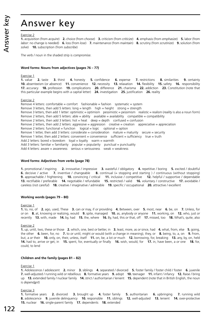# Exercise 2

**1.** acquisition (from *acquire*) **2.** choice (from *choose*) **3.** criticism (from *criticize*) **4.** emphasis (from *emphasize*) **5.** labor (from *labor*: no change is needed) **6.** loss (from *lose*) **7.** maintenance (from *maintain*) **8.** scrutiny (from *scrutinize*) **9.** solution (from *solve*) **10.** subscription (from *subscribe*)

The verb / noun in the shaded strip is *compromise*.

### **Word forms: Nouns from adjectives (pages 76 – 77)**

#### Exercise 1

**1.** value **2.** taste **3.** thirst **4.** honesty **5.** confidence **6.** expense **7.** restrictions **8.** similarities **9.** certainty **10.** absenteeism (or *absence*) **11.** convenience **12.** necessity **13.** relaxation **14.** flexibility **15.** safety **16.** responsibility **17.** accuracy **18.** profession **19.** complications **20.** difference **21.** charisma **22.** addiction **23.** Constitution (note that this particular example begins with a capital letter) **24.** investigation **25.** justification **26.** reality

### Exercise 2

Remove 4 letters: comfortable = comfort fashionable = fashion systematic = system Remove 3 letters, then add 5 letters:  $long = length$  high  $= height$  strong  $= strength$ Remove 3 letters, then add 1 letter: optimistic = optimism pessimistic = pessimism realistic = realism (*reality* is also a noun form) Remove 2 letters, then add 5 letters: able = ability available = availability compatible = compatibility Remove 2 letters, then add 3 letters: hot = heat deep = depth confused = confusion Remove 2 letters, then add 2 letters: aggressive = aggression creative = creation appreciative = appreciation Remove 2 letters: functional = function  $logical = logic$  optional = option Remove 1 letter, then add 3 letters: considerate = consideration mature = maturity secure = security Remove 1 letter, then add 2 letters: convenient = convenience sufficient = sufficiency true = truth Add 2 letters: bored = boredom  $logal = logalty$  warm = warmth Add 3 letters: familiar = familiarity  $p$ opular = popularity  $p$ unctual = punctuality Add 4 letters: aware = awareness serious = seriousness weak = weakness

# **Word forms: Adjectives from verbs (page 78)**

**1.** promotional / inspiring **2.** innovative / impressive **3.** wasteful / obligatory **4.** repetitive / boring **5.** excited / doubtful **6.** decisive / active **7.** inventive / changeable **8.** continual (= stopping and starting ) / continuous (without stopping) **9.** approachable / frightening **10.** convincing / critical **11.** inclusive / competitive **12.** helpful / supportive / dependable **13.** rectifiable / preferable **14.** negotiable / refundable **15.** restricted / valid **16.** voluntary / constructive **17.** avoidable / careless (not *careful*) **18.** creative / imaginative / admirable **19.** specific / occupational **20.** attractive / excellent

# **Working words (pages 79 – 80)**

#### Exercise 1

**1.** to, no, of **2.** ago, used, These **3.** can *or* may, if *or* providing **4.** Between, over **5.** most, near **6.** be, on **7.** Unless, for *or* on **8.** at, knowing *or* realizing, would **9.** spite, managed **10.** as, anybody *or* anyone **11.** working, on **12.** who, just *or* recently **13.** with, made **14.** by, had **15.** the, where **16.** By, had, this *or* that, off **17.** missed, too **18.** What's, quite, also

#### Exercise 2

**1.** up, until, two, these *or* those **2.** which, one, best *or* better, in **3.** least, more, as *or* since, had **4.** what, from, else **5.** going, the other **6.** been, for, no **7.** to *or* until, might *or* would (with a change in meaning), they, or **8.** being, to, a, on **9.** From, but, a *or* their **10.** only, on, their, unless, itself **11.** on, be, a lot *or* much **12.** borrowing, for, breaking **13.** any, by, on, held **14.** had to, arrive *or* get, in **15.** spent, for, eventually *or* finally **16.** wish, would, for **17.** in, have been, a *or* one **18.** for, could, to lend

# **Children and the family (pages 81 – 82)**

#### Exercise 1

**1.** Adolescence / adolescent **2.** minor **3.** siblings **4.** separated / divorced **5.** foster family / foster child / foster **6.** juvenile **7.** well-adjusted / running wild *or* rebellious **8.** formative years **9.** adopt **10.** teenager **11.** infant / infancy **12.** Raise / bring up **13.** extended family / nuclear family **14.** strict / authoritarian / lenient **15.** dependent (note that in British English, the noun is *dependant*)

Exercise 3

**1.** formative years **2.** divorced **3.** brought up **4.** foster family **5.** authoritarian **6.** upbringing **7.** running wild **8.** adolescence **9.** juvenile delinquency **10.** responsible **11.** siblings **12.** well-adjusted **13.** lenient **14.** over-protective **15.** nuclear **16.** single-parent family **17.** dependents **18.** extended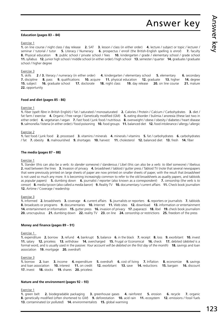# **Education (pages 83 – 84)**

# Exercise 1

**1.** on line course / night class / day release **2.** SAT **3.** lesson / class (in either order) **4.** lecture / subject or topic / lecturer / seminar / tutorial / tutor **5.** Literacy / Numeracy **6.** prospectus / enroll (the British-English spelling is *enrol*) **7.** faculty **8.** Physical education **9.** public school / private school / fees **10.** kindergarten / grade / elementary school / grade school **11.** syllabus **12.** junior high school / middle school (in either order) / high school **13.** semester / quarter **14.** graduate / graduate school / higher degree

# Exercise 3

**1.** skills **2 / 3.** literacy / numeracy (in either order) **4.** kindergarten / elementary school **5.** elementary **6.** secondary **7.** discipline **8.** pass **9.** qualifications **10.** acquire **11.** physical education **12.** graduate **13.** higher **14.** degree **15.** subject **16.** graduate school **17.** doctorate **18.** night class **19.** day release **20.** on line course **21.** mature **22.** opportunity

# **Food and diet (pages 85 - 86)**

# Exercise 1

**1.** Fiber (spelt *fibre* in British English) / fat / saturated / monosaturated **2.** Calories / Protein / Calcium / Carbohydrates **3.** diet / fat farm / exercise **4.** Organic / Free range / Genetically modified (GM) **5.** eating disorder / bulimia / anorexia (these last two in either order) **6.** vegetarian / vegan **7.** Fast food / junk food / nutritious **8.** overweight / obese / obesity / diabetes / heart disease **9.** salmonella / listeria (in either order) / food poisoning **10.** food groups **11.** balanced diet **12.** food intolerance / allergy / allergic

# Exercise 2

**1.** fast food / junk food **2.** processed **3.** vitamins / minerals **4.** minerals / vitamins **5.** fat / carbohydrates **6.** carbohydrates / fat **7.** obesity **8.** malnourished **9.** shortages **10.** harvest **11.** cholesterol **12.** balanced diet **13.** fresh **14.** fiber

# **The media (pages 87 – 88)**

### Exercise 1

**1.** Slander (this can also be a verb: *to slander* someone) / slanderous / Libel (this can also be a verb: *to libel* someone) / libelous **2.** read between the lines **3.** Invasion of privacy **4.** broadsheet / tabloid / gutter press / Tabloid TV (note that several newspapers that were previously printed on large sheets of paper are now printed on smaller sheets of paper, with the result that *broadsheet* is not used so much any more. It is becoming increasingly common to refer to the old broadsheets as *quality papers*, and tabloids as *popular papers*) **5.** dumbing down **6.** journalist / reporter (also known as a *correspondent*) **7.** censorship (the verb is *to censor*) **8.** media tycoon (also called a *media baron*) **9.** Reality TV **10.** documentary / current affairs **11.** Check book journalism **12.** Airtime / Coverage / readership

# Exercise 3

**1.** informed **2.** broadsheets **3.** coverage **4.** current affairs **5.** journalists or reporters **6.** reporters or journalists **7.** tabloids **8.** broadcasts or programs **9.** documentaries **10.** Internet **11.** Web sites **12.** download **13.** information *or* entertainment **14.** entertainment *or* information **15.** gutter press **16.** invasion of privacy **17.** paparazzi **18.** libel **19.** check book journalism **20.** unscrupulous **21.** dumbing down **22.** reality TV **23.** on line **24.** censorship *or* restrictions **25.** freedom of the press

# **Money and finance (pages 89 – 91)**

# Exercise 1

**1.** expenditure **2.** borrow **3.** refund **4.** bankrupt **5.** balance **6.** in the black **7.** receipt **8.** loss **9.** exorbitant **10.** invest **11.** salary **12.** priceless **13.** withdraw **14.** overcharged **15.** Frugal *or* Economical **16.** check **17.** debited (*debited* is a formal word, and is usually used in the passive: *Your account will be debited on the first day of the month*) **18.** savings and loan association **19.** mortgage **20.** overdraft

# Exercise 3

**1.** borrow **2.** loan **3.** income **4.** expenditure **5.** overdraft **6.** cost of living **7.** Inflation **8.** economize **9.** savings and loan association **10.** interest **11.** on credit **12.** exorbitant **13.** save **14.** reductions **15.** bargain **16.** discount **17.** invest **18.** stocks **19.** shares **20.** priceless

# **Nature and the environment (pages 92 – 93)**

#### Exercise 1

**1.** green belt **2.** biodegradable packaging **3.** greenhouse gases **4.** rainforest **5.** erosion **6.** recycle **7.** organic **8.** genetically modified (often shortened to *GM*) **9.** deforestation **10.** acid rain **11.** ecosystem **12.** emissions / fossil fuels **13.** contaminated (or *polluted*) **14.** environmentalists **15.** global warming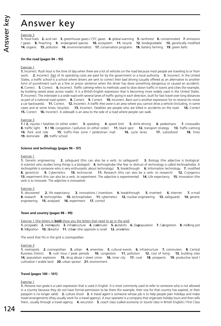# Exercise 3

**1.** fossil fuels **2.** acid rain **3.** greenhouse gases / CFC gases **4.** global warming **5.** rainforest **6.** contaminated **7.** emissions / gases **8.** Poaching **9.** endangered species **10.** ecosystem **11.** recycle **12.** biodegradable **13.** genetically modified **14.** organic **15.** pollution **16.** environmentalists **17.** conservation programs **18.** battery farming **19.** green belts

# **On the road (pages 94 – 95)**

### Exercise 1

**1.** Incorrect. *Rush hour* is the time of day when there are a lot of vehicles on the road because most people are traveling to or from work. **2.** Incorrect. Part of its operating costs are paid for by the government or a local authority. **3.** Incorrect. In the United States, a *traffic school* is a school where drivers are sent to correct their bad driving (usually offered as an alternative to another form of punishment such as a fine or prison sentence when the driver has done something dangerous or caused an accident). **4.** Correct. **5.** Correct. **6.** Incorrect. *Traffic calming* refers to methods used to slow down traffic in towns and cities (for example, by building raised areas across roads). It is a British-English expression that is becoming more widely used in the United States. **7.** Incorrect. The *interstate* is a wide road with several lanes of traffic going in each direction, built for fast travel over long distances as part of a national road system. **8.** Correct. **9.** Correct. **10.** Incorrect. *Back out* is another expression for *to reverse* (to move a car backwards). **11.** Correct. **12.** Incorrect. A *traffic-free zone* is an area where you cannot drive a vehicle (including, in some cases and at some times, bicycles). **13.** Incorrect. *Fatalities* are people who are killed in accidents on the road. **14.** Correct **15.** Correct **16.** Incorrect. A *sidewalk* is an area to the side of a road where people can walk.

# Exercise 3

**1 / 2.** injuries / fatalities (in either order) **3.** speeding **4.** speed limit **5.** drink-driving **6.** pedestrians **7.** crosswalks **8.** traffic light **9 / 10.** congestion / pollution (in either order) **11.** black spot **12.** transport strategy **14.** Park and ride **15.** traffic-free zone / pedestrian mall **16.** cycle lanes **17.** subsidized **18.** fines **19.** dominate **20.** traffic school

# **Science and technology (pages 96 – 97)**

# Exercise 1

**1.** Genetic engineering **2.** safeguard (this can also be a verb: *to safeguard*) **3.** Biology (the adjective is *biological*. A scientist who studies living things is a *biologist*) **4.** technophobe (the fear or distrust of technology is called *technophobia*. A *technophile* is someone who is very enthusiastic about technology) **5.** breakthrough **6.** Information technology **7.** modified **8.** geneticist **9.** Cybernetics **10.** technocrat **11.** Research (this can also be a verb: *to research*) **12.** Cryogenics **13.** experiment (this can also be a verb, *to experiment*. The adjective is *experimental*) **14.** Life expectancy **15.** Innovation (the verb is *to innovate*. The adjective is *innovative*)

#### Exercise 3

**1.** discovered **2.** life expectancy **3.** innovations / inventions **4.** breakthrough **5.** invented **6.** Internet **7.** e-mail **8.** research **9.** technophiles **10.** technophobes **11.** cybernetics **12.** nuclear engineering **13.** safeguards **14.** genetic engineering **15.** analyzed **16.** experiment **17.** control

# **Town and country (pages 98 – 99)**

Exercise 1 (the letters in **bold** show you the letters that need to go in the grid)

**1.** prospe**c**ts **2.** metr**o**polis **3.** infra**s**tructure **4.** co**m**muter **5. o**utskirts **6.** De**p**opulation **7.** C**o**ngestion **8.** me**l**ting pot **9.** M**i**gration **10.** s**t**ressful **11.** Urb**a**n (the opposite is *rural*) **12.** ame**n**ities

The word that fits in the grid is *cosmopolitan*.

#### Exercise 3

**1.** metropolis **2.** cosmopolitan **3.** urban **4.** amenities **5.** cultural events **6.** infrastructure **7.** commuters **8.** Central Business District **9.** rush hour / peak periods **10.** congestion **11.** pollution **12.** cost of living **13.** building sites **14.** population explosion **15.** drug abuse / street crime **16.** inner city **17.** rural **18.** prospects **19.** productive land / cultivation / arable land **20.** urban sprawl **21.** environment

# **Travel (pages 100 – 101)**

# Exercise 1

**1.** *Persona non grata* is a Latin expression that is used in English. It is most commonly used to refer to someone who is not allowed in a country because they do not have formal permission to be there (for example, their visa for that country has expired, or their passport is no longer valid) **2.** culture shock **3.** A *travel agent* is someone whose job is to help people plan holidays and make travel arrangements (they usually work for a *travel agency*). A *tour operator* is a company that organizes holiday tours and then sells them, usually through a travel agency. **4.** excursion **5.** coach class (called *economy* or *tourist class* in British English) / First Class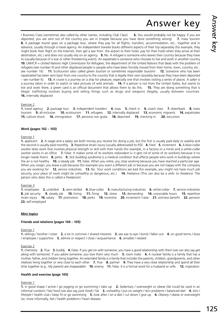/ Business Class (sometimes also called by other names, including *Club Class*) **6.** You would probably not be happy. If you are *deported*, you are sent out of the country you are in (maybe because you have done something wrong) **7.** mass tourism **8.** A *package tourist* goes on a *package tour*, where they pay for all flights, transfers, accommodation, etc., together and in advance, usually through a travel agency. An *independent traveler* books different aspects of their trip separately (for example, they might book their flight on the Internet, then get a taxi from the airport to their hotel, pay for their hotel when they arrive at their destination, etc.) and does not usually rely on an agency **9.** No. A *refugee* is someone who leaves their country because they have to (usually because of a war or other threatening event). An *expatriate* is someone who chooses to live and work in another country **10.** UNHCR = *United Nations High Commission for Refugees*, the department of the United Nations that deals with the problem of *refugees* (see number 9) and other *displaced* people (= people who have been forcibly moved from their home, town, country, etc.: see number 16) **11.** Ecotourism (also called *green tourism* or sometimes *responsible tourism*) **12.** Someone who has been *repatriated* has been sent back from one country to the country that is legally their own (possibly because they have been *deported* – see number 6). **13.** A *cruise* is a journey on a ship for pleasure, especially one that involves visiting a series of places. A *safari* is a journey taken in order to watch or take pictures of wild animals **14.** If a person is not from the United States, but wants to live and work there, a *green card* is an official document that allows them to do this. **15.** They are doing something that is illegal: *trafficking* involves buying and selling things such as drugs and weapons illegally, usually between countries. **16.** internally displaced

### Exercise 2

**1.** travel agency **2.** package tour **3.** independent travelers **4.** visas **5.** check in **6.** coach class **7.** disembark **8.** mass tourism **9.** all-inclusive **10.** ecotourism **11.** refugees **12.** internally displaced **13.** economic migrants **14.** expatriates **15.** culture shock **16.** immigration **17.** persona non grata **18.** deported **19.** checking in **20.** excursion

# **Work (pages 102 – 103)**

#### Exercise 1

**1.** applicant **2.** A *wage* and a *salary* are both money you receive for doing a job, but the first is usually paid daily or weekly and the second is usually paid monthly **3.** Repetitive strain injury (usually abbreviated to *RSI*) **4.** fired **5.** increment **6.** A *blue-collar worker* does work that involves physical strength or skill with their hands (for example, in a factory or a mine) and a *white-collar worker* works in an office **7.** False. It makes some of its workers *redundant* (= it gets rid of some of its workers) because it no longer needs them) **8.** perks **9.** *Sick building syndrome* is a medical condition that affects people who work in buildings where the air is not healthy **10.** a steady job **11.** False. When you *retire*, you stop working because you have reached a particular age. When you *resign*, you leave a job because (for example) you want a different job or because you are not happy with the company you are working for **12.** service industries **13.** No. Your work conditions are bad (for example, you might not have much job security, your place of work might be unhealthy or dangerous, etc.) **14.** freelance (This can also be a verb: *to freelance*. The person who does this is called a *freelancer*)

# Exercise 3

**1.** employees **2.** unskilled **3.** semi-skilled **4.** blue-collar **5.** manufacturing industries **6.** white-collar **7.** service industries **8.** job security **9.** steady job **10.** hiring **11.** firing **12.** stress **13.** demanding **14.** unsociable hours **15.** repetitive strain injury **16.** salary **17.** promotion **18.** perks **19.** incentive **20.** increment / raise **21.** sickness benefit **22.** pension **23.** self-employed

# **Mini topics**

#### **Friends and relations (pages 104 – 105)**

#### Exercise 1

**1.** siblings / brother / sister **2.** a lot in common / shared interests **3.** see eye to eye / bond / fallen out **4.** on good terms / boss / employee / supportive **5.** admire or respect / close / acquaintance **6.** amiable / related

#### Exercise 2

**1.** chemistry **2.** True **3.** buddy **4.** False. If you *get on* with someone, you have a good relationship with them (we can also say *get along* with someone). If you *adore* someone, you love them very much **5.** room mate **6.** A nuclear family is a family that has a mother, father, and children living together. An extended family is a family that includes the parents, children, grandparents, and other relatives living together or very close to each other **7.** True **8.** partner **9.** They have a very close relationship and spend all their time together (e.g., *My parents are inseparable*) **10.** enemy **11.** False. It is a formal word for a husband or wife. **12.** inspiration

#### **Health and exercise (page 105)**

#### Exercise 1

**1.** in good shape / active / go jogging *or* go swimming / take up **2.** Sedentary / overweight *or* obese (*fat* could be used in an informal context) / fast food (we also say *junk food*) / fat **3.** unhealthy / put on weight / skin problems / balanced diet **4.** slim / lifestyle / health club / keep fit *or* go swimming **5.** look after / on a diet / cut down / give up **6.** Obesity / obese *or* overweight (or, more informally, *fat*) / health problems / heart disease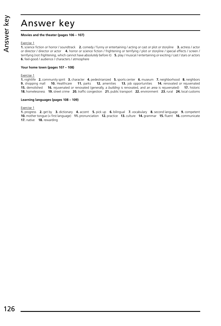# **Movies and the theater (pages 106 – 107)**

# Exercise 1

**1.** science fiction *or* horror / soundtrack **2.** comedy / funny *or* entertaining / acting *or* cast *or* plot *or* storyline **3.** actress / actor *or* director / director *or* actor **4.** horror *or* science fiction / frightening *or* terrifying / plot *or* storyline / special effects / screen / terrifying (not *frightening*, which cannot have *absolutely* before it) **5.** play / musical / entertaining *or* exciting / cast / stars *or* actors **6.** feel-good / audience / characters / atmosphere

# **Your home town (pages 107 – 108)**

### Exercise 1

**1.** nightlife **2.** community spirit **3.** character **4.** pedestrianized **5.** sports center **6.** museum **7.** neighborhood **8.** neighbors **9.** shopping mall **10.** Healthcare **11.** parks **12.** amenities **13.** job opportunities **14.** renovated *or* rejuvenated **15.** demolished **16.** rejuvenated *or* renovated (generally, a *building* is renovated, and an *area* is rejuvenated) **17.** historic **18.** homelessness **19.** street crime **20.** traffic congestion **21.** public transport **22.** environment **23.** rural **24.** local customs

# **Learning languages (pages 108 – 109)**

Exercise 1

**1.** progress **2.** get by **3.** dictionary **4.** accent **5.** pick up **6.** bilingual **7.** vocabulary **8.** second language **9.** competent **10.** mother tongue (= first language) **11.** pronunciation **12.** practice **13.** culture **14.** grammar **15.** fluent **16.** communicate **17.** native **18.** rewarding